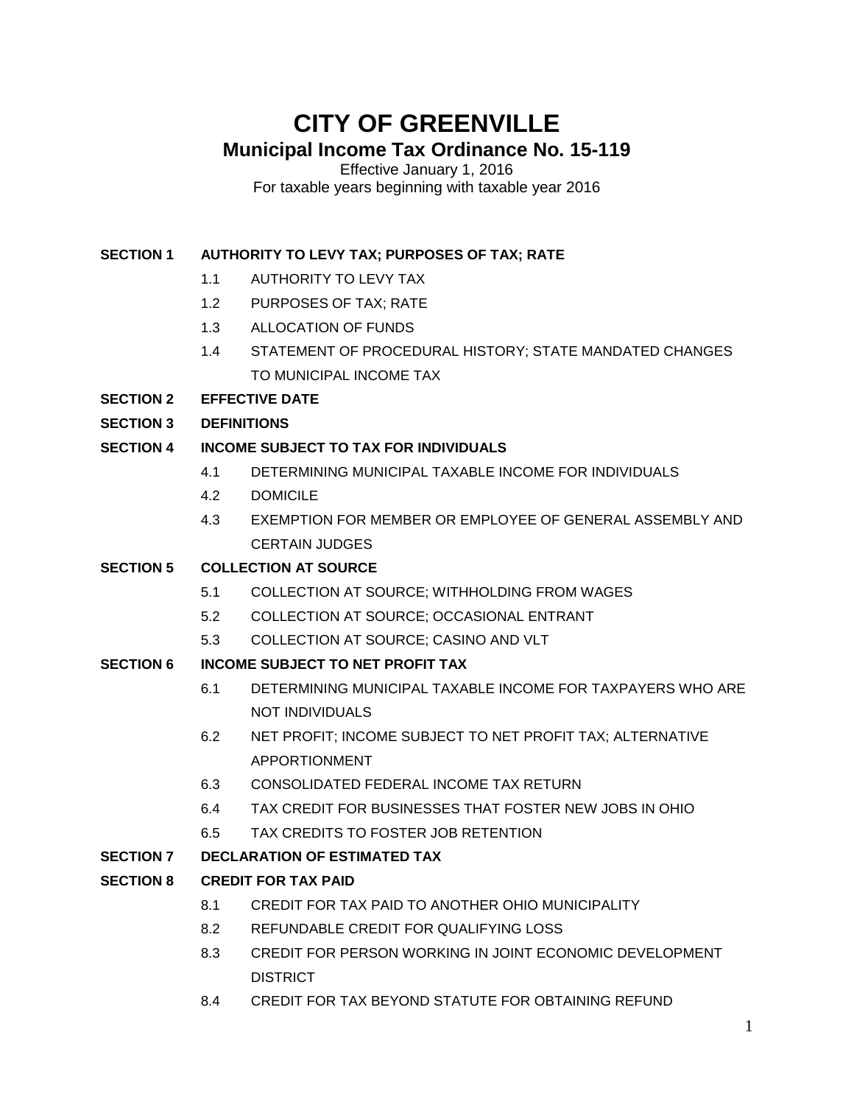# **CITY OF GREENVILLE Municipal Income Tax Ordinance No. 15-119**

Effective January 1, 2016 For taxable years beginning with taxable year 2016

## **SECTION 1 AUTHORITY TO LEVY TAX; PURPOSES OF TAX; RATE**

- 1.1 AUTHORITY TO LEVY TAX
- 1.2 PURPOSES OF TAX; RATE
- 1.3 ALLOCATION OF FUNDS
- 1.4 STATEMENT OF PROCEDURAL HISTORY; STATE MANDATED CHANGES TO MUNICIPAL INCOME TAX
- **SECTION 2 EFFECTIVE DATE**
- **SECTION 3 DEFINITIONS**

## **SECTION 4 INCOME SUBJECT TO TAX FOR INDIVIDUALS**

- 4.1 DETERMINING MUNICIPAL TAXABLE INCOME FOR INDIVIDUALS
- 4.2 DOMICILE
- 4.3 EXEMPTION FOR MEMBER OR EMPLOYEE OF GENERAL ASSEMBLY AND CERTAIN JUDGES

## **SECTION 5 COLLECTION AT SOURCE**

- 5.1 COLLECTION AT SOURCE; WITHHOLDING FROM WAGES
- 5.2 COLLECTION AT SOURCE; OCCASIONAL ENTRANT
- 5.3 COLLECTION AT SOURCE; CASINO AND VLT
- **SECTION 6 INCOME SUBJECT TO NET PROFIT TAX**
	- 6.1 DETERMINING MUNICIPAL TAXABLE INCOME FOR TAXPAYERS WHO ARE NOT INDIVIDUALS
	- 6.2 NET PROFIT; INCOME SUBJECT TO NET PROFIT TAX; ALTERNATIVE APPORTIONMENT
	- 6.3 CONSOLIDATED FEDERAL INCOME TAX RETURN
	- 6.4 TAX CREDIT FOR BUSINESSES THAT FOSTER NEW JOBS IN OHIO
	- 6.5 TAX CREDITS TO FOSTER JOB RETENTION
- **SECTION 7 DECLARATION OF ESTIMATED TAX**

## **SECTION 8 CREDIT FOR TAX PAID**

- 8.1 CREDIT FOR TAX PAID TO ANOTHER OHIO MUNICIPALITY
- 8.2 REFUNDABLE CREDIT FOR QUALIFYING LOSS
- 8.3 CREDIT FOR PERSON WORKING IN JOINT ECONOMIC DEVELOPMENT **DISTRICT**
- 8.4 CREDIT FOR TAX BEYOND STATUTE FOR OBTAINING REFUND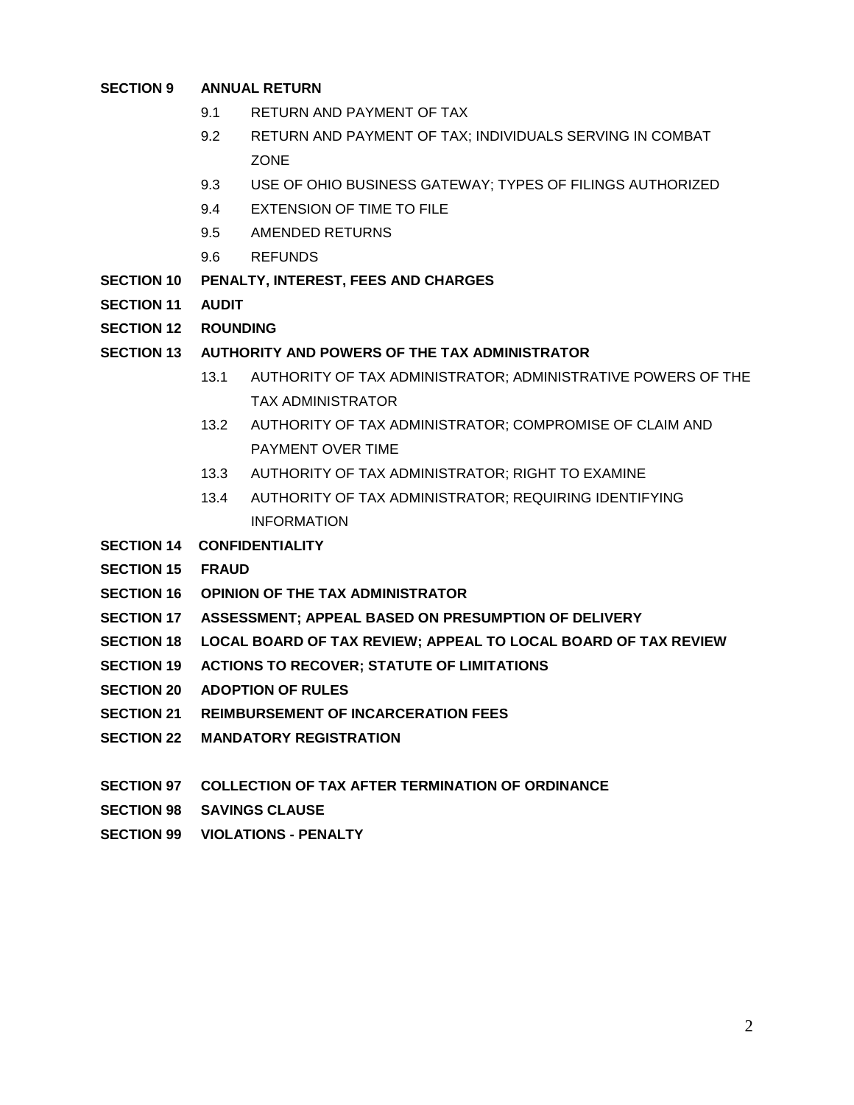#### **SECTION 9 ANNUAL RETURN**

- 9.1 RETURN AND PAYMENT OF TAX
- 9.2 RETURN AND PAYMENT OF TAX; INDIVIDUALS SERVING IN COMBAT ZONE
- 9.3 USE OF OHIO BUSINESS GATEWAY; TYPES OF FILINGS AUTHORIZED
- 9.4 EXTENSION OF TIME TO FILE
- 9.5 AMENDED RETURNS
- 9.6 REFUNDS
- **SECTION 10 PENALTY, INTEREST, FEES AND CHARGES**
- **SECTION 11 AUDIT**
- **SECTION 12 ROUNDING**
- **SECTION 13 AUTHORITY AND POWERS OF THE TAX ADMINISTRATOR**
	- 13.1 AUTHORITY OF TAX ADMINISTRATOR; ADMINISTRATIVE POWERS OF THE TAX ADMINISTRATOR
	- 13.2 AUTHORITY OF TAX ADMINISTRATOR; COMPROMISE OF CLAIM AND PAYMENT OVER TIME
	- 13.3 AUTHORITY OF TAX ADMINISTRATOR; RIGHT TO EXAMINE
	- 13.4 AUTHORITY OF TAX ADMINISTRATOR; REQUIRING IDENTIFYING INFORMATION
- **SECTION 14 CONFIDENTIALITY**
- **SECTION 15 FRAUD**
- **SECTION 16 OPINION OF THE TAX ADMINISTRATOR**
- **SECTION 17 ASSESSMENT; APPEAL BASED ON PRESUMPTION OF DELIVERY**
- **SECTION 18 LOCAL BOARD OF TAX REVIEW; APPEAL TO LOCAL BOARD OF TAX REVIEW**
- **SECTION 19 ACTIONS TO RECOVER; STATUTE OF LIMITATIONS**
- **SECTION 20 ADOPTION OF RULES**
- **SECTION 21 REIMBURSEMENT OF INCARCERATION FEES**
- **SECTION 22 MANDATORY REGISTRATION**
- **SECTION 97 COLLECTION OF TAX AFTER TERMINATION OF ORDINANCE**
- **SECTION 98 SAVINGS CLAUSE**
- **SECTION 99 VIOLATIONS - PENALTY**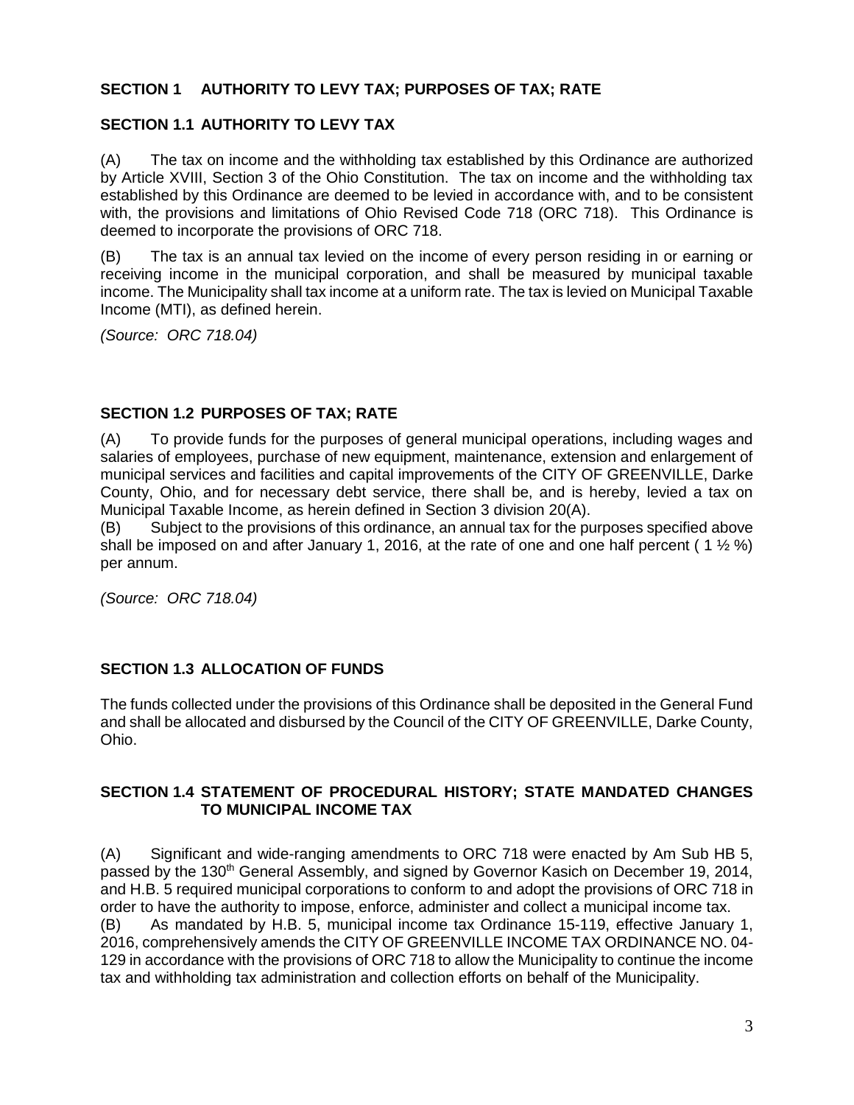## **SECTION 1 AUTHORITY TO LEVY TAX; PURPOSES OF TAX; RATE**

## **SECTION 1.1 AUTHORITY TO LEVY TAX**

(A) The tax on income and the withholding tax established by this Ordinance are authorized by Article XVIII, Section 3 of the Ohio Constitution. The tax on income and the withholding tax established by this Ordinance are deemed to be levied in accordance with, and to be consistent with, the provisions and limitations of Ohio Revised Code 718 (ORC 718). This Ordinance is deemed to incorporate the provisions of ORC 718.

(B) The tax is an annual tax levied on the income of every person residing in or earning or receiving income in the municipal corporation, and shall be measured by municipal taxable income. The Municipality shall tax income at a uniform rate. The tax is levied on Municipal Taxable Income (MTI), as defined herein.

*(Source: ORC 718.04)*

### **SECTION 1.2 PURPOSES OF TAX; RATE**

(A) To provide funds for the purposes of general municipal operations, including wages and salaries of employees, purchase of new equipment, maintenance, extension and enlargement of municipal services and facilities and capital improvements of the CITY OF GREENVILLE, Darke County, Ohio, and for necessary debt service, there shall be, and is hereby, levied a tax on Municipal Taxable Income, as herein defined in Section 3 division 20(A).

(B) Subject to the provisions of this ordinance, an annual tax for the purposes specified above shall be imposed on and after January 1, 2016, at the rate of one and one half percent (1  $\frac{1}{2}$  %) per annum.

*(Source: ORC 718.04)*

## **SECTION 1.3 ALLOCATION OF FUNDS**

The funds collected under the provisions of this Ordinance shall be deposited in the General Fund and shall be allocated and disbursed by the Council of the CITY OF GREENVILLE, Darke County, Ohio.

### **SECTION 1.4 STATEMENT OF PROCEDURAL HISTORY; STATE MANDATED CHANGES TO MUNICIPAL INCOME TAX**

(A) Significant and wide-ranging amendments to ORC 718 were enacted by Am Sub HB 5, passed by the 130<sup>th</sup> General Assembly, and signed by Governor Kasich on December 19, 2014, and H.B. 5 required municipal corporations to conform to and adopt the provisions of ORC 718 in order to have the authority to impose, enforce, administer and collect a municipal income tax. (B) As mandated by H.B. 5, municipal income tax Ordinance 15-119, effective January 1, 2016, comprehensively amends the CITY OF GREENVILLE INCOME TAX ORDINANCE NO. 04- 129 in accordance with the provisions of ORC 718 to allow the Municipality to continue the income tax and withholding tax administration and collection efforts on behalf of the Municipality.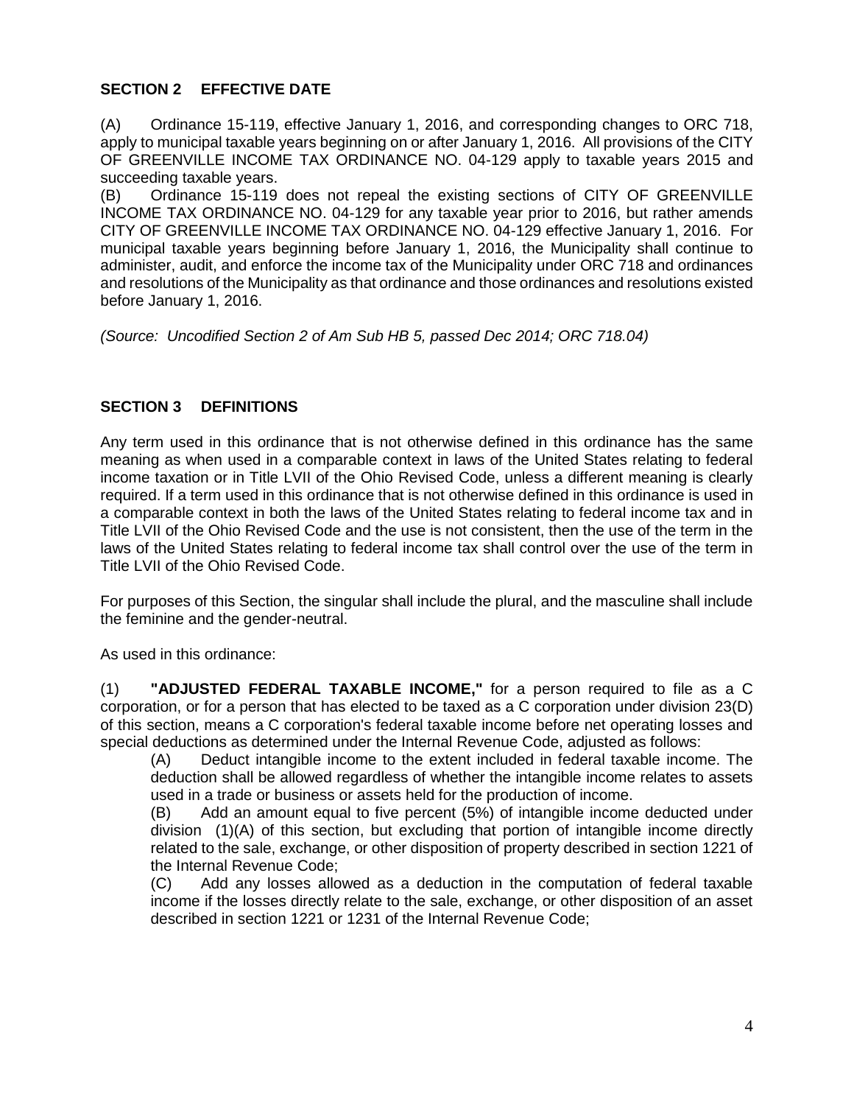# **SECTION 2 EFFECTIVE DATE**

(A) Ordinance 15-119, effective January 1, 2016, and corresponding changes to ORC 718, apply to municipal taxable years beginning on or after January 1, 2016. All provisions of the CITY OF GREENVILLE INCOME TAX ORDINANCE NO. 04-129 apply to taxable years 2015 and succeeding taxable years.

(B) Ordinance 15-119 does not repeal the existing sections of CITY OF GREENVILLE INCOME TAX ORDINANCE NO. 04-129 for any taxable year prior to 2016, but rather amends CITY OF GREENVILLE INCOME TAX ORDINANCE NO. 04-129 effective January 1, 2016. For municipal taxable years beginning before January 1, 2016, the Municipality shall continue to administer, audit, and enforce the income tax of the Municipality under ORC 718 and ordinances and resolutions of the Municipality as that ordinance and those ordinances and resolutions existed before January 1, 2016.

*(Source: Uncodified Section 2 of Am Sub HB 5, passed Dec 2014; ORC 718.04)*

## **SECTION 3 DEFINITIONS**

Any term used in this ordinance that is not otherwise defined in this ordinance has the same meaning as when used in a comparable context in laws of the United States relating to federal income taxation or in Title LVII of the Ohio Revised Code, unless a different meaning is clearly required. If a term used in this ordinance that is not otherwise defined in this ordinance is used in a comparable context in both the laws of the United States relating to federal income tax and in Title LVII of the Ohio Revised Code and the use is not consistent, then the use of the term in the laws of the United States relating to federal income tax shall control over the use of the term in Title LVII of the Ohio Revised Code.

For purposes of this Section, the singular shall include the plural, and the masculine shall include the feminine and the gender-neutral.

As used in this ordinance:

(1) **"ADJUSTED FEDERAL TAXABLE INCOME,"** for a person required to file as a C corporation, or for a person that has elected to be taxed as a C corporation under division 23(D) of this section, means a C corporation's federal taxable income before net operating losses and special deductions as determined under the Internal Revenue Code, adjusted as follows:

(A) Deduct intangible income to the extent included in federal taxable income. The deduction shall be allowed regardless of whether the intangible income relates to assets used in a trade or business or assets held for the production of income.

(B) Add an amount equal to five percent (5%) of intangible income deducted under division (1)(A) of this section, but excluding that portion of intangible income directly related to the sale, exchange, or other disposition of property described in section 1221 of the Internal Revenue Code;

(C) Add any losses allowed as a deduction in the computation of federal taxable income if the losses directly relate to the sale, exchange, or other disposition of an asset described in section 1221 or 1231 of the Internal Revenue Code;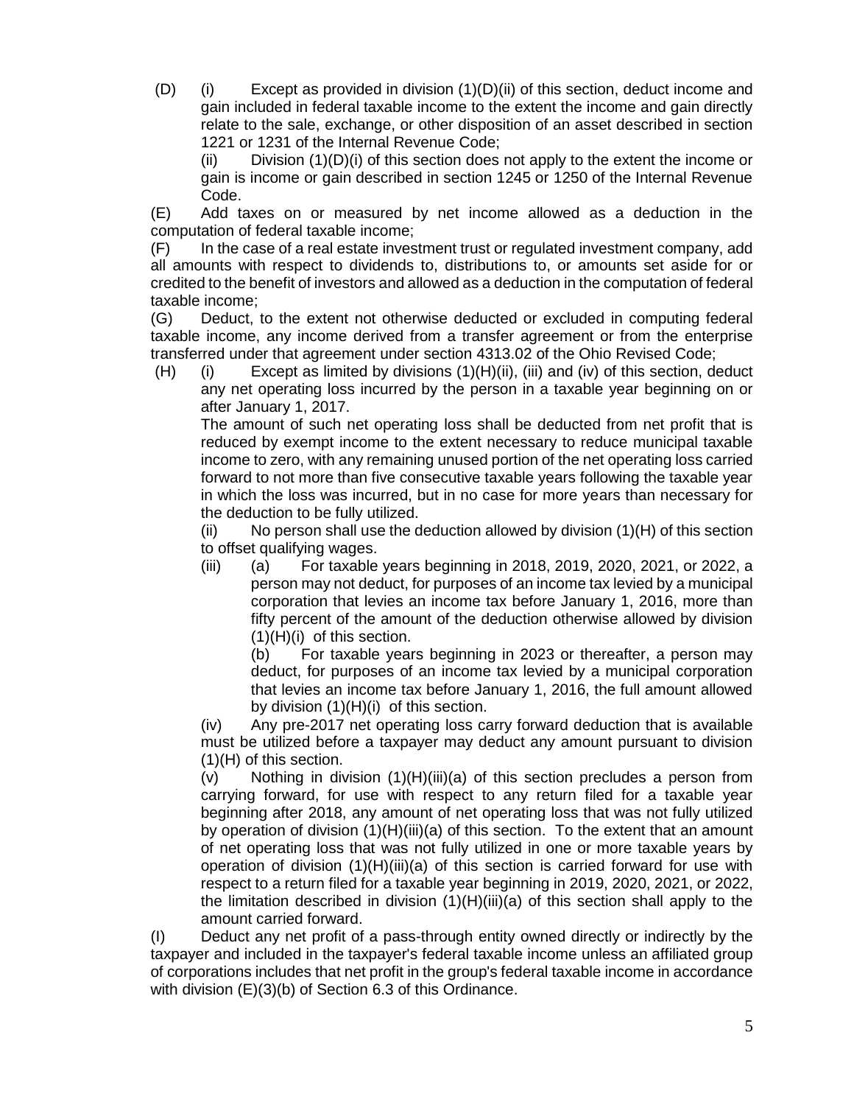(D) (i) Except as provided in division (1)(D)(ii) of this section, deduct income and gain included in federal taxable income to the extent the income and gain directly relate to the sale, exchange, or other disposition of an asset described in section 1221 or 1231 of the Internal Revenue Code;

(ii) Division  $(1)(D)(i)$  of this section does not apply to the extent the income or gain is income or gain described in section 1245 or 1250 of the Internal Revenue Code.

(E) Add taxes on or measured by net income allowed as a deduction in the computation of federal taxable income;

(F) In the case of a real estate investment trust or regulated investment company, add all amounts with respect to dividends to, distributions to, or amounts set aside for or credited to the benefit of investors and allowed as a deduction in the computation of federal taxable income;

(G) Deduct, to the extent not otherwise deducted or excluded in computing federal taxable income, any income derived from a transfer agreement or from the enterprise transferred under that agreement under section [4313.02](http://codes.ohio.gov/orc/4313.02) of the Ohio Revised Code;

(H) (i) Except as limited by divisions (1)(H)(ii), (iii) and (iv) of this section, deduct any net operating loss incurred by the person in a taxable year beginning on or after January 1, 2017.

The amount of such net operating loss shall be deducted from net profit that is reduced by exempt income to the extent necessary to reduce municipal taxable income to zero, with any remaining unused portion of the net operating loss carried forward to not more than five consecutive taxable years following the taxable year in which the loss was incurred, but in no case for more years than necessary for the deduction to be fully utilized.

 $(i)$  No person shall use the deduction allowed by division  $(1)(H)$  of this section to offset qualifying wages.

(iii) (a) For taxable years beginning in 2018, 2019, 2020, 2021, or 2022, a person may not deduct, for purposes of an income tax levied by a municipal corporation that levies an income tax before January 1, 2016, more than fifty percent of the amount of the deduction otherwise allowed by division (1)(H)(i) of this section.

(b) For taxable years beginning in 2023 or thereafter, a person may deduct, for purposes of an income tax levied by a municipal corporation that levies an income tax before January 1, 2016, the full amount allowed by division (1)(H)(i) of this section.

(iv) Any pre-2017 net operating loss carry forward deduction that is available must be utilized before a taxpayer may deduct any amount pursuant to division (1)(H) of this section.

 $(v)$  Nothing in division  $(1)(H)(iii)(a)$  of this section precludes a person from carrying forward, for use with respect to any return filed for a taxable year beginning after 2018, any amount of net operating loss that was not fully utilized by operation of division  $(1)(H)(iii)(a)$  of this section. To the extent that an amount of net operating loss that was not fully utilized in one or more taxable years by operation of division  $(1)(H)(iii)(a)$  of this section is carried forward for use with respect to a return filed for a taxable year beginning in 2019, 2020, 2021, or 2022, the limitation described in division (1)(H)(iii)(a) of this section shall apply to the amount carried forward.

(I) Deduct any net profit of a pass-through entity owned directly or indirectly by the taxpayer and included in the taxpayer's federal taxable income unless an affiliated group of corporations includes that net profit in the group's federal taxable income in accordance with division (E)(3)(b) of Section 6.3 of this Ordinance.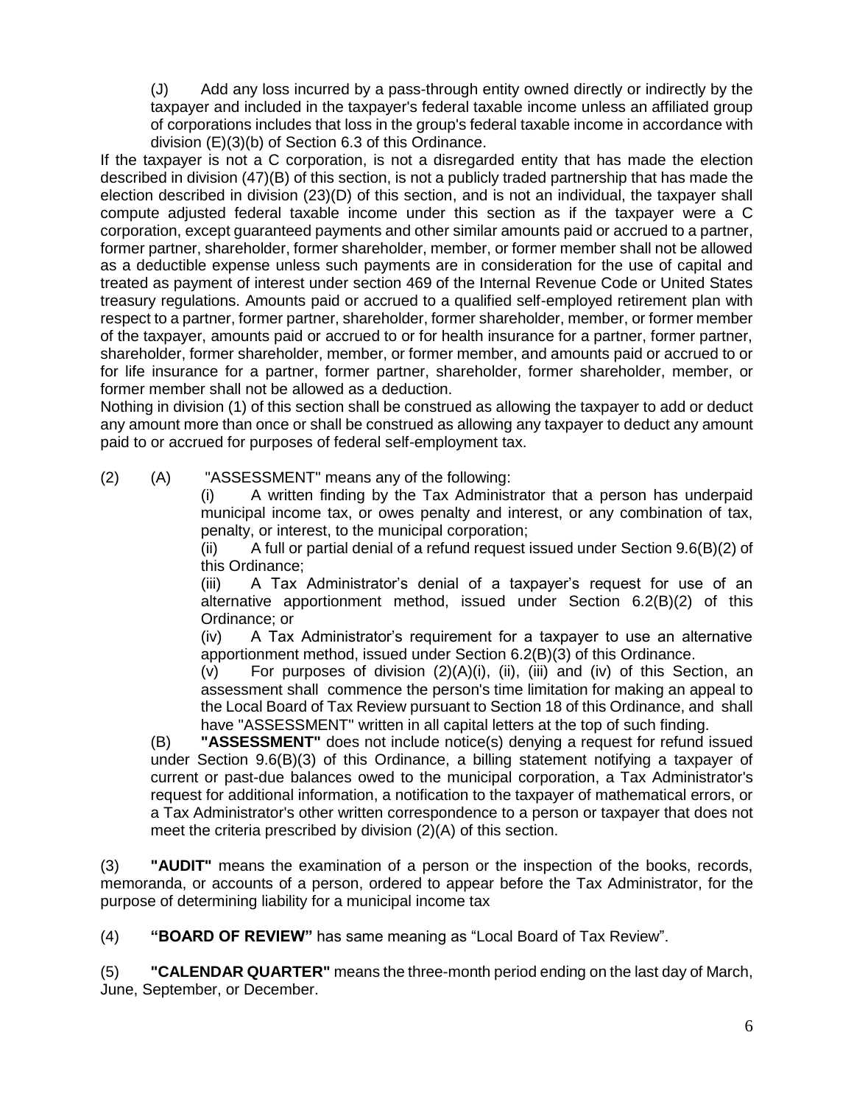(J) Add any loss incurred by a pass-through entity owned directly or indirectly by the taxpayer and included in the taxpayer's federal taxable income unless an affiliated group of corporations includes that loss in the group's federal taxable income in accordance with division (E)(3)(b) of Section 6.3 of this Ordinance.

If the taxpayer is not a C corporation, is not a disregarded entity that has made the election described in division (47)(B) of this section, is not a publicly traded partnership that has made the election described in division (23)(D) of this section, and is not an individual, the taxpayer shall compute adjusted federal taxable income under this section as if the taxpayer were a C corporation, except guaranteed payments and other similar amounts paid or accrued to a partner, former partner, shareholder, former shareholder, member, or former member shall not be allowed as a deductible expense unless such payments are in consideration for the use of capital and treated as payment of interest under section 469 of the Internal Revenue Code or United States treasury regulations. Amounts paid or accrued to a qualified self-employed retirement plan with respect to a partner, former partner, shareholder, former shareholder, member, or former member of the taxpayer, amounts paid or accrued to or for health insurance for a partner, former partner, shareholder, former shareholder, member, or former member, and amounts paid or accrued to or for life insurance for a partner, former partner, shareholder, former shareholder, member, or former member shall not be allowed as a deduction.

Nothing in division (1) of this section shall be construed as allowing the taxpayer to add or deduct any amount more than once or shall be construed as allowing any taxpayer to deduct any amount paid to or accrued for purposes of federal self-employment tax.

(2) (A) "ASSESSMENT" means any of the following:

(i) A written finding by the Tax Administrator that a person has underpaid municipal income tax, or owes penalty and interest, or any combination of tax, penalty, or interest, to the municipal corporation;

(ii) A full or partial denial of a refund request issued under Section 9.6(B)(2) of this Ordinance;

(iii) A Tax Administrator's denial of a taxpayer's request for use of an alternative apportionment method, issued under Section 6.2(B)(2) of this Ordinance; or

(iv) A Tax Administrator's requirement for a taxpayer to use an alternative apportionment method, issued under Section 6.2(B)(3) of this Ordinance.

(v) For purposes of division (2)(A)(i), (ii), (iii) and (iv) of this Section, an assessment shall commence the person's time limitation for making an appeal to the Local Board of Tax Review pursuant to Section 18 of this Ordinance, and shall have "ASSESSMENT" written in all capital letters at the top of such finding.

(B) **"ASSESSMENT"** does not include notice(s) denying a request for refund issued under Section 9.6(B)(3) of this Ordinance, a billing statement notifying a taxpayer of current or past-due balances owed to the municipal corporation, a Tax Administrator's request for additional information, a notification to the taxpayer of mathematical errors, or a Tax Administrator's other written correspondence to a person or taxpayer that does not meet the criteria prescribed by division (2)(A) of this section.

(3) **"AUDIT"** means the examination of a person or the inspection of the books, records, memoranda, or accounts of a person, ordered to appear before the Tax Administrator, for the purpose of determining liability for a municipal income tax

(4) **"BOARD OF REVIEW"** has same meaning as "Local Board of Tax Review".

(5) **"CALENDAR QUARTER"** means the three-month period ending on the last day of March, June, September, or December.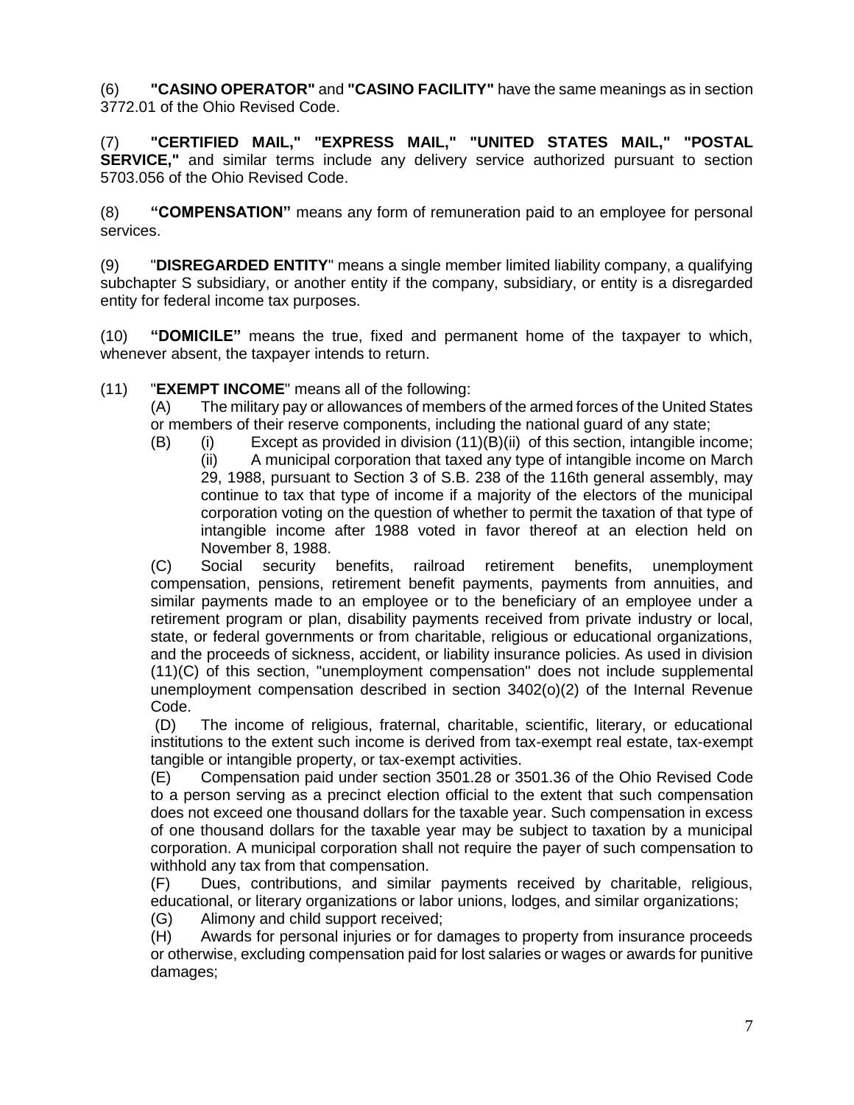(6) **"CASINO OPERATOR"** and **"CASINO FACILITY"** have the same meanings as in section [3772.01](http://codes.ohio.gov/orc/3772.01) of the Ohio Revised Code.

(7) **"CERTIFIED MAIL," "EXPRESS MAIL," "UNITED STATES MAIL," "POSTAL SERVICE,"** and similar terms include any delivery service authorized pursuant to section [5703.056](http://codes.ohio.gov/orc/5703.056) of the Ohio Revised Code.

(8) **"COMPENSATION"** means any form of remuneration paid to an employee for personal services.

(9) "**DISREGARDED ENTITY**" means a single member limited liability company, a qualifying subchapter S subsidiary, or another entity if the company, subsidiary, or entity is a disregarded entity for federal income tax purposes.

(10) **"DOMICILE"** means the true, fixed and permanent home of the taxpayer to which, whenever absent, the taxpayer intends to return.

## (11) "**EXEMPT INCOME**" means all of the following:

(A) The military pay or allowances of members of the armed forces of the United States or members of their reserve components, including the national guard of any state;

 $(B)$  (i) Except as provided in division  $(11)(B)(ii)$  of this section, intangible income;

(ii) A municipal corporation that taxed any type of intangible income on March 29, 1988, pursuant to Section 3 of S.B. 238 of the 116th general assembly, may continue to tax that type of income if a majority of the electors of the municipal corporation voting on the question of whether to permit the taxation of that type of intangible income after 1988 voted in favor thereof at an election held on November 8, 1988.

(C) Social security benefits, railroad retirement benefits, unemployment compensation, pensions, retirement benefit payments, payments from annuities, and similar payments made to an employee or to the beneficiary of an employee under a retirement program or plan, disability payments received from private industry or local, state, or federal governments or from charitable, religious or educational organizations, and the proceeds of sickness, accident, or liability insurance policies. As used in division (11)(C) of this section, "unemployment compensation" does not include supplemental unemployment compensation described in section 3402(o)(2) of the Internal Revenue Code.

(D) The income of religious, fraternal, charitable, scientific, literary, or educational institutions to the extent such income is derived from tax-exempt real estate, tax-exempt tangible or intangible property, or tax-exempt activities.

(E) Compensation paid under section [3501.28](http://codes.ohio.gov/orc/3501.28) or [3501.36](http://codes.ohio.gov/orc/3501.36) of the Ohio Revised Code to a person serving as a precinct election official to the extent that such compensation does not exceed one thousand dollars for the taxable year. Such compensation in excess of one thousand dollars for the taxable year may be subject to taxation by a municipal corporation. A municipal corporation shall not require the payer of such compensation to withhold any tax from that compensation.

(F) Dues, contributions, and similar payments received by charitable, religious, educational, or literary organizations or labor unions, lodges, and similar organizations;

(G) Alimony and child support received;

(H) Awards for personal injuries or for damages to property from insurance proceeds or otherwise, excluding compensation paid for lost salaries or wages or awards for punitive damages;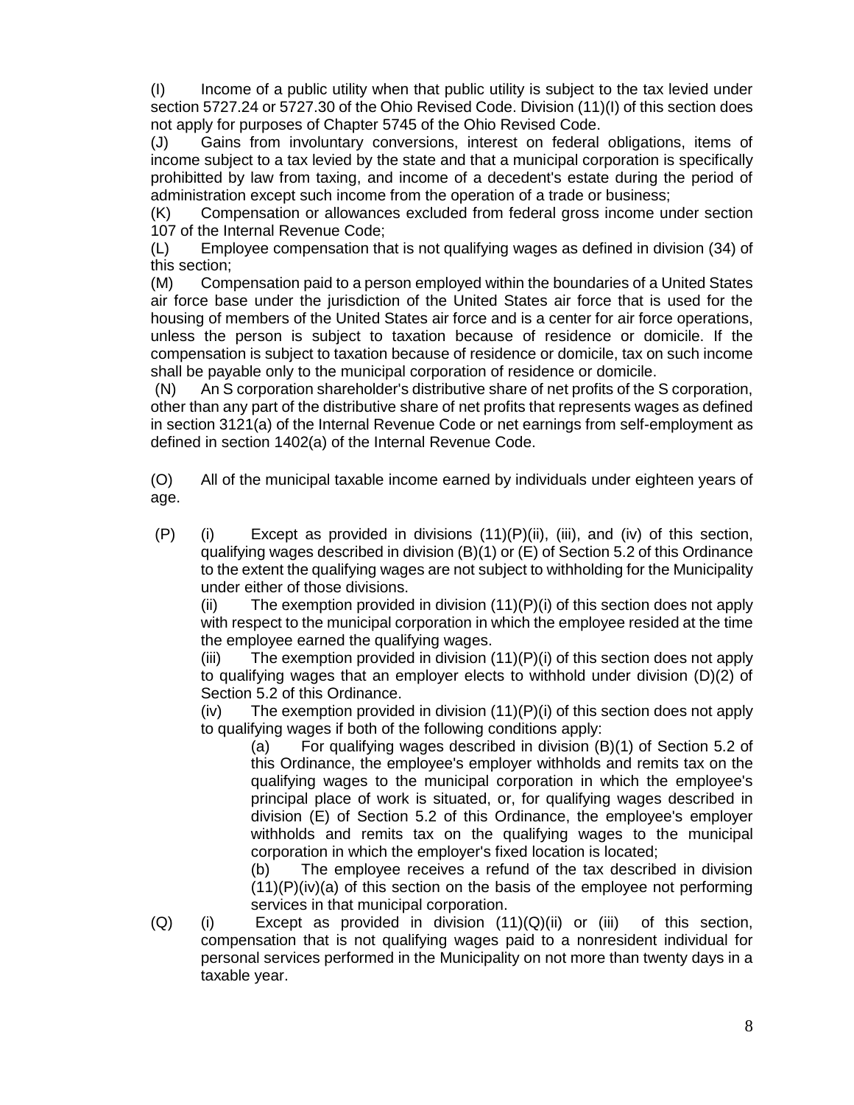(I) Income of a public utility when that public utility is subject to the tax levied under section [5727.24](http://codes.ohio.gov/orc/5727.24) or [5727.30](http://codes.ohio.gov/orc/5727.30) of the Ohio Revised Code. Division (11)(I) of this section does not apply for purposes of Chapter 5745 of the Ohio Revised Code.

(J) Gains from involuntary conversions, interest on federal obligations, items of income subject to a tax levied by the state and that a municipal corporation is specifically prohibitted by law from taxing, and income of a decedent's estate during the period of administration except such income from the operation of a trade or business;

(K) Compensation or allowances excluded from federal gross income under section 107 of the Internal Revenue Code;

(L) Employee compensation that is not qualifying wages as defined in division (34) of this section;

(M) Compensation paid to a person employed within the boundaries of a United States air force base under the jurisdiction of the United States air force that is used for the housing of members of the United States air force and is a center for air force operations, unless the person is subject to taxation because of residence or domicile. If the compensation is subject to taxation because of residence or domicile, tax on such income shall be payable only to the municipal corporation of residence or domicile.

(N) An S corporation shareholder's distributive share of net profits of the S corporation, other than any part of the distributive share of net profits that represents wages as defined in section 3121(a) of the Internal Revenue Code or net earnings from self-employment as defined in section 1402(a) of the Internal Revenue Code.

(O) All of the municipal taxable income earned by individuals under eighteen years of age.

(P) (i) Except as provided in divisions (11)(P)(ii), (iii), and (iv) of this section, qualifying wages described in division (B)(1) or (E) of Section 5.2 of this Ordinance to the extent the qualifying wages are not subject to withholding for the Municipality under either of those divisions.

(ii) The exemption provided in division  $(11)(P)(i)$  of this section does not apply with respect to the municipal corporation in which the employee resided at the time the employee earned the qualifying wages.

(iii) The exemption provided in division  $(11)(P)(i)$  of this section does not apply to qualifying wages that an employer elects to withhold under division (D)(2) of Section 5.2 of this Ordinance.

 $(iv)$  The exemption provided in division  $(11)(P)(i)$  of this section does not apply to qualifying wages if both of the following conditions apply:

(a) For qualifying wages described in division (B)(1) of Section 5.2 of this Ordinance, the employee's employer withholds and remits tax on the qualifying wages to the municipal corporation in which the employee's principal place of work is situated, or, for qualifying wages described in division (E) of Section 5.2 of this Ordinance, the employee's employer withholds and remits tax on the qualifying wages to the municipal corporation in which the employer's fixed location is located;

(b) The employee receives a refund of the tax described in division  $(11)(P)(iv)(a)$  of this section on the basis of the employee not performing services in that municipal corporation.

 $(Q)$  (i) Except as provided in division  $(11)(Q)(ii)$  or (iii) of this section, compensation that is not qualifying wages paid to a nonresident individual for personal services performed in the Municipality on not more than twenty days in a taxable year.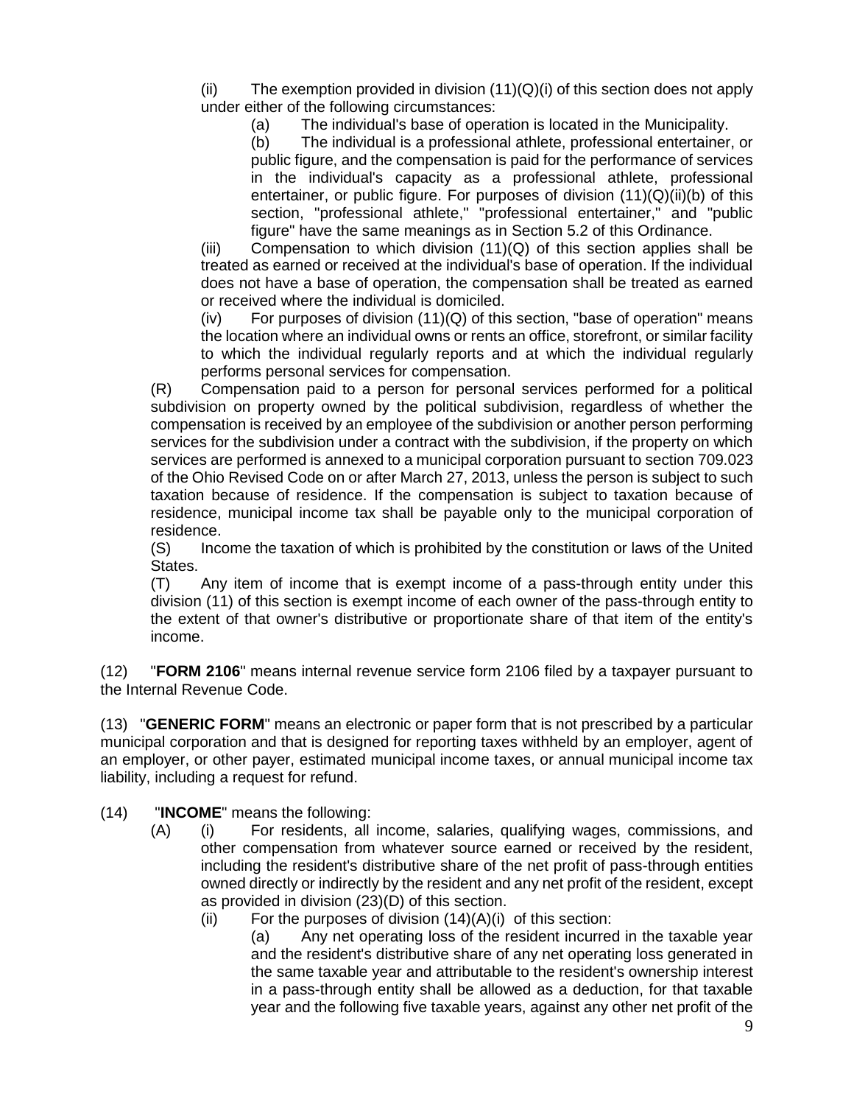(ii) The exemption provided in division  $(11)(Q)(i)$  of this section does not apply under either of the following circumstances:

(a) The individual's base of operation is located in the Municipality.

(b) The individual is a professional athlete, professional entertainer, or public figure, and the compensation is paid for the performance of services in the individual's capacity as a professional athlete, professional entertainer, or public figure. For purposes of division  $(11)(Q)(ii)(b)$  of this section, "professional athlete," "professional entertainer," and "public figure" have the same meanings as in Section 5.2 of this Ordinance.

 $(iii)$  Compensation to which division  $(11)(Q)$  of this section applies shall be treated as earned or received at the individual's base of operation. If the individual does not have a base of operation, the compensation shall be treated as earned or received where the individual is domiciled.

 $(iv)$  For purposes of division  $(11)(Q)$  of this section, "base of operation" means the location where an individual owns or rents an office, storefront, or similar facility to which the individual regularly reports and at which the individual regularly performs personal services for compensation.

(R) Compensation paid to a person for personal services performed for a political subdivision on property owned by the political subdivision, regardless of whether the compensation is received by an employee of the subdivision or another person performing services for the subdivision under a contract with the subdivision, if the property on which services are performed is annexed to a municipal corporation pursuant to section [709.023](http://codes.ohio.gov/orc/709.023) of the Ohio Revised Code on or after March 27, 2013, unless the person is subject to such taxation because of residence. If the compensation is subject to taxation because of residence, municipal income tax shall be payable only to the municipal corporation of residence.

(S) Income the taxation of which is prohibited by the constitution or laws of the United States.

(T) Any item of income that is exempt income of a pass-through entity under this division (11) of this section is exempt income of each owner of the pass-through entity to the extent of that owner's distributive or proportionate share of that item of the entity's income.

(12) "**FORM 2106**" means internal revenue service form 2106 filed by a taxpayer pursuant to the Internal Revenue Code.

(13) "**GENERIC FORM**" means an electronic or paper form that is not prescribed by a particular municipal corporation and that is designed for reporting taxes withheld by an employer, agent of an employer, or other payer, estimated municipal income taxes, or annual municipal income tax liability, including a request for refund.

- (14) "**INCOME**" means the following:
	- (A) (i) For residents, all income, salaries, qualifying wages, commissions, and other compensation from whatever source earned or received by the resident, including the resident's distributive share of the net profit of pass-through entities owned directly or indirectly by the resident and any net profit of the resident, except as provided in division (23)(D) of this section.
		- (ii) For the purposes of division  $(14)(A)(i)$  of this section:

(a) Any net operating loss of the resident incurred in the taxable year and the resident's distributive share of any net operating loss generated in the same taxable year and attributable to the resident's ownership interest in a pass-through entity shall be allowed as a deduction, for that taxable year and the following five taxable years, against any other net profit of the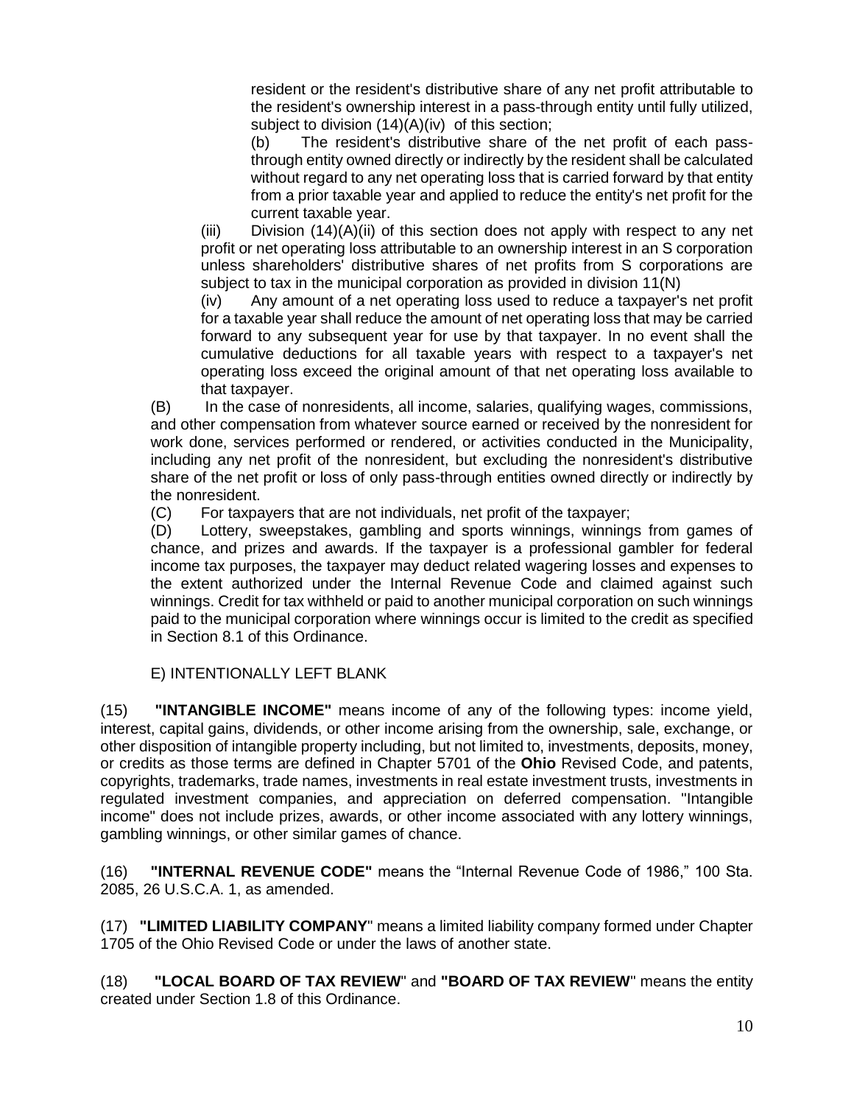resident or the resident's distributive share of any net profit attributable to the resident's ownership interest in a pass-through entity until fully utilized, subject to division  $(14)(A)(iv)$  of this section:

(b) The resident's distributive share of the net profit of each passthrough entity owned directly or indirectly by the resident shall be calculated without regard to any net operating loss that is carried forward by that entity from a prior taxable year and applied to reduce the entity's net profit for the current taxable year.

(iii) Division  $(14)(A)(ii)$  of this section does not apply with respect to any net profit or net operating loss attributable to an ownership interest in an S corporation unless shareholders' distributive shares of net profits from S corporations are subject to tax in the municipal corporation as provided in division 11(N)

(iv) Any amount of a net operating loss used to reduce a taxpayer's net profit for a taxable year shall reduce the amount of net operating loss that may be carried forward to any subsequent year for use by that taxpayer. In no event shall the cumulative deductions for all taxable years with respect to a taxpayer's net operating loss exceed the original amount of that net operating loss available to that taxpayer.

(B) In the case of nonresidents, all income, salaries, qualifying wages, commissions, and other compensation from whatever source earned or received by the nonresident for work done, services performed or rendered, or activities conducted in the Municipality, including any net profit of the nonresident, but excluding the nonresident's distributive share of the net profit or loss of only pass-through entities owned directly or indirectly by the nonresident.

(C) For taxpayers that are not individuals, net profit of the taxpayer;

(D) Lottery, sweepstakes, gambling and sports winnings, winnings from games of chance, and prizes and awards. If the taxpayer is a professional gambler for federal income tax purposes, the taxpayer may deduct related wagering losses and expenses to the extent authorized under the Internal Revenue Code and claimed against such winnings. Credit for tax withheld or paid to another municipal corporation on such winnings paid to the municipal corporation where winnings occur is limited to the credit as specified in Section 8.1 of this Ordinance.

### E) INTENTIONALLY LEFT BLANK

(15) **"INTANGIBLE INCOME"** means income of any of the following types: income yield, interest, capital gains, dividends, or other income arising from the ownership, sale, exchange, or other disposition of intangible property including, but not limited to, investments, deposits, money, or credits as those terms are defined in Chapter 5701 of the **Ohio** Revised Code, and patents, copyrights, trademarks, trade names, investments in real estate investment trusts, investments in regulated investment companies, and appreciation on deferred compensation. "Intangible income" does not include prizes, awards, or other income associated with any lottery winnings, gambling winnings, or other similar games of chance.

(16) **"INTERNAL REVENUE CODE"** means the "Internal Revenue Code of 1986," 100 Sta. 2085, 26 U.S.C.A. 1, as amended.

(17) **"LIMITED LIABILITY COMPANY**" means a limited liability company formed under Chapter 1705 of the Ohio Revised Code or under the laws of another state.

(18) **"LOCAL BOARD OF TAX REVIEW**" and **"BOARD OF TAX REVIEW**" means the entity created under Section 1.8 of this Ordinance.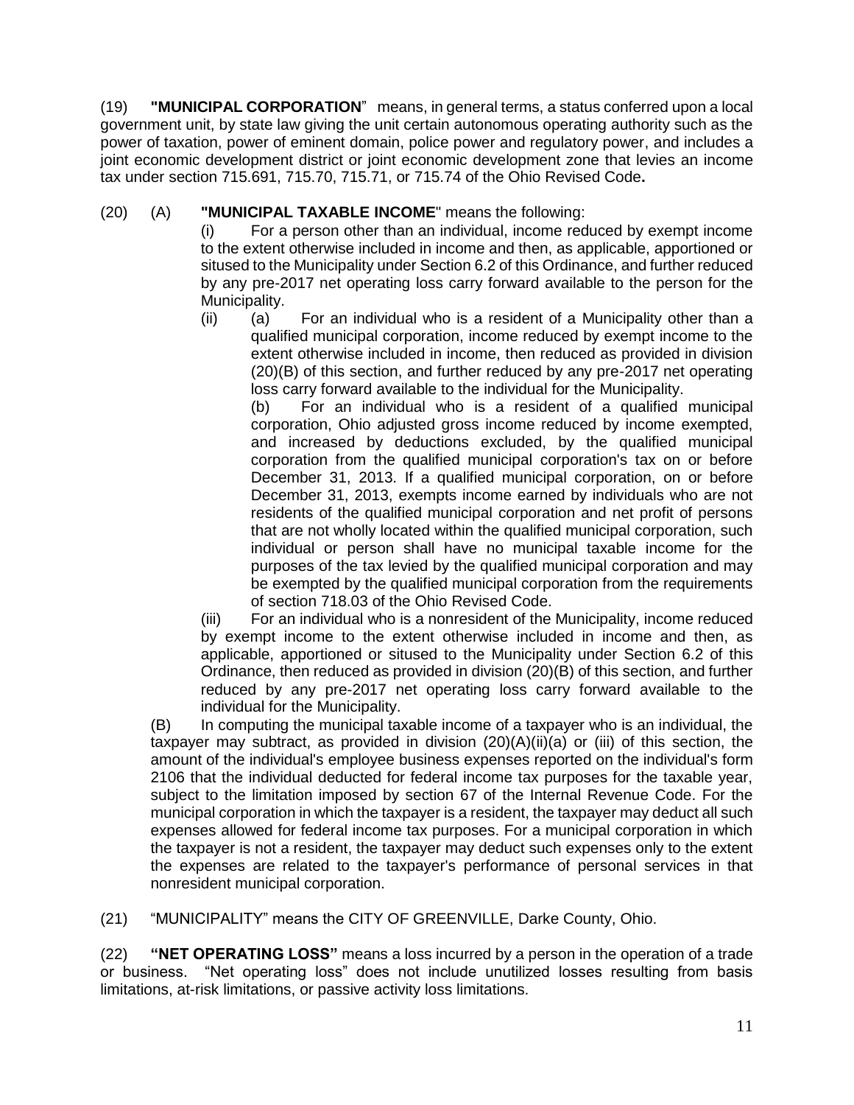(19) **"MUNICIPAL CORPORATION**" means, in general terms, a status conferred upon a local government unit, by state law giving the unit certain autonomous operating authority such as the power of taxation, power of eminent domain, police power and regulatory power, and includes a joint economic development district or joint economic development zone that levies an income tax under section 715.691, 715.70, 715.71, or 715.74 of the Ohio Revised Code**.**

## (20) (A) **"MUNICIPAL TAXABLE INCOME**" means the following:

(i) For a person other than an individual, income reduced by exempt income to the extent otherwise included in income and then, as applicable, apportioned or sitused to the Municipality under Section 6.2 of this Ordinance, and further reduced by any pre-2017 net operating loss carry forward available to the person for the Municipality.

(ii) (a) For an individual who is a resident of a Municipality other than a qualified municipal corporation, income reduced by exempt income to the extent otherwise included in income, then reduced as provided in division (20)(B) of this section, and further reduced by any pre-2017 net operating loss carry forward available to the individual for the Municipality.

(b) For an individual who is a resident of a qualified municipal corporation, Ohio adjusted gross income reduced by income exempted, and increased by deductions excluded, by the qualified municipal corporation from the qualified municipal corporation's tax on or before December 31, 2013. If a qualified municipal corporation, on or before December 31, 2013, exempts income earned by individuals who are not residents of the qualified municipal corporation and net profit of persons that are not wholly located within the qualified municipal corporation, such individual or person shall have no municipal taxable income for the purposes of the tax levied by the qualified municipal corporation and may be exempted by the qualified municipal corporation from the requirements of section [718.03](http://codes.ohio.gov/orc/718.03) of the Ohio Revised Code.

(iii) For an individual who is a nonresident of the Municipality, income reduced by exempt income to the extent otherwise included in income and then, as applicable, apportioned or sitused to the Municipality under Section 6.2 of this Ordinance, then reduced as provided in division (20)(B) of this section, and further reduced by any pre-2017 net operating loss carry forward available to the individual for the Municipality.

(B) In computing the municipal taxable income of a taxpayer who is an individual, the taxpayer may subtract, as provided in division (20)(A)(ii)(a) or (iii) of this section, the amount of the individual's employee business expenses reported on the individual's form 2106 that the individual deducted for federal income tax purposes for the taxable year, subject to the limitation imposed by section 67 of the Internal Revenue Code. For the municipal corporation in which the taxpayer is a resident, the taxpayer may deduct all such expenses allowed for federal income tax purposes. For a municipal corporation in which the taxpayer is not a resident, the taxpayer may deduct such expenses only to the extent the expenses are related to the taxpayer's performance of personal services in that nonresident municipal corporation.

(21) "MUNICIPALITY" means the CITY OF GREENVILLE, Darke County, Ohio.

(22) **"NET OPERATING LOSS"** means a loss incurred by a person in the operation of a trade or business. "Net operating loss" does not include unutilized losses resulting from basis limitations, at-risk limitations, or passive activity loss limitations.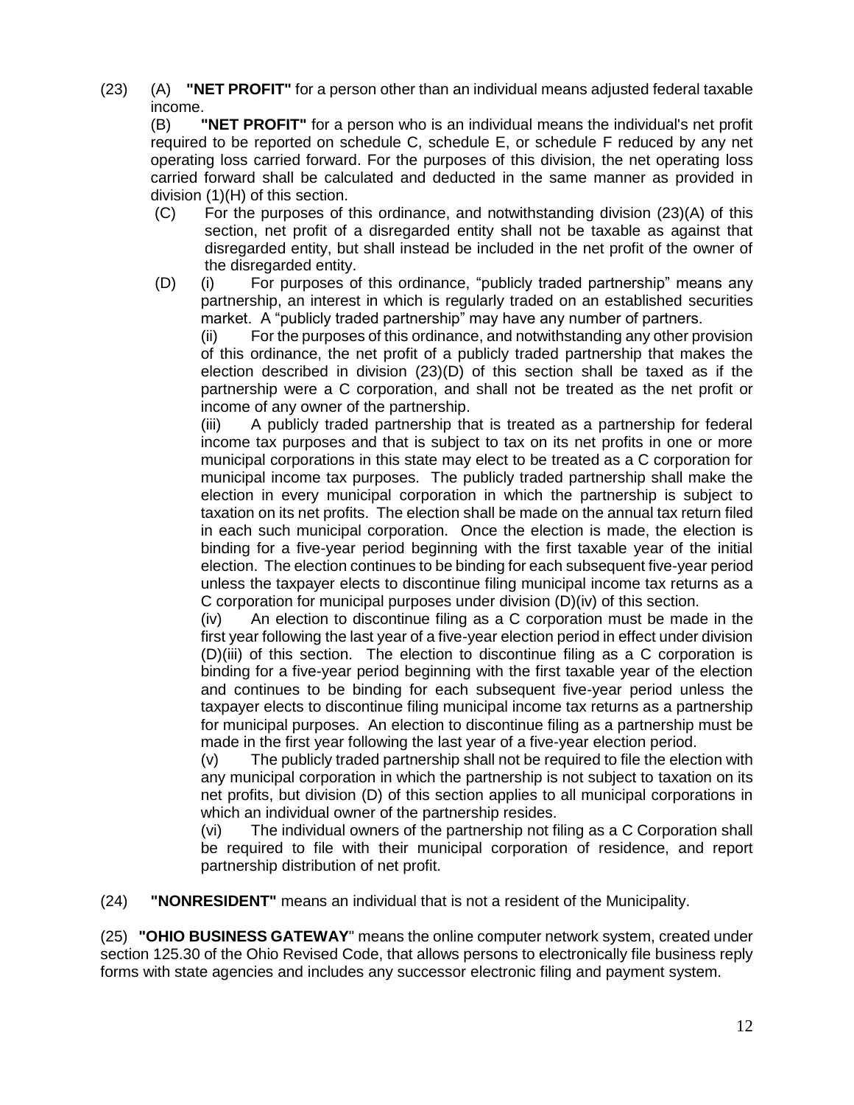(23) (A) **"NET PROFIT"** for a person other than an individual means adjusted federal taxable income.

(B) **"NET PROFIT"** for a person who is an individual means the individual's net profit required to be reported on schedule C, schedule E, or schedule F reduced by any net operating loss carried forward. For the purposes of this division, the net operating loss carried forward shall be calculated and deducted in the same manner as provided in division (1)(H) of this section.

- (C) For the purposes of this ordinance, and notwithstanding division (23)(A) of this section, net profit of a disregarded entity shall not be taxable as against that disregarded entity, but shall instead be included in the net profit of the owner of the disregarded entity.
- (D) (i) For purposes of this ordinance, "publicly traded partnership" means any partnership, an interest in which is regularly traded on an established securities market. A "publicly traded partnership" may have any number of partners.

(ii) For the purposes of this ordinance, and notwithstanding any other provision of this ordinance, the net profit of a publicly traded partnership that makes the election described in division  $(23)(D)$  of this section shall be taxed as if the partnership were a C corporation, and shall not be treated as the net profit or income of any owner of the partnership.

(iii) A publicly traded partnership that is treated as a partnership for federal income tax purposes and that is subject to tax on its net profits in one or more municipal corporations in this state may elect to be treated as a C corporation for municipal income tax purposes. The publicly traded partnership shall make the election in every municipal corporation in which the partnership is subject to taxation on its net profits. The election shall be made on the annual tax return filed in each such municipal corporation. Once the election is made, the election is binding for a five-year period beginning with the first taxable year of the initial election. The election continues to be binding for each subsequent five-year period unless the taxpayer elects to discontinue filing municipal income tax returns as a C corporation for municipal purposes under division (D)(iv) of this section.

(iv) An election to discontinue filing as a C corporation must be made in the first year following the last year of a five-year election period in effect under division (D)(iii) of this section. The election to discontinue filing as a C corporation is binding for a five-year period beginning with the first taxable year of the election and continues to be binding for each subsequent five-year period unless the taxpayer elects to discontinue filing municipal income tax returns as a partnership for municipal purposes. An election to discontinue filing as a partnership must be made in the first year following the last year of a five-year election period.

(v) The publicly traded partnership shall not be required to file the election with any municipal corporation in which the partnership is not subject to taxation on its net profits, but division (D) of this section applies to all municipal corporations in which an individual owner of the partnership resides.

(vi) The individual owners of the partnership not filing as a C Corporation shall be required to file with their municipal corporation of residence, and report partnership distribution of net profit.

(24) **"NONRESIDENT"** means an individual that is not a resident of the Municipality.

(25) **"OHIO BUSINESS GATEWAY**" means the online computer network system, created under section [125.30](http://codes.ohio.gov/orc/125.30) of the Ohio Revised Code, that allows persons to electronically file business reply forms with state agencies and includes any successor electronic filing and payment system.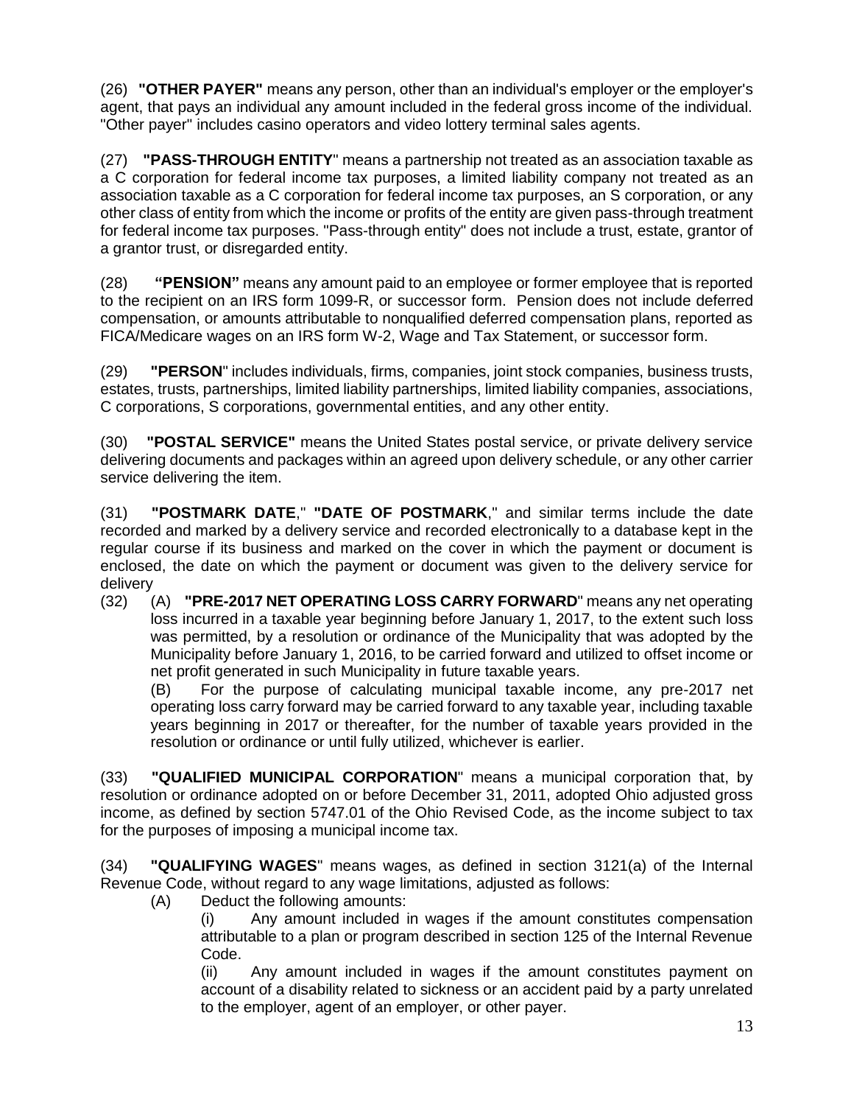(26) **"OTHER PAYER"** means any person, other than an individual's employer or the employer's agent, that pays an individual any amount included in the federal gross income of the individual. "Other payer" includes casino operators and video lottery terminal sales agents.

(27) **"PASS-THROUGH ENTITY**" means a partnership not treated as an association taxable as a C corporation for federal income tax purposes, a limited liability company not treated as an association taxable as a C corporation for federal income tax purposes, an S corporation, or any other class of entity from which the income or profits of the entity are given pass-through treatment for federal income tax purposes. "Pass-through entity" does not include a trust, estate, grantor of a grantor trust, or disregarded entity.

(28) **"PENSION"** means any amount paid to an employee or former employee that is reported to the recipient on an IRS form 1099-R, or successor form. Pension does not include deferred compensation, or amounts attributable to nonqualified deferred compensation plans, reported as FICA/Medicare wages on an IRS form W-2, Wage and Tax Statement, or successor form.

(29) **"PERSON**" includes individuals, firms, companies, joint stock companies, business trusts, estates, trusts, partnerships, limited liability partnerships, limited liability companies, associations, C corporations, S corporations, governmental entities, and any other entity.

(30) **"POSTAL SERVICE"** means the United States postal service, or private delivery service delivering documents and packages within an agreed upon delivery schedule, or any other carrier service delivering the item.

(31) **"POSTMARK DATE**," **"DATE OF POSTMARK**," and similar terms include the date recorded and marked by a delivery service and recorded electronically to a database kept in the regular course if its business and marked on the cover in which the payment or document is enclosed, the date on which the payment or document was given to the delivery service for delivery

(32) (A) **"PRE-2017 NET OPERATING LOSS CARRY FORWARD**" means any net operating loss incurred in a taxable year beginning before January 1, 2017, to the extent such loss was permitted, by a resolution or ordinance of the Municipality that was adopted by the Municipality before January 1, 2016, to be carried forward and utilized to offset income or net profit generated in such Municipality in future taxable years.

(B) For the purpose of calculating municipal taxable income, any pre-2017 net operating loss carry forward may be carried forward to any taxable year, including taxable years beginning in 2017 or thereafter, for the number of taxable years provided in the resolution or ordinance or until fully utilized, whichever is earlier.

(33) **"QUALIFIED MUNICIPAL CORPORATION**" means a municipal corporation that, by resolution or ordinance adopted on or before December 31, 2011, adopted Ohio adjusted gross income, as defined by section [5747.01](http://codes.ohio.gov/orc/5747.01) of the Ohio Revised Code, as the income subject to tax for the purposes of imposing a municipal income tax.

(34) **"QUALIFYING WAGES**" means wages, as defined in section 3121(a) of the Internal Revenue Code, without regard to any wage limitations, adjusted as follows:

(A) Deduct the following amounts:

(i) Any amount included in wages if the amount constitutes compensation attributable to a plan or program described in section 125 of the Internal Revenue Code.

(ii) Any amount included in wages if the amount constitutes payment on account of a disability related to sickness or an accident paid by a party unrelated to the employer, agent of an employer, or other payer.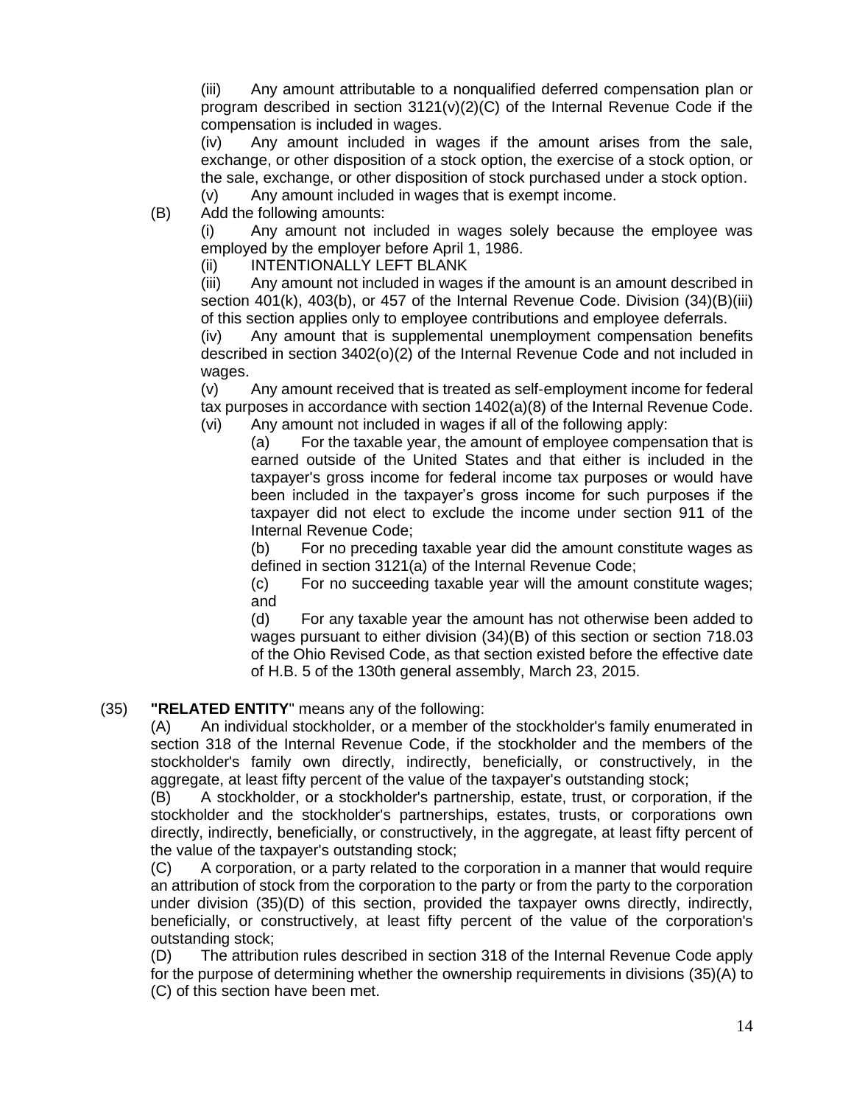(iii) Any amount attributable to a nonqualified deferred compensation plan or program described in section 3121(v)(2)(C) of the Internal Revenue Code if the compensation is included in wages.

(iv) Any amount included in wages if the amount arises from the sale, exchange, or other disposition of a stock option, the exercise of a stock option, or the sale, exchange, or other disposition of stock purchased under a stock option.

(v) Any amount included in wages that is exempt income.

(B) Add the following amounts:

(i) Any amount not included in wages solely because the employee was employed by the employer before April 1, 1986.

(ii) INTENTIONALLY LEFT BLANK

(iii) Any amount not included in wages if the amount is an amount described in section 401(k), 403(b), or 457 of the Internal Revenue Code. Division (34)(B)(iii) of this section applies only to employee contributions and employee deferrals.

(iv) Any amount that is supplemental unemployment compensation benefits described in section 3402(o)(2) of the Internal Revenue Code and not included in wages.

(v) Any amount received that is treated as self-employment income for federal tax purposes in accordance with section 1402(a)(8) of the Internal Revenue Code. (vi) Any amount not included in wages if all of the following apply:

(a) For the taxable year, the amount of employee compensation that is earned outside of the United States and that either is included in the taxpayer's gross income for federal income tax purposes or would have been included in the taxpayer's gross income for such purposes if the taxpayer did not elect to exclude the income under section 911 of the Internal Revenue Code;

(b) For no preceding taxable year did the amount constitute wages as defined in section 3121(a) of the Internal Revenue Code;

(c) For no succeeding taxable year will the amount constitute wages; and

(d) For any taxable year the amount has not otherwise been added to wages pursuant to either division (34)(B) of this section or section [718.03](http://codes.ohio.gov/orc/718.03) of the Ohio Revised Code, as that section existed before the effective date of H.B. 5 of the 130th general assembly, March 23, 2015.

### (35) **"RELATED ENTITY**" means any of the following:

(A) An individual stockholder, or a member of the stockholder's family enumerated in section 318 of the Internal Revenue Code, if the stockholder and the members of the stockholder's family own directly, indirectly, beneficially, or constructively, in the aggregate, at least fifty percent of the value of the taxpayer's outstanding stock;

(B) A stockholder, or a stockholder's partnership, estate, trust, or corporation, if the stockholder and the stockholder's partnerships, estates, trusts, or corporations own directly, indirectly, beneficially, or constructively, in the aggregate, at least fifty percent of the value of the taxpayer's outstanding stock;

(C) A corporation, or a party related to the corporation in a manner that would require an attribution of stock from the corporation to the party or from the party to the corporation under division (35)(D) of this section, provided the taxpayer owns directly, indirectly, beneficially, or constructively, at least fifty percent of the value of the corporation's outstanding stock;

(D) The attribution rules described in section 318 of the Internal Revenue Code apply for the purpose of determining whether the ownership requirements in divisions (35)(A) to (C) of this section have been met.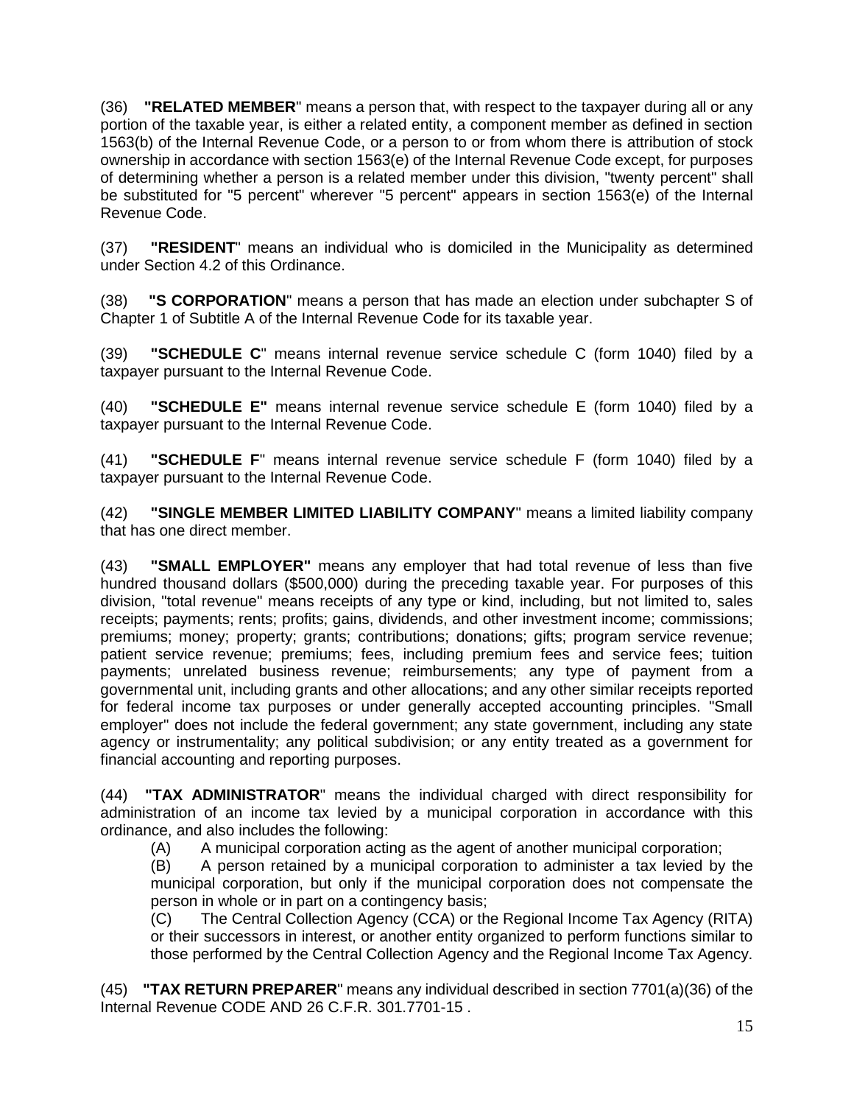(36) **"RELATED MEMBER**" means a person that, with respect to the taxpayer during all or any portion of the taxable year, is either a related entity, a component member as defined in section 1563(b) of the Internal Revenue Code, or a person to or from whom there is attribution of stock ownership in accordance with section 1563(e) of the Internal Revenue Code except, for purposes of determining whether a person is a related member under this division, "twenty percent" shall be substituted for "5 percent" wherever "5 percent" appears in section 1563(e) of the Internal Revenue Code.

(37) **"RESIDENT**" means an individual who is domiciled in the Municipality as determined under Section 4.2 of this Ordinance.

(38) **"S CORPORATION**" means a person that has made an election under subchapter S of Chapter 1 of Subtitle A of the Internal Revenue Code for its taxable year.

(39) **"SCHEDULE C**" means internal revenue service schedule C (form 1040) filed by a taxpayer pursuant to the Internal Revenue Code.

(40) **"SCHEDULE E"** means internal revenue service schedule E (form 1040) filed by a taxpayer pursuant to the Internal Revenue Code.

(41) **"SCHEDULE F**" means internal revenue service schedule F (form 1040) filed by a taxpayer pursuant to the Internal Revenue Code.

(42) **"SINGLE MEMBER LIMITED LIABILITY COMPANY**" means a limited liability company that has one direct member.

(43) **"SMALL EMPLOYER"** means any employer that had total revenue of less than five hundred thousand dollars (\$500,000) during the preceding taxable year. For purposes of this division, "total revenue" means receipts of any type or kind, including, but not limited to, sales receipts; payments; rents; profits; gains, dividends, and other investment income; commissions; premiums; money; property; grants; contributions; donations; gifts; program service revenue; patient service revenue; premiums; fees, including premium fees and service fees; tuition payments; unrelated business revenue; reimbursements; any type of payment from a governmental unit, including grants and other allocations; and any other similar receipts reported for federal income tax purposes or under generally accepted accounting principles. "Small employer" does not include the federal government; any state government, including any state agency or instrumentality; any political subdivision; or any entity treated as a government for financial accounting and reporting purposes.

(44) **"TAX ADMINISTRATOR**" means the individual charged with direct responsibility for administration of an income tax levied by a municipal corporation in accordance with this ordinance, and also includes the following:

(A) A municipal corporation acting as the agent of another municipal corporation;

(B) A person retained by a municipal corporation to administer a tax levied by the municipal corporation, but only if the municipal corporation does not compensate the person in whole or in part on a contingency basis;

(C) The Central Collection Agency (CCA) or the Regional Income Tax Agency (RITA) or their successors in interest, or another entity organized to perform functions similar to those performed by the Central Collection Agency and the Regional Income Tax Agency.

(45) **"TAX RETURN PREPARER**" means any individual described in section 7701(a)(36) of the Internal Revenue CODE AND 26 C.F.R. 301.7701-15 .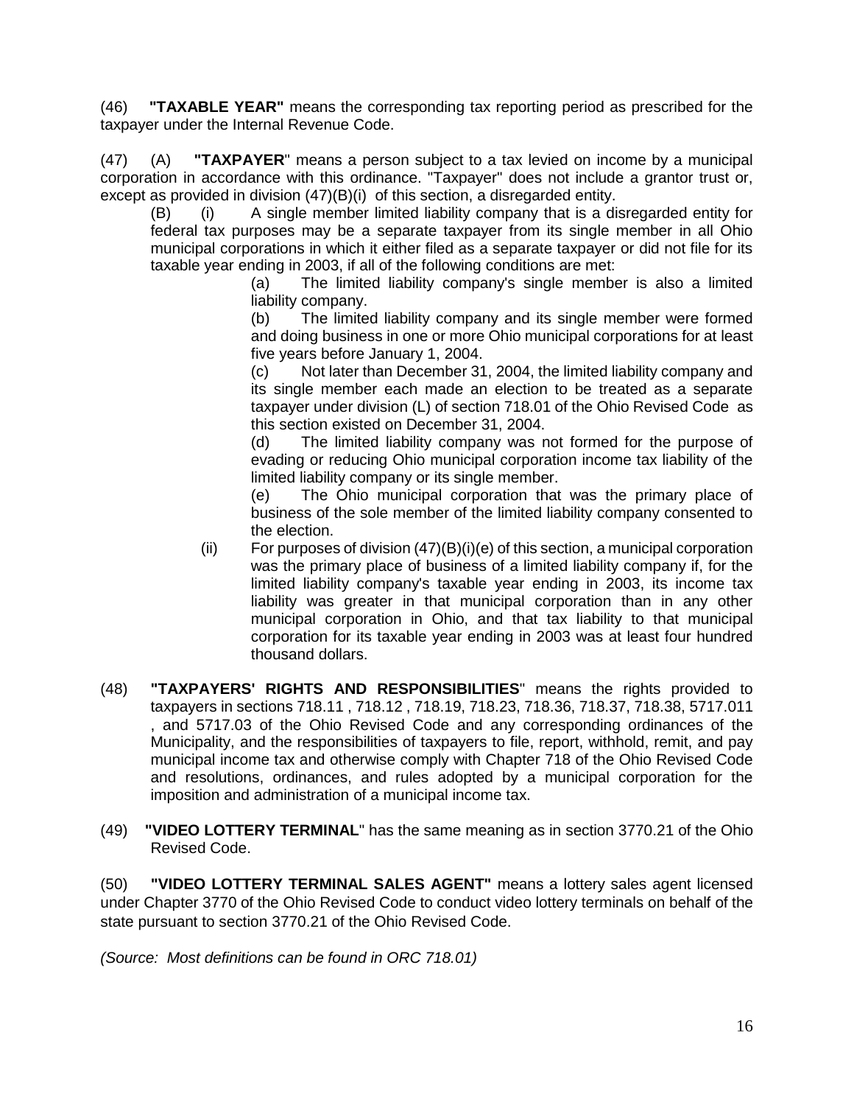(46) **"TAXABLE YEAR"** means the corresponding tax reporting period as prescribed for the taxpayer under the Internal Revenue Code.

(47) (A) **"TAXPAYER**" means a person subject to a tax levied on income by a municipal corporation in accordance with this ordinance. "Taxpayer" does not include a grantor trust or, except as provided in division (47)(B)(i) of this section, a disregarded entity.

(B) (i) A single member limited liability company that is a disregarded entity for federal tax purposes may be a separate taxpayer from its single member in all Ohio municipal corporations in which it either filed as a separate taxpayer or did not file for its taxable year ending in 2003, if all of the following conditions are met:

(a) The limited liability company's single member is also a limited liability company.

(b) The limited liability company and its single member were formed and doing business in one or more Ohio municipal corporations for at least five years before January 1, 2004.

(c) Not later than December 31, 2004, the limited liability company and its single member each made an election to be treated as a separate taxpayer under division (L) of section 718.01 of the Ohio Revised Code as this section existed on December 31, 2004.

(d) The limited liability company was not formed for the purpose of evading or reducing Ohio municipal corporation income tax liability of the limited liability company or its single member.

(e) The Ohio municipal corporation that was the primary place of business of the sole member of the limited liability company consented to the election.

- (ii) For purposes of division  $(47)(B)(i)(e)$  of this section, a municipal corporation was the primary place of business of a limited liability company if, for the limited liability company's taxable year ending in 2003, its income tax liability was greater in that municipal corporation than in any other municipal corporation in Ohio, and that tax liability to that municipal corporation for its taxable year ending in 2003 was at least four hundred thousand dollars.
- (48) **"TAXPAYERS' RIGHTS AND RESPONSIBILITIES**" means the rights provided to taxpayers in sections [718.11](http://codes.ohio.gov/orc/718.11) , [718.12](http://codes.ohio.gov/orc/718.12) , 718.19, 718.23, 718.36, 718.37, 718.38, [5717.011](http://codes.ohio.gov/orc/5717.011) , and [5717.03](http://codes.ohio.gov/orc/5717.03) of the Ohio Revised Code and any corresponding ordinances of the Municipality, and the responsibilities of taxpayers to file, report, withhold, remit, and pay municipal income tax and otherwise comply with Chapter 718 of the Ohio Revised Code and resolutions, ordinances, and rules adopted by a municipal corporation for the imposition and administration of a municipal income tax.
- (49) **"VIDEO LOTTERY TERMINAL**" has the same meaning as in section [3770.21](http://codes.ohio.gov/orc/3770.21) of the Ohio Revised Code.

(50) **"VIDEO LOTTERY TERMINAL SALES AGENT"** means a lottery sales agent licensed under Chapter 3770 of the Ohio Revised Code to conduct video lottery terminals on behalf of the state pursuant to section [3770.21](http://codes.ohio.gov/orc/3770.21) of the Ohio Revised Code.

*(Source: Most definitions can be found in ORC 718.01)*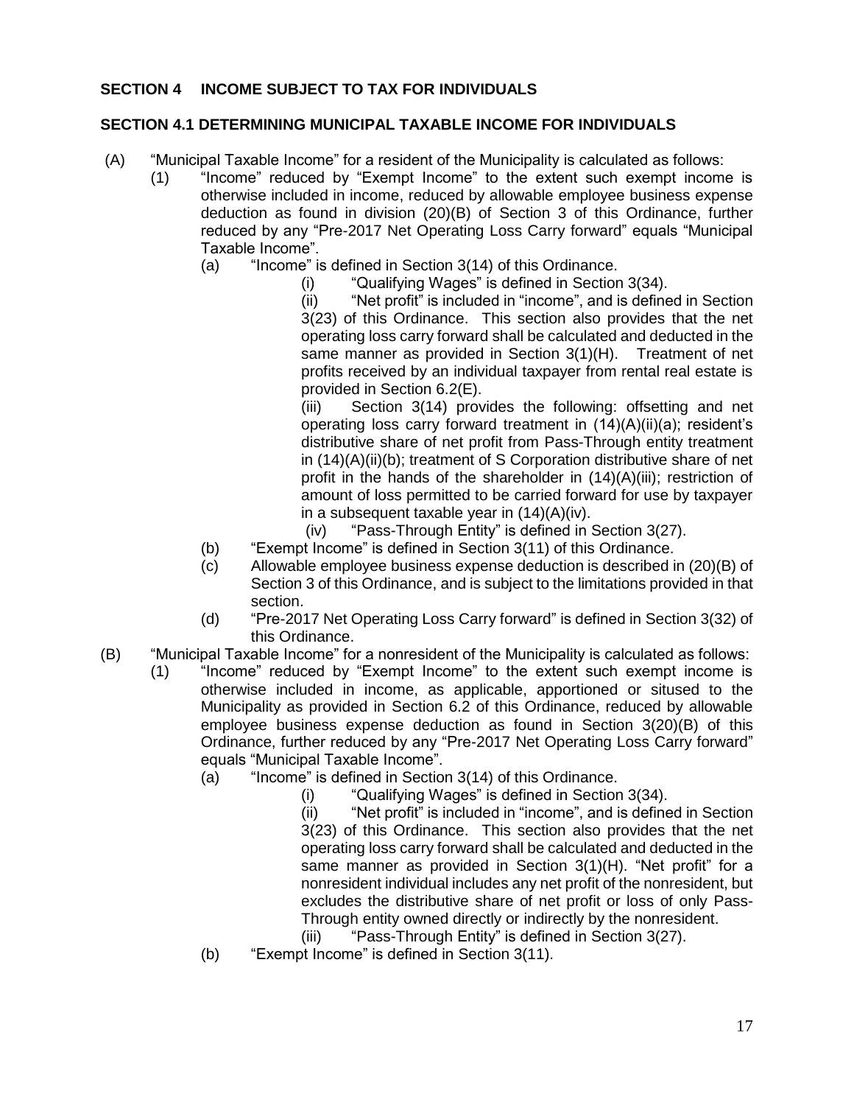## **SECTION 4 INCOME SUBJECT TO TAX FOR INDIVIDUALS**

#### **SECTION 4.1 DETERMINING MUNICIPAL TAXABLE INCOME FOR INDIVIDUALS**

- (A) "Municipal Taxable Income" for a resident of the Municipality is calculated as follows:
	- (1) "Income" reduced by "Exempt Income" to the extent such exempt income is otherwise included in income, reduced by allowable employee business expense deduction as found in division (20)(B) of Section 3 of this Ordinance, further reduced by any "Pre-2017 Net Operating Loss Carry forward" equals "Municipal Taxable Income".
		- (a) "Income" is defined in Section 3(14) of this Ordinance.
			- (i) "Qualifying Wages" is defined in Section 3(34).

(ii) "Net profit" is included in "income", and is defined in Section 3(23) of this Ordinance. This section also provides that the net operating loss carry forward shall be calculated and deducted in the same manner as provided in Section 3(1)(H). Treatment of net profits received by an individual taxpayer from rental real estate is provided in Section 6.2(E).

(iii) Section 3(14) provides the following: offsetting and net operating loss carry forward treatment in (14)(A)(ii)(a); resident's distributive share of net profit from Pass-Through entity treatment in (14)(A)(ii)(b); treatment of S Corporation distributive share of net profit in the hands of the shareholder in (14)(A)(iii); restriction of amount of loss permitted to be carried forward for use by taxpayer in a subsequent taxable year in (14)(A)(iv).

(iv) "Pass-Through Entity" is defined in Section 3(27).

- (b) "Exempt Income" is defined in Section 3(11) of this Ordinance.
- (c) Allowable employee business expense deduction is described in (20)(B) of Section 3 of this Ordinance, and is subject to the limitations provided in that section.
- (d) "Pre-2017 Net Operating Loss Carry forward" is defined in Section 3(32) of this Ordinance.
- (B) "Municipal Taxable Income" for a nonresident of the Municipality is calculated as follows:
	- (1) "Income" reduced by "Exempt Income" to the extent such exempt income is otherwise included in income, as applicable, apportioned or sitused to the Municipality as provided in Section 6.2 of this Ordinance, reduced by allowable employee business expense deduction as found in Section 3(20)(B) of this Ordinance, further reduced by any "Pre-2017 Net Operating Loss Carry forward" equals "Municipal Taxable Income".
		- (a) "Income" is defined in Section 3(14) of this Ordinance.
			- (i) "Qualifying Wages" is defined in Section 3(34).

(ii) "Net profit" is included in "income", and is defined in Section 3(23) of this Ordinance. This section also provides that the net operating loss carry forward shall be calculated and deducted in the same manner as provided in Section 3(1)(H). "Net profit" for a nonresident individual includes any net profit of the nonresident, but excludes the distributive share of net profit or loss of only Pass-Through entity owned directly or indirectly by the nonresident.

- (iii) "Pass-Through Entity" is defined in Section 3(27).
- (b) "Exempt Income" is defined in Section 3(11).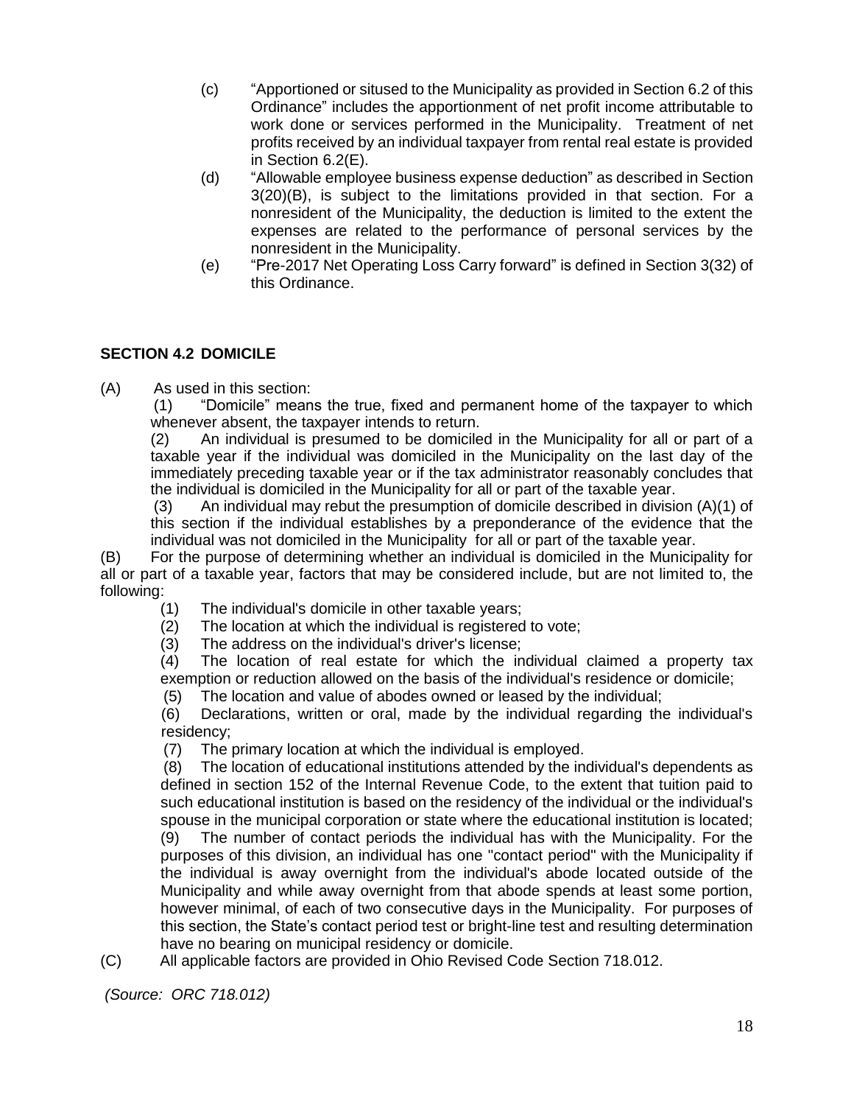- (c) "Apportioned or sitused to the Municipality as provided in Section 6.2 of this Ordinance" includes the apportionment of net profit income attributable to work done or services performed in the Municipality. Treatment of net profits received by an individual taxpayer from rental real estate is provided in Section 6.2(E).
- (d) "Allowable employee business expense deduction" as described in Section 3(20)(B), is subject to the limitations provided in that section. For a nonresident of the Municipality, the deduction is limited to the extent the expenses are related to the performance of personal services by the nonresident in the Municipality.
- (e) "Pre-2017 Net Operating Loss Carry forward" is defined in Section 3(32) of this Ordinance.

## **SECTION 4.2 DOMICILE**

(A) As used in this section:

(1) "Domicile" means the true, fixed and permanent home of the taxpayer to which whenever absent, the taxpayer intends to return.

(2) An individual is presumed to be domiciled in the Municipality for all or part of a taxable year if the individual was domiciled in the Municipality on the last day of the immediately preceding taxable year or if the tax administrator reasonably concludes that the individual is domiciled in the Municipality for all or part of the taxable year.

(3) An individual may rebut the presumption of domicile described in division (A)(1) of this section if the individual establishes by a preponderance of the evidence that the individual was not domiciled in the Municipality for all or part of the taxable year.

(B) For the purpose of determining whether an individual is domiciled in the Municipality for all or part of a taxable year, factors that may be considered include, but are not limited to, the following:

- (1) The individual's domicile in other taxable years;
- (2) The location at which the individual is registered to vote;
- (3) The address on the individual's driver's license;

 $(4)$  The location of real estate for which the individual claimed a property tax exemption or reduction allowed on the basis of the individual's residence or domicile;

(5) The location and value of abodes owned or leased by the individual;

(6) Declarations, written or oral, made by the individual regarding the individual's residency;

(7) The primary location at which the individual is employed.

 (8) The location of educational institutions attended by the individual's dependents as defined in section 152 of the Internal Revenue Code, to the extent that tuition paid to such educational institution is based on the residency of the individual or the individual's spouse in the municipal corporation or state where the educational institution is located;

(9) The number of contact periods the individual has with the Municipality. For the purposes of this division, an individual has one "contact period" with the Municipality if the individual is away overnight from the individual's abode located outside of the Municipality and while away overnight from that abode spends at least some portion, however minimal, of each of two consecutive days in the Municipality. For purposes of this section, the State's contact period test or bright-line test and resulting determination have no bearing on municipal residency or domicile.

(C) All applicable factors are provided in Ohio Revised Code Section 718.012.

*(Source: ORC 718.012)*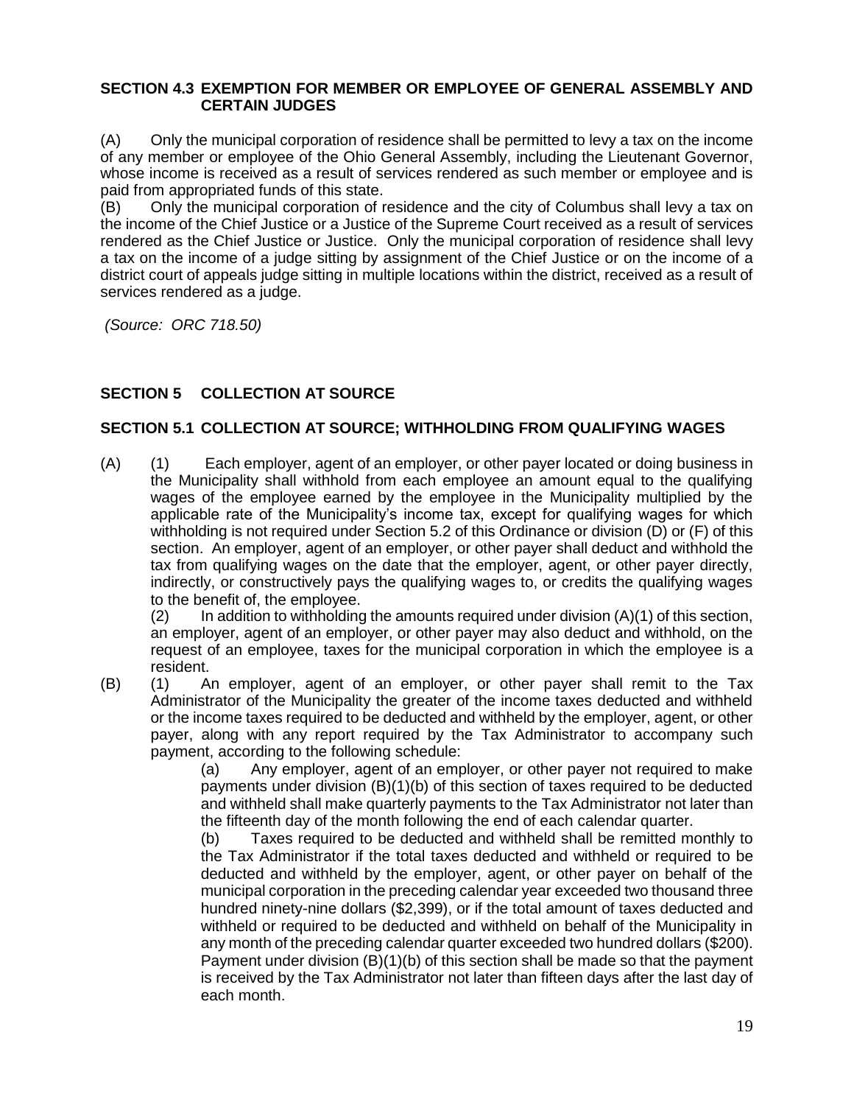#### **SECTION 4.3 EXEMPTION FOR MEMBER OR EMPLOYEE OF GENERAL ASSEMBLY AND CERTAIN JUDGES**

(A) Only the municipal corporation of residence shall be permitted to levy a tax on the income of any member or employee of the Ohio General Assembly, including the Lieutenant Governor, whose income is received as a result of services rendered as such member or employee and is paid from appropriated funds of this state.

(B) Only the municipal corporation of residence and the city of Columbus shall levy a tax on the income of the Chief Justice or a Justice of the Supreme Court received as a result of services rendered as the Chief Justice or Justice. Only the municipal corporation of residence shall levy a tax on the income of a judge sitting by assignment of the Chief Justice or on the income of a district court of appeals judge sitting in multiple locations within the district, received as a result of services rendered as a judge.

*(Source: ORC 718.50)*

## **SECTION 5 COLLECTION AT SOURCE**

### **SECTION 5.1 COLLECTION AT SOURCE; WITHHOLDING FROM QUALIFYING WAGES**

(A) (1) Each employer, agent of an employer, or other payer located or doing business in the Municipality shall withhold from each employee an amount equal to the qualifying wages of the employee earned by the employee in the Municipality multiplied by the applicable rate of the Municipality's income tax, except for qualifying wages for which withholding is not required under Section 5.2 of this Ordinance or division (D) or (F) of this section. An employer, agent of an employer, or other payer shall deduct and withhold the tax from qualifying wages on the date that the employer, agent, or other payer directly, indirectly, or constructively pays the qualifying wages to, or credits the qualifying wages to the benefit of, the employee.

 $(2)$  In addition to withholding the amounts required under division  $(A)(1)$  of this section, an employer, agent of an employer, or other payer may also deduct and withhold, on the request of an employee, taxes for the municipal corporation in which the employee is a resident.

(B) (1) An employer, agent of an employer, or other payer shall remit to the Tax Administrator of the Municipality the greater of the income taxes deducted and withheld or the income taxes required to be deducted and withheld by the employer, agent, or other payer, along with any report required by the Tax Administrator to accompany such payment, according to the following schedule:

(a) Any employer, agent of an employer, or other payer not required to make payments under division (B)(1)(b) of this section of taxes required to be deducted and withheld shall make quarterly payments to the Tax Administrator not later than the fifteenth day of the month following the end of each calendar quarter.

(b) Taxes required to be deducted and withheld shall be remitted monthly to the Tax Administrator if the total taxes deducted and withheld or required to be deducted and withheld by the employer, agent, or other payer on behalf of the municipal corporation in the preceding calendar year exceeded two thousand three hundred ninety-nine dollars (\$2,399), or if the total amount of taxes deducted and withheld or required to be deducted and withheld on behalf of the Municipality in any month of the preceding calendar quarter exceeded two hundred dollars (\$200). Payment under division (B)(1)(b) of this section shall be made so that the payment is received by the Tax Administrator not later than fifteen days after the last day of each month.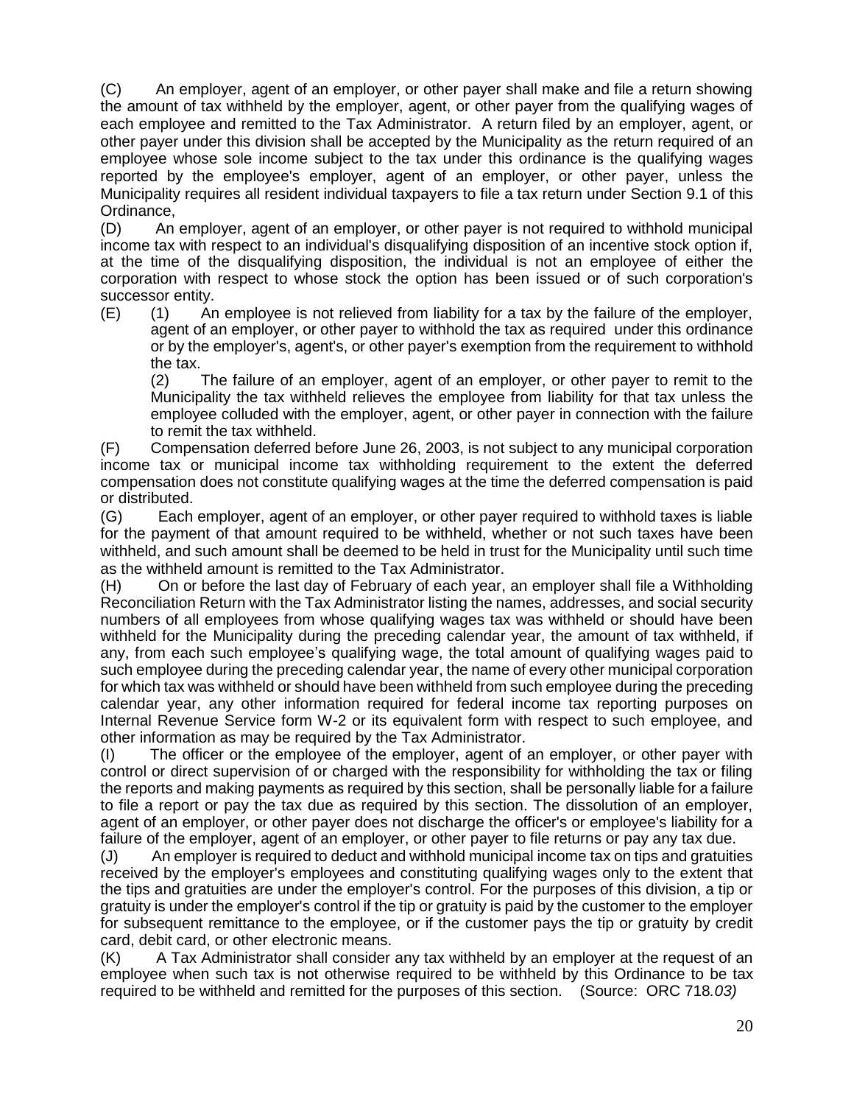(C) An employer, agent of an employer, or other payer shall make and file a return showing the amount of tax withheld by the employer, agent, or other payer from the qualifying wages of each employee and remitted to the Tax Administrator. A return filed by an employer, agent, or other payer under this division shall be accepted by the Municipality as the return required of an employee whose sole income subject to the tax under this ordinance is the qualifying wages reported by the employee's employer, agent of an employer, or other payer, unless the Municipality requires all resident individual taxpayers to file a tax return under Section 9.1 of this Ordinance,

(D) An employer, agent of an employer, or other payer is not required to withhold municipal income tax with respect to an individual's disqualifying disposition of an incentive stock option if, at the time of the disqualifying disposition, the individual is not an employee of either the corporation with respect to whose stock the option has been issued or of such corporation's successor entity.

(E) (1) An employee is not relieved from liability for a tax by the failure of the employer, agent of an employer, or other payer to withhold the tax as required under this ordinance or by the employer's, agent's, or other payer's exemption from the requirement to withhold the tax.

(2) The failure of an employer, agent of an employer, or other payer to remit to the Municipality the tax withheld relieves the employee from liability for that tax unless the employee colluded with the employer, agent, or other payer in connection with the failure to remit the tax withheld.

(F) Compensation deferred before June 26, 2003, is not subject to any municipal corporation income tax or municipal income tax withholding requirement to the extent the deferred compensation does not constitute qualifying wages at the time the deferred compensation is paid or distributed.

(G) Each employer, agent of an employer, or other payer required to withhold taxes is liable for the payment of that amount required to be withheld, whether or not such taxes have been withheld, and such amount shall be deemed to be held in trust for the Municipality until such time as the withheld amount is remitted to the Tax Administrator.

(H) On or before the last day of February of each year, an employer shall file a Withholding Reconciliation Return with the Tax Administrator listing the names, addresses, and social security numbers of all employees from whose qualifying wages tax was withheld or should have been withheld for the Municipality during the preceding calendar year, the amount of tax withheld, if any, from each such employee's qualifying wage, the total amount of qualifying wages paid to such employee during the preceding calendar year, the name of every other municipal corporation for which tax was withheld or should have been withheld from such employee during the preceding calendar year, any other information required for federal income tax reporting purposes on Internal Revenue Service form W-2 or its equivalent form with respect to such employee, and other information as may be required by the Tax Administrator.

(I) The officer or the employee of the employer, agent of an employer, or other payer with control or direct supervision of or charged with the responsibility for withholding the tax or filing the reports and making payments as required by this section, shall be personally liable for a failure to file a report or pay the tax due as required by this section. The dissolution of an employer, agent of an employer, or other payer does not discharge the officer's or employee's liability for a failure of the employer, agent of an employer, or other payer to file returns or pay any tax due.

(J) An employer is required to deduct and withhold municipal income tax on tips and gratuities received by the employer's employees and constituting qualifying wages only to the extent that the tips and gratuities are under the employer's control. For the purposes of this division, a tip or gratuity is under the employer's control if the tip or gratuity is paid by the customer to the employer for subsequent remittance to the employee, or if the customer pays the tip or gratuity by credit card, debit card, or other electronic means.

(K) A Tax Administrator shall consider any tax withheld by an employer at the request of an employee when such tax is not otherwise required to be withheld by this Ordinance to be tax required to be withheld and remitted for the purposes of this section. (Source: ORC 718*.03)*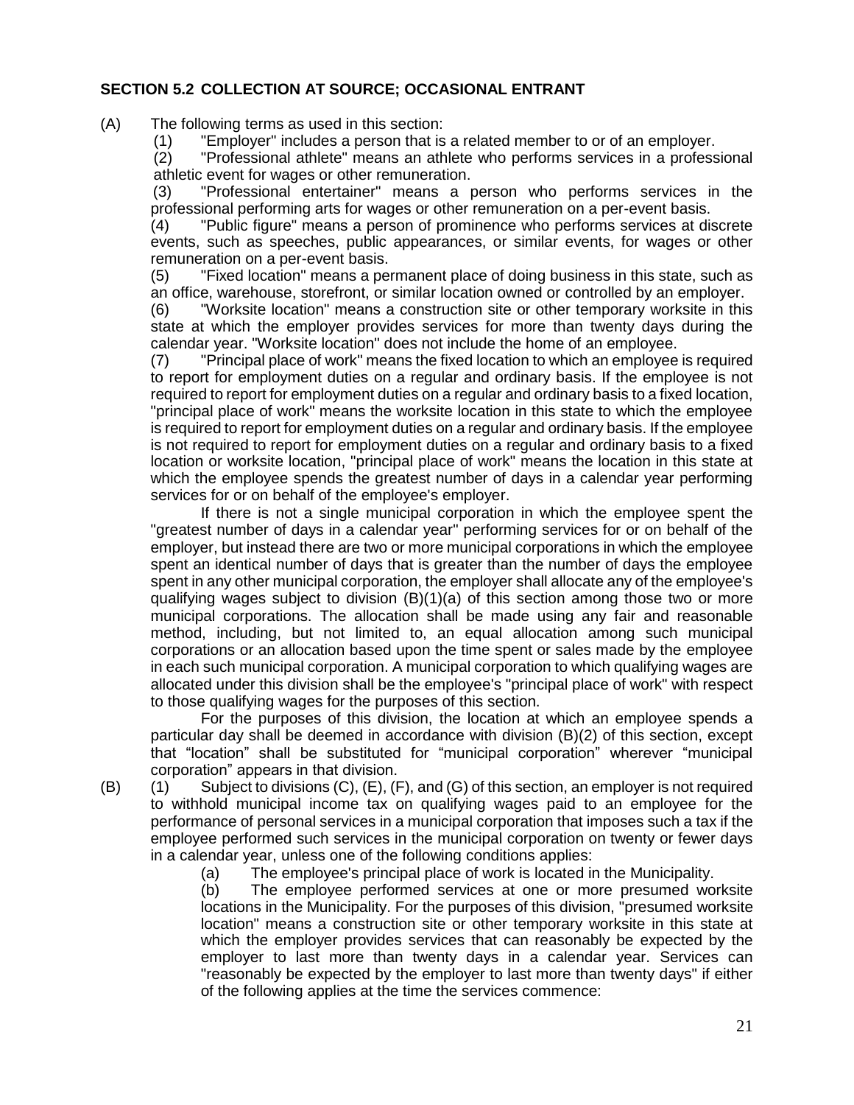## **SECTION 5.2 COLLECTION AT SOURCE; OCCASIONAL ENTRANT**

- (A) The following terms as used in this section:
	- (1) "Employer" includes a person that is a related member to or of an employer.

(2) "Professional athlete" means an athlete who performs services in a professional athletic event for wages or other remuneration.

(3) "Professional entertainer" means a person who performs services in the professional performing arts for wages or other remuneration on a per-event basis.

(4) "Public figure" means a person of prominence who performs services at discrete events, such as speeches, public appearances, or similar events, for wages or other remuneration on a per-event basis.

(5) "Fixed location" means a permanent place of doing business in this state, such as an office, warehouse, storefront, or similar location owned or controlled by an employer.

(6) "Worksite location" means a construction site or other temporary worksite in this state at which the employer provides services for more than twenty days during the calendar year. "Worksite location" does not include the home of an employee.

(7) "Principal place of work" means the fixed location to which an employee is required to report for employment duties on a regular and ordinary basis. If the employee is not required to report for employment duties on a regular and ordinary basis to a fixed location, "principal place of work" means the worksite location in this state to which the employee is required to report for employment duties on a regular and ordinary basis. If the employee is not required to report for employment duties on a regular and ordinary basis to a fixed location or worksite location, "principal place of work" means the location in this state at which the employee spends the greatest number of days in a calendar year performing services for or on behalf of the employee's employer.

If there is not a single municipal corporation in which the employee spent the "greatest number of days in a calendar year" performing services for or on behalf of the employer, but instead there are two or more municipal corporations in which the employee spent an identical number of days that is greater than the number of days the employee spent in any other municipal corporation, the employer shall allocate any of the employee's qualifying wages subject to division (B)(1)(a) of this section among those two or more municipal corporations. The allocation shall be made using any fair and reasonable method, including, but not limited to, an equal allocation among such municipal corporations or an allocation based upon the time spent or sales made by the employee in each such municipal corporation. A municipal corporation to which qualifying wages are allocated under this division shall be the employee's "principal place of work" with respect to those qualifying wages for the purposes of this section.

For the purposes of this division, the location at which an employee spends a particular day shall be deemed in accordance with division (B)(2) of this section, except that "location" shall be substituted for "municipal corporation" wherever "municipal corporation" appears in that division.

 $(B)$  (1) Subject to divisions  $(C)$ ,  $(E)$ ,  $(F)$ , and  $(G)$  of this section, an employer is not required to withhold municipal income tax on qualifying wages paid to an employee for the performance of personal services in a municipal corporation that imposes such a tax if the employee performed such services in the municipal corporation on twenty or fewer days in a calendar year, unless one of the following conditions applies:

(a) The employee's principal place of work is located in the Municipality.<br>(b) The employee performed services at one or more presumed wo The employee performed services at one or more presumed worksite locations in the Municipality. For the purposes of this division, "presumed worksite location" means a construction site or other temporary worksite in this state at which the employer provides services that can reasonably be expected by the employer to last more than twenty days in a calendar year. Services can "reasonably be expected by the employer to last more than twenty days" if either of the following applies at the time the services commence: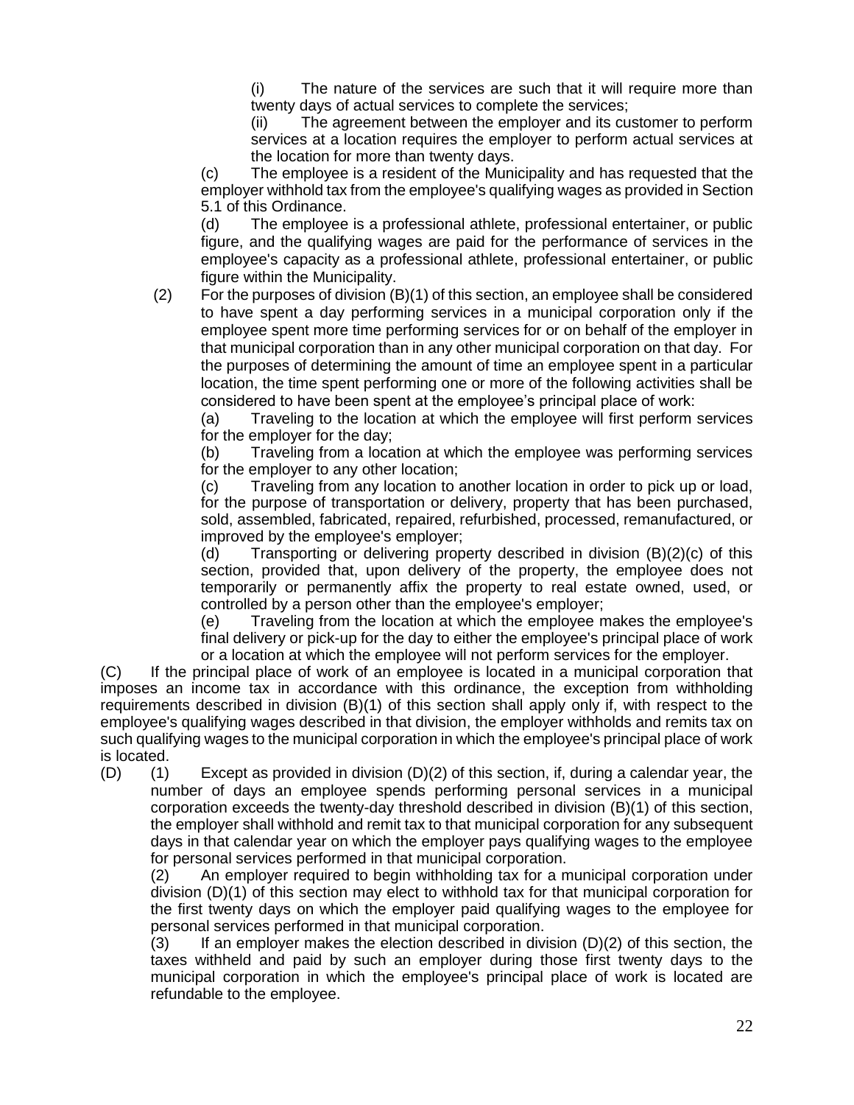(i) The nature of the services are such that it will require more than twenty days of actual services to complete the services;

(ii) The agreement between the employer and its customer to perform services at a location requires the employer to perform actual services at the location for more than twenty days.

(c) The employee is a resident of the Municipality and has requested that the employer withhold tax from the employee's qualifying wages as provided in Section 5.1 of this Ordinance.

 (d) The employee is a professional athlete, professional entertainer, or public figure, and the qualifying wages are paid for the performance of services in the employee's capacity as a professional athlete, professional entertainer, or public figure within the Municipality.

(2) For the purposes of division (B)(1) of this section, an employee shall be considered to have spent a day performing services in a municipal corporation only if the employee spent more time performing services for or on behalf of the employer in that municipal corporation than in any other municipal corporation on that day. For the purposes of determining the amount of time an employee spent in a particular location, the time spent performing one or more of the following activities shall be considered to have been spent at the employee's principal place of work:

(a) Traveling to the location at which the employee will first perform services for the employer for the day;

(b) Traveling from a location at which the employee was performing services for the employer to any other location;

(c) Traveling from any location to another location in order to pick up or load, for the purpose of transportation or delivery, property that has been purchased, sold, assembled, fabricated, repaired, refurbished, processed, remanufactured, or improved by the employee's employer;

(d) Transporting or delivering property described in division (B)(2)(c) of this section, provided that, upon delivery of the property, the employee does not temporarily or permanently affix the property to real estate owned, used, or controlled by a person other than the employee's employer;

(e) Traveling from the location at which the employee makes the employee's final delivery or pick-up for the day to either the employee's principal place of work or a location at which the employee will not perform services for the employer.

(C) If the principal place of work of an employee is located in a municipal corporation that imposes an income tax in accordance with this ordinance, the exception from withholding requirements described in division (B)(1) of this section shall apply only if, with respect to the employee's qualifying wages described in that division, the employer withholds and remits tax on such qualifying wages to the municipal corporation in which the employee's principal place of work is located.

(D) (1) Except as provided in division (D)(2) of this section, if, during a calendar year, the number of days an employee spends performing personal services in a municipal corporation exceeds the twenty-day threshold described in division (B)(1) of this section, the employer shall withhold and remit tax to that municipal corporation for any subsequent days in that calendar year on which the employer pays qualifying wages to the employee for personal services performed in that municipal corporation.

(2) An employer required to begin withholding tax for a municipal corporation under division (D)(1) of this section may elect to withhold tax for that municipal corporation for the first twenty days on which the employer paid qualifying wages to the employee for personal services performed in that municipal corporation.

 $(3)$  If an employer makes the election described in division  $(D)(2)$  of this section, the taxes withheld and paid by such an employer during those first twenty days to the municipal corporation in which the employee's principal place of work is located are refundable to the employee.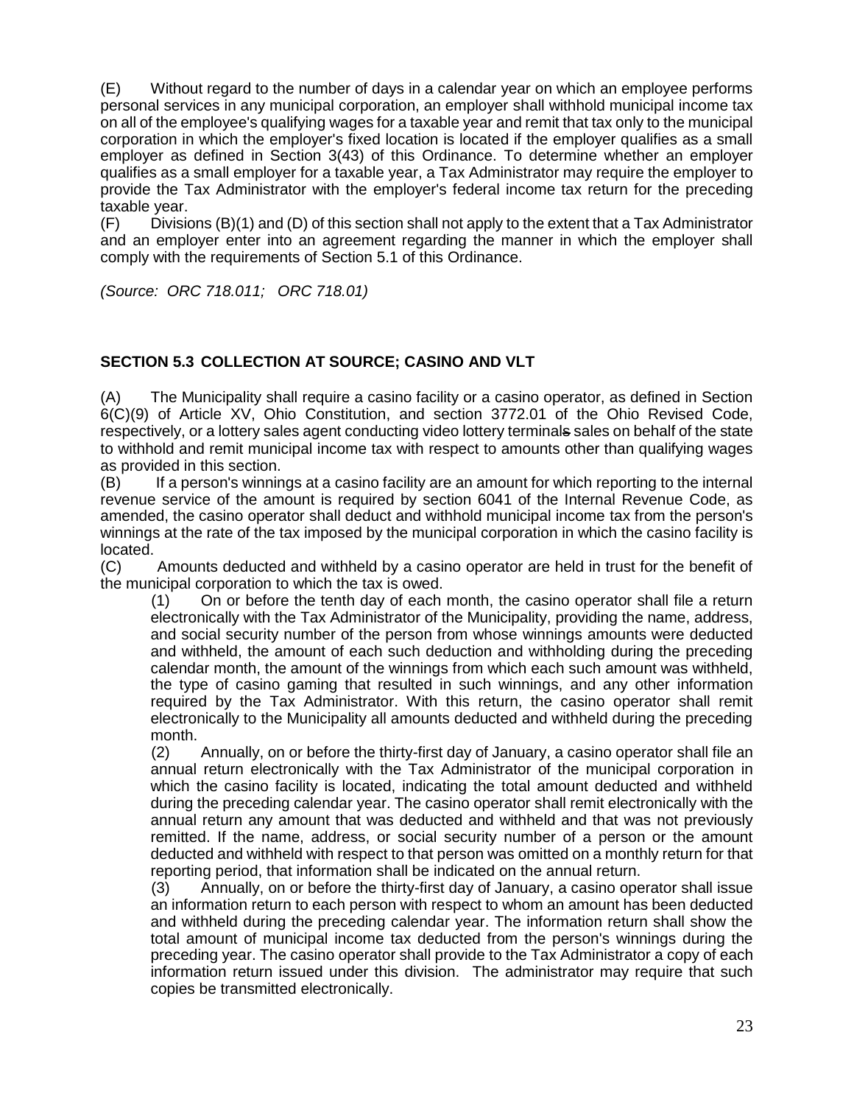(E) Without regard to the number of days in a calendar year on which an employee performs personal services in any municipal corporation, an employer shall withhold municipal income tax on all of the employee's qualifying wages for a taxable year and remit that tax only to the municipal corporation in which the employer's fixed location is located if the employer qualifies as a small employer as defined in Section 3(43) of this Ordinance. To determine whether an employer qualifies as a small employer for a taxable year, a Tax Administrator may require the employer to provide the Tax Administrator with the employer's federal income tax return for the preceding taxable year.

(F) Divisions (B)(1) and (D) of this section shall not apply to the extent that a Tax Administrator and an employer enter into an agreement regarding the manner in which the employer shall comply with the requirements of Section 5.1 of this Ordinance.

*(Source: ORC 718.011; ORC 718.01)*

## **SECTION 5.3 COLLECTION AT SOURCE; CASINO AND VLT**

(A) The Municipality shall require a casino facility or a casino operator, as defined in Section 6(C)(9) of Article XV, Ohio Constitution, and section 3772.01 of the Ohio Revised Code, respectively, or a lottery sales agent conducting video lottery terminals sales on behalf of the state to withhold and remit municipal income tax with respect to amounts other than qualifying wages as provided in this section.

(B) If a person's winnings at a casino facility are an amount for which reporting to the internal revenue service of the amount is required by section 6041 of the Internal Revenue Code, as amended, the casino operator shall deduct and withhold municipal income tax from the person's winnings at the rate of the tax imposed by the municipal corporation in which the casino facility is located.

(C) Amounts deducted and withheld by a casino operator are held in trust for the benefit of the municipal corporation to which the tax is owed.

(1) On or before the tenth day of each month, the casino operator shall file a return electronically with the Tax Administrator of the Municipality, providing the name, address, and social security number of the person from whose winnings amounts were deducted and withheld, the amount of each such deduction and withholding during the preceding calendar month, the amount of the winnings from which each such amount was withheld, the type of casino gaming that resulted in such winnings, and any other information required by the Tax Administrator. With this return, the casino operator shall remit electronically to the Municipality all amounts deducted and withheld during the preceding month.

(2) Annually, on or before the thirty-first day of January, a casino operator shall file an annual return electronically with the Tax Administrator of the municipal corporation in which the casino facility is located, indicating the total amount deducted and withheld during the preceding calendar year. The casino operator shall remit electronically with the annual return any amount that was deducted and withheld and that was not previously remitted. If the name, address, or social security number of a person or the amount deducted and withheld with respect to that person was omitted on a monthly return for that reporting period, that information shall be indicated on the annual return.

(3) Annually, on or before the thirty-first day of January, a casino operator shall issue an information return to each person with respect to whom an amount has been deducted and withheld during the preceding calendar year. The information return shall show the total amount of municipal income tax deducted from the person's winnings during the preceding year. The casino operator shall provide to the Tax Administrator a copy of each information return issued under this division. The administrator may require that such copies be transmitted electronically.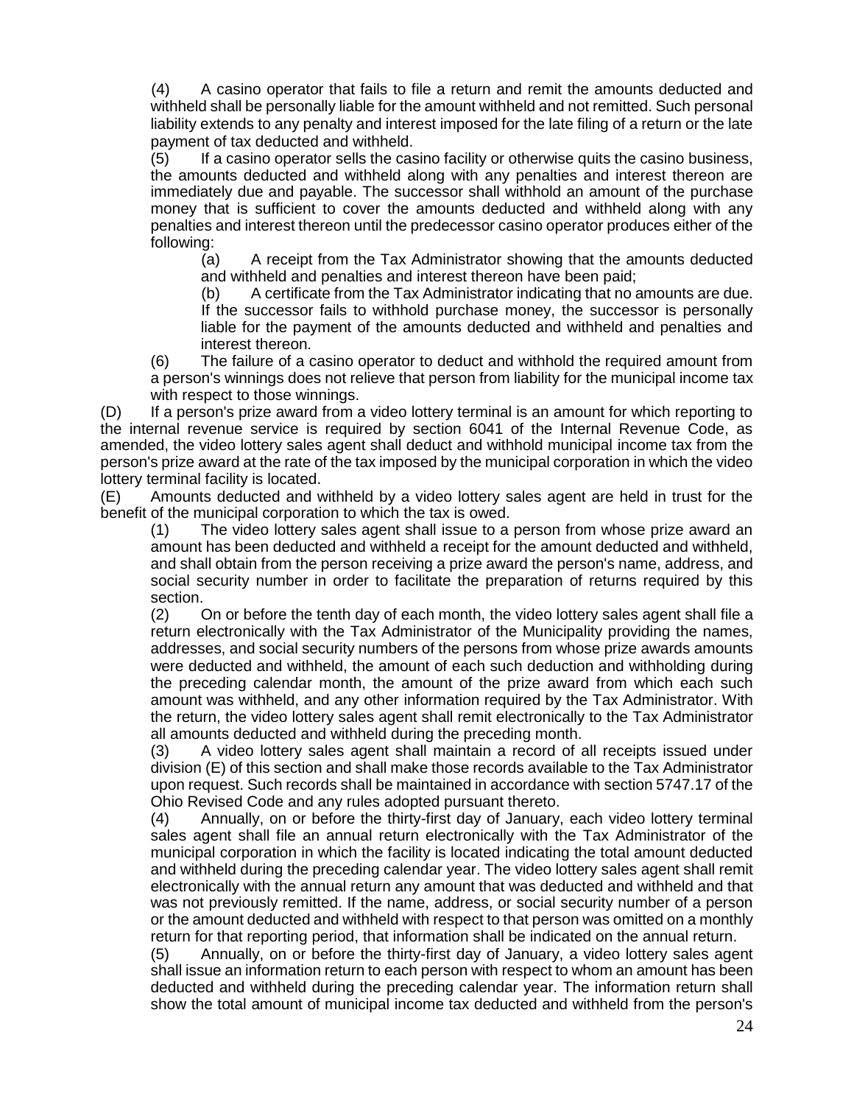(4) A casino operator that fails to file a return and remit the amounts deducted and withheld shall be personally liable for the amount withheld and not remitted. Such personal liability extends to any penalty and interest imposed for the late filing of a return or the late payment of tax deducted and withheld.

(5) If a casino operator sells the casino facility or otherwise quits the casino business, the amounts deducted and withheld along with any penalties and interest thereon are immediately due and payable. The successor shall withhold an amount of the purchase money that is sufficient to cover the amounts deducted and withheld along with any penalties and interest thereon until the predecessor casino operator produces either of the following:

(a) A receipt from the Tax Administrator showing that the amounts deducted and withheld and penalties and interest thereon have been paid;

(b) A certificate from the Tax Administrator indicating that no amounts are due. If the successor fails to withhold purchase money, the successor is personally liable for the payment of the amounts deducted and withheld and penalties and interest thereon.

(6) The failure of a casino operator to deduct and withhold the required amount from a person's winnings does not relieve that person from liability for the municipal income tax with respect to those winnings.

(D) If a person's prize award from a video lottery terminal is an amount for which reporting to the internal revenue service is required by section 6041 of the Internal Revenue Code, as amended, the video lottery sales agent shall deduct and withhold municipal income tax from the person's prize award at the rate of the tax imposed by the municipal corporation in which the video lottery terminal facility is located.

(E) Amounts deducted and withheld by a video lottery sales agent are held in trust for the benefit of the municipal corporation to which the tax is owed.

(1) The video lottery sales agent shall issue to a person from whose prize award an amount has been deducted and withheld a receipt for the amount deducted and withheld, and shall obtain from the person receiving a prize award the person's name, address, and social security number in order to facilitate the preparation of returns required by this section.

(2) On or before the tenth day of each month, the video lottery sales agent shall file a return electronically with the Tax Administrator of the Municipality providing the names, addresses, and social security numbers of the persons from whose prize awards amounts were deducted and withheld, the amount of each such deduction and withholding during the preceding calendar month, the amount of the prize award from which each such amount was withheld, and any other information required by the Tax Administrator. With the return, the video lottery sales agent shall remit electronically to the Tax Administrator all amounts deducted and withheld during the preceding month.

(3) A video lottery sales agent shall maintain a record of all receipts issued under division (E) of this section and shall make those records available to the Tax Administrator upon request. Such records shall be maintained in accordance with section 5747.17 of the Ohio Revised Code and any rules adopted pursuant thereto.

(4) Annually, on or before the thirty-first day of January, each video lottery terminal sales agent shall file an annual return electronically with the Tax Administrator of the municipal corporation in which the facility is located indicating the total amount deducted and withheld during the preceding calendar year. The video lottery sales agent shall remit electronically with the annual return any amount that was deducted and withheld and that was not previously remitted. If the name, address, or social security number of a person or the amount deducted and withheld with respect to that person was omitted on a monthly return for that reporting period, that information shall be indicated on the annual return.

(5) Annually, on or before the thirty-first day of January, a video lottery sales agent shall issue an information return to each person with respect to whom an amount has been deducted and withheld during the preceding calendar year. The information return shall show the total amount of municipal income tax deducted and withheld from the person's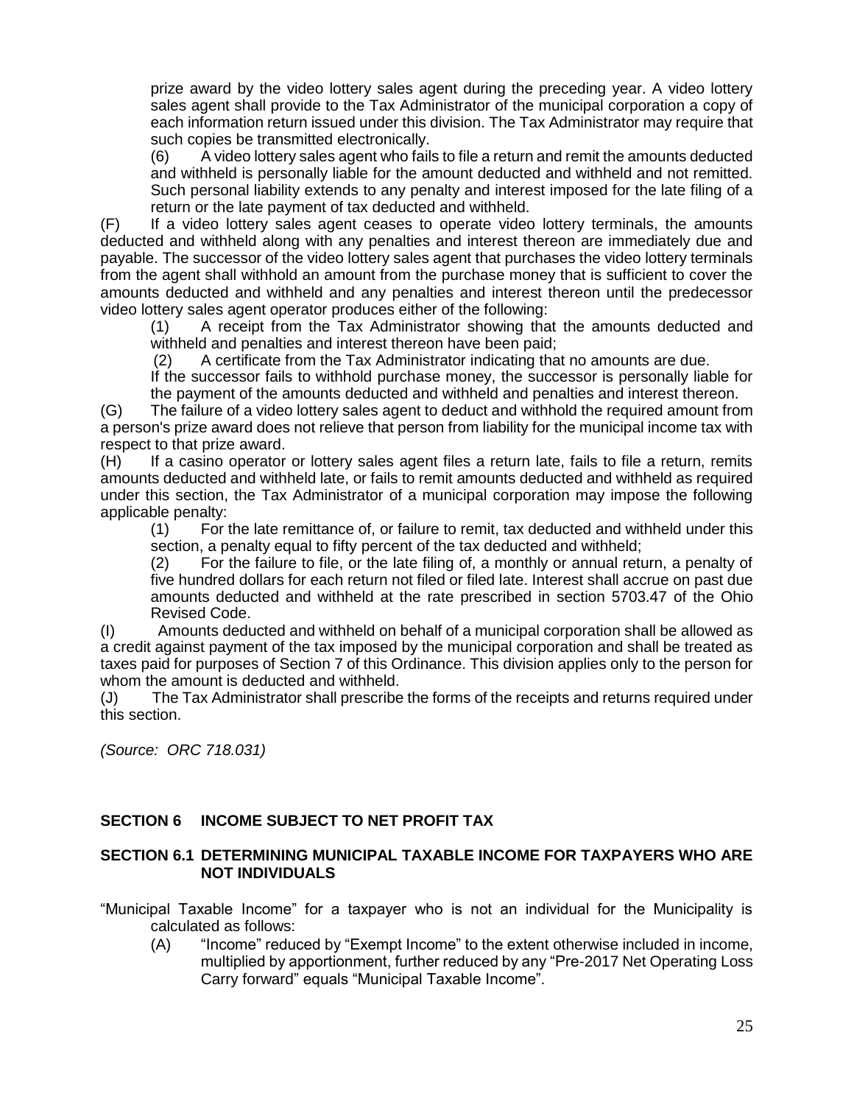prize award by the video lottery sales agent during the preceding year. A video lottery sales agent shall provide to the Tax Administrator of the municipal corporation a copy of each information return issued under this division. The Tax Administrator may require that such copies be transmitted electronically.

(6) A video lottery sales agent who fails to file a return and remit the amounts deducted and withheld is personally liable for the amount deducted and withheld and not remitted. Such personal liability extends to any penalty and interest imposed for the late filing of a return or the late payment of tax deducted and withheld.

(F) If a video lottery sales agent ceases to operate video lottery terminals, the amounts deducted and withheld along with any penalties and interest thereon are immediately due and payable. The successor of the video lottery sales agent that purchases the video lottery terminals from the agent shall withhold an amount from the purchase money that is sufficient to cover the amounts deducted and withheld and any penalties and interest thereon until the predecessor video lottery sales agent operator produces either of the following:

(1) A receipt from the Tax Administrator showing that the amounts deducted and withheld and penalties and interest thereon have been paid;

(2) A certificate from the Tax Administrator indicating that no amounts are due.

If the successor fails to withhold purchase money, the successor is personally liable for the payment of the amounts deducted and withheld and penalties and interest thereon.

(G) The failure of a video lottery sales agent to deduct and withhold the required amount from a person's prize award does not relieve that person from liability for the municipal income tax with respect to that prize award.

(H) If a casino operator or lottery sales agent files a return late, fails to file a return, remits amounts deducted and withheld late, or fails to remit amounts deducted and withheld as required under this section, the Tax Administrator of a municipal corporation may impose the following applicable penalty:

(1) For the late remittance of, or failure to remit, tax deducted and withheld under this section, a penalty equal to fifty percent of the tax deducted and withheld;

(2) For the failure to file, or the late filing of, a monthly or annual return, a penalty of five hundred dollars for each return not filed or filed late. Interest shall accrue on past due amounts deducted and withheld at the rate prescribed in section 5703.47 of the Ohio Revised Code.

(I) Amounts deducted and withheld on behalf of a municipal corporation shall be allowed as a credit against payment of the tax imposed by the municipal corporation and shall be treated as taxes paid for purposes of Section 7 of this Ordinance. This division applies only to the person for whom the amount is deducted and withheld.

(J) The Tax Administrator shall prescribe the forms of the receipts and returns required under this section.

*(Source: ORC 718.031)*

## **SECTION 6 INCOME SUBJECT TO NET PROFIT TAX**

### **SECTION 6.1 DETERMINING MUNICIPAL TAXABLE INCOME FOR TAXPAYERS WHO ARE NOT INDIVIDUALS**

"Municipal Taxable Income" for a taxpayer who is not an individual for the Municipality is calculated as follows:

(A) "Income" reduced by "Exempt Income" to the extent otherwise included in income, multiplied by apportionment, further reduced by any "Pre-2017 Net Operating Loss Carry forward" equals "Municipal Taxable Income".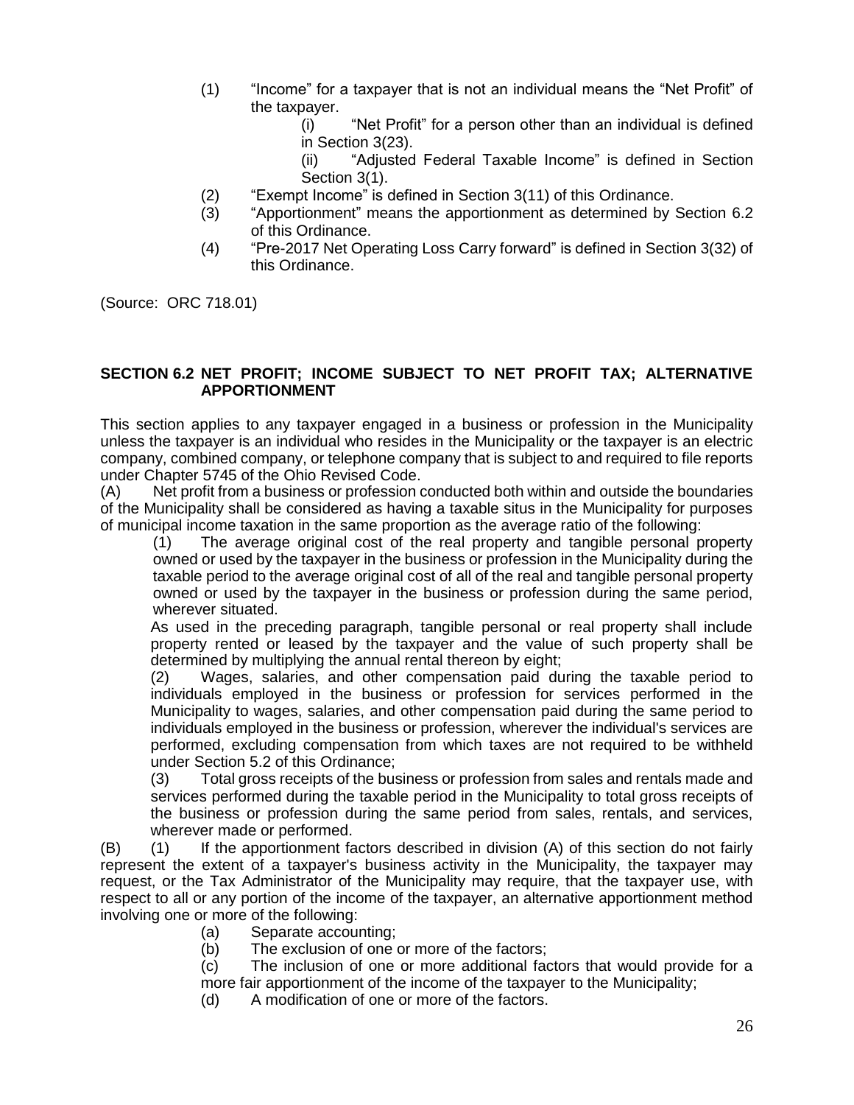- (1) "Income" for a taxpayer that is not an individual means the "Net Profit" of the taxpayer.
	- (i) "Net Profit" for a person other than an individual is defined in Section 3(23).

(ii) "Adjusted Federal Taxable Income" is defined in Section Section 3(1).

- (2) "Exempt Income" is defined in Section 3(11) of this Ordinance.
- (3) "Apportionment" means the apportionment as determined by Section 6.2 of this Ordinance.
- (4) "Pre-2017 Net Operating Loss Carry forward" is defined in Section 3(32) of this Ordinance.

(Source: ORC 718.01)

#### **SECTION 6.2 NET PROFIT; INCOME SUBJECT TO NET PROFIT TAX; ALTERNATIVE APPORTIONMENT**

This section applies to any taxpayer engaged in a business or profession in the Municipality unless the taxpayer is an individual who resides in the Municipality or the taxpayer is an electric company, combined company, or telephone company that is subject to and required to file reports under Chapter 5745 of the Ohio Revised Code.

(A) Net profit from a business or profession conducted both within and outside the boundaries of the Municipality shall be considered as having a taxable situs in the Municipality for purposes of municipal income taxation in the same proportion as the average ratio of the following:

(1) The average original cost of the real property and tangible personal property owned or used by the taxpayer in the business or profession in the Municipality during the taxable period to the average original cost of all of the real and tangible personal property owned or used by the taxpayer in the business or profession during the same period, wherever situated.

As used in the preceding paragraph, tangible personal or real property shall include property rented or leased by the taxpayer and the value of such property shall be determined by multiplying the annual rental thereon by eight;

(2) Wages, salaries, and other compensation paid during the taxable period to individuals employed in the business or profession for services performed in the Municipality to wages, salaries, and other compensation paid during the same period to individuals employed in the business or profession, wherever the individual's services are performed, excluding compensation from which taxes are not required to be withheld under Section 5.2 of this Ordinance;

(3) Total gross receipts of the business or profession from sales and rentals made and services performed during the taxable period in the Municipality to total gross receipts of the business or profession during the same period from sales, rentals, and services, wherever made or performed.

(B) (1) If the apportionment factors described in division (A) of this section do not fairly represent the extent of a taxpayer's business activity in the Municipality, the taxpayer may request, or the Tax Administrator of the Municipality may require, that the taxpayer use, with respect to all or any portion of the income of the taxpayer, an alternative apportionment method involving one or more of the following:

- (a) Separate accounting;
- (b) The exclusion of one or more of the factors;

(c) The inclusion of one or more additional factors that would provide for a more fair apportionment of the income of the taxpayer to the Municipality;

(d) A modification of one or more of the factors.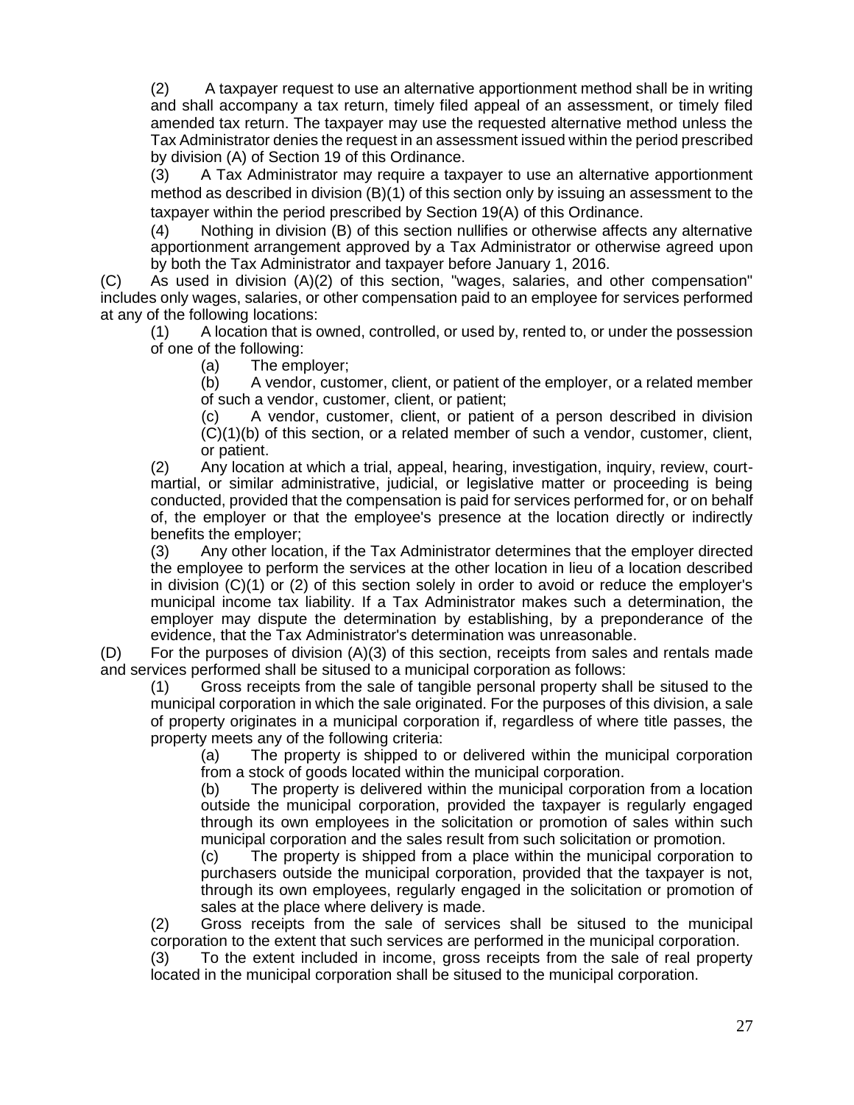(2) A taxpayer request to use an alternative apportionment method shall be in writing and shall accompany a tax return, timely filed appeal of an assessment, or timely filed amended tax return. The taxpayer may use the requested alternative method unless the Tax Administrator denies the request in an assessment issued within the period prescribed by division (A) of Section 19 of this Ordinance.

(3) A Tax Administrator may require a taxpayer to use an alternative apportionment method as described in division (B)(1) of this section only by issuing an assessment to the taxpayer within the period prescribed by Section 19(A) of this Ordinance.

(4) Nothing in division (B) of this section nullifies or otherwise affects any alternative apportionment arrangement approved by a Tax Administrator or otherwise agreed upon by both the Tax Administrator and taxpayer before January 1, 2016.

(C) As used in division (A)(2) of this section, "wages, salaries, and other compensation" includes only wages, salaries, or other compensation paid to an employee for services performed at any of the following locations:

(1) A location that is owned, controlled, or used by, rented to, or under the possession of one of the following:

(a) The employer;

(b) A vendor, customer, client, or patient of the employer, or a related member of such a vendor, customer, client, or patient;

(c) A vendor, customer, client, or patient of a person described in division (C)(1)(b) of this section, or a related member of such a vendor, customer, client, or patient.

(2) Any location at which a trial, appeal, hearing, investigation, inquiry, review, courtmartial, or similar administrative, judicial, or legislative matter or proceeding is being conducted, provided that the compensation is paid for services performed for, or on behalf of, the employer or that the employee's presence at the location directly or indirectly benefits the employer;

(3) Any other location, if the Tax Administrator determines that the employer directed the employee to perform the services at the other location in lieu of a location described in division (C)(1) or (2) of this section solely in order to avoid or reduce the employer's municipal income tax liability. If a Tax Administrator makes such a determination, the employer may dispute the determination by establishing, by a preponderance of the evidence, that the Tax Administrator's determination was unreasonable.

(D) For the purposes of division (A)(3) of this section, receipts from sales and rentals made and services performed shall be sitused to a municipal corporation as follows:

(1) Gross receipts from the sale of tangible personal property shall be sitused to the municipal corporation in which the sale originated. For the purposes of this division, a sale of property originates in a municipal corporation if, regardless of where title passes, the property meets any of the following criteria:

(a) The property is shipped to or delivered within the municipal corporation from a stock of goods located within the municipal corporation.

(b) The property is delivered within the municipal corporation from a location outside the municipal corporation, provided the taxpayer is regularly engaged through its own employees in the solicitation or promotion of sales within such municipal corporation and the sales result from such solicitation or promotion.

(c) The property is shipped from a place within the municipal corporation to purchasers outside the municipal corporation, provided that the taxpayer is not, through its own employees, regularly engaged in the solicitation or promotion of sales at the place where delivery is made.

(2) Gross receipts from the sale of services shall be sitused to the municipal corporation to the extent that such services are performed in the municipal corporation.

(3) To the extent included in income, gross receipts from the sale of real property located in the municipal corporation shall be sitused to the municipal corporation.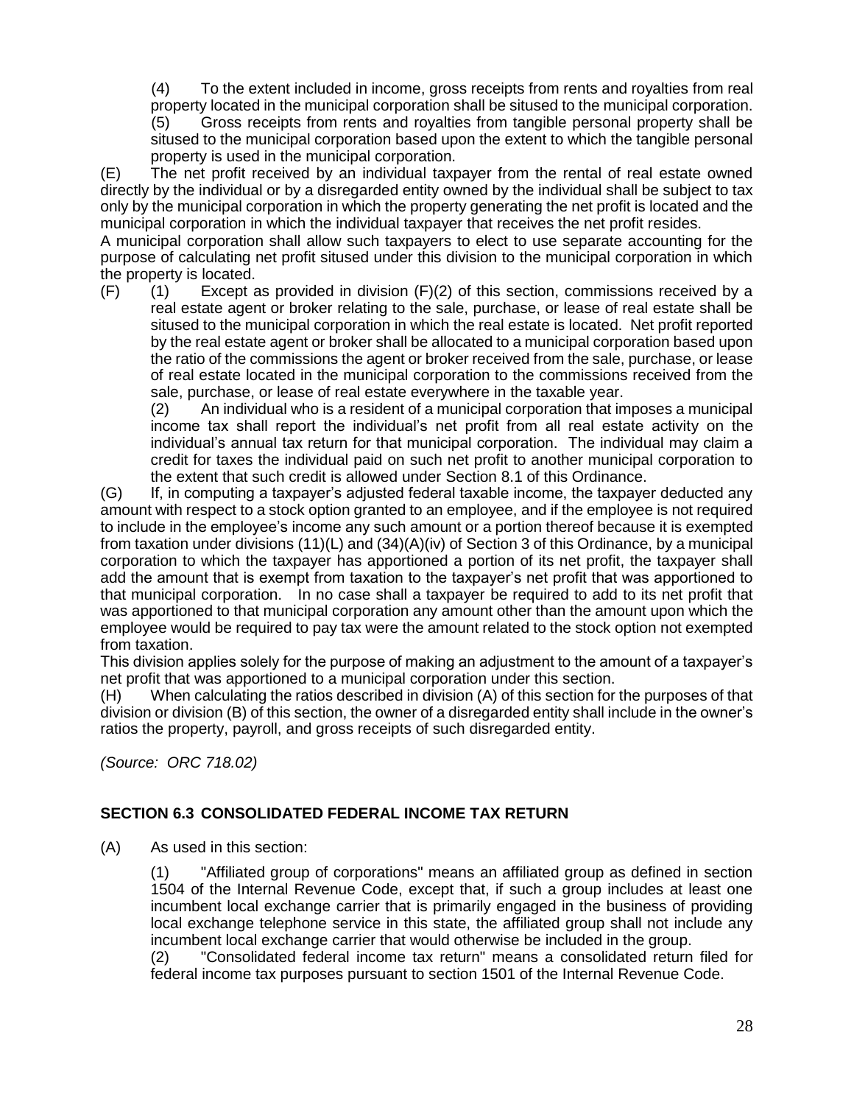(4) To the extent included in income, gross receipts from rents and royalties from real property located in the municipal corporation shall be sitused to the municipal corporation. (5) Gross receipts from rents and royalties from tangible personal property shall be sitused to the municipal corporation based upon the extent to which the tangible personal

property is used in the municipal corporation.

(E) The net profit received by an individual taxpayer from the rental of real estate owned directly by the individual or by a disregarded entity owned by the individual shall be subject to tax only by the municipal corporation in which the property generating the net profit is located and the municipal corporation in which the individual taxpayer that receives the net profit resides.

A municipal corporation shall allow such taxpayers to elect to use separate accounting for the purpose of calculating net profit sitused under this division to the municipal corporation in which the property is located.

 $(F)$  (1) Except as provided in division  $(F)(2)$  of this section, commissions received by a real estate agent or broker relating to the sale, purchase, or lease of real estate shall be sitused to the municipal corporation in which the real estate is located. Net profit reported by the real estate agent or broker shall be allocated to a municipal corporation based upon the ratio of the commissions the agent or broker received from the sale, purchase, or lease of real estate located in the municipal corporation to the commissions received from the sale, purchase, or lease of real estate everywhere in the taxable year.

(2) An individual who is a resident of a municipal corporation that imposes a municipal income tax shall report the individual's net profit from all real estate activity on the individual's annual tax return for that municipal corporation. The individual may claim a credit for taxes the individual paid on such net profit to another municipal corporation to the extent that such credit is allowed under Section 8.1 of this Ordinance.

(G) If, in computing a taxpayer's adjusted federal taxable income, the taxpayer deducted any amount with respect to a stock option granted to an employee, and if the employee is not required to include in the employee's income any such amount or a portion thereof because it is exempted from taxation under divisions  $(11)(L)$  and  $(34)(A)(iv)$  of Section 3 of this Ordinance, by a municipal corporation to which the taxpayer has apportioned a portion of its net profit, the taxpayer shall add the amount that is exempt from taxation to the taxpayer's net profit that was apportioned to that municipal corporation. In no case shall a taxpayer be required to add to its net profit that was apportioned to that municipal corporation any amount other than the amount upon which the employee would be required to pay tax were the amount related to the stock option not exempted from taxation.

This division applies solely for the purpose of making an adjustment to the amount of a taxpayer's net profit that was apportioned to a municipal corporation under this section.

(H) When calculating the ratios described in division (A) of this section for the purposes of that division or division (B) of this section, the owner of a disregarded entity shall include in the owner's ratios the property, payroll, and gross receipts of such disregarded entity.

*(Source: ORC 718.02)*

## **SECTION 6.3 CONSOLIDATED FEDERAL INCOME TAX RETURN**

(A) As used in this section:

(1) "Affiliated group of corporations" means an affiliated group as defined in section 1504 of the Internal Revenue Code, except that, if such a group includes at least one incumbent local exchange carrier that is primarily engaged in the business of providing local exchange telephone service in this state, the affiliated group shall not include any incumbent local exchange carrier that would otherwise be included in the group.

(2) "Consolidated federal income tax return" means a consolidated return filed for federal income tax purposes pursuant to section 1501 of the Internal Revenue Code.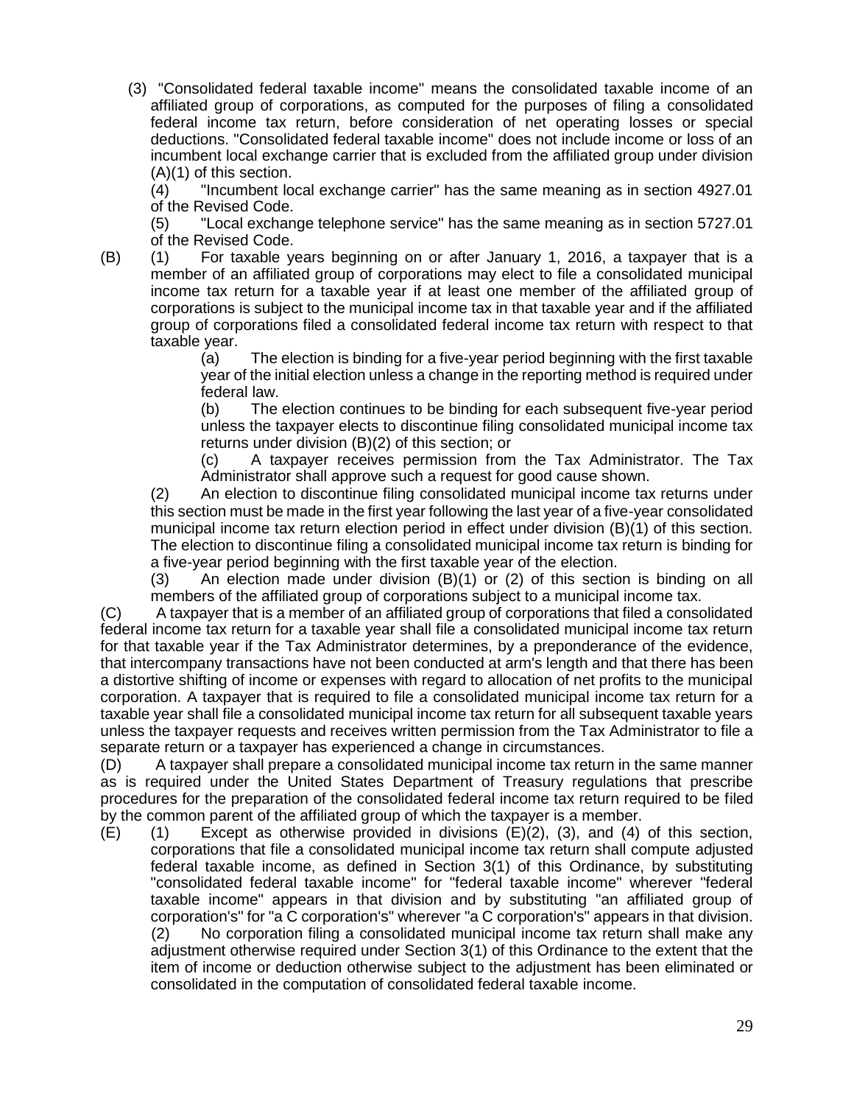(3) "Consolidated federal taxable income" means the consolidated taxable income of an affiliated group of corporations, as computed for the purposes of filing a consolidated federal income tax return, before consideration of net operating losses or special deductions. "Consolidated federal taxable income" does not include income or loss of an incumbent local exchange carrier that is excluded from the affiliated group under division (A)(1) of this section.

(4) "Incumbent local exchange carrier" has the same meaning as in section 4927.01 of the Revised Code.

(5) "Local exchange telephone service" has the same meaning as in section 5727.01 of the Revised Code.

(B) (1) For taxable years beginning on or after January 1, 2016, a taxpayer that is a member of an affiliated group of corporations may elect to file a consolidated municipal income tax return for a taxable year if at least one member of the affiliated group of corporations is subject to the municipal income tax in that taxable year and if the affiliated group of corporations filed a consolidated federal income tax return with respect to that taxable year.

(a) The election is binding for a five-year period beginning with the first taxable year of the initial election unless a change in the reporting method is required under federal law.

(b) The election continues to be binding for each subsequent five-year period unless the taxpayer elects to discontinue filing consolidated municipal income tax returns under division (B)(2) of this section; or

(c) A taxpayer receives permission from the Tax Administrator. The Tax Administrator shall approve such a request for good cause shown.

(2) An election to discontinue filing consolidated municipal income tax returns under this section must be made in the first year following the last year of a five-year consolidated municipal income tax return election period in effect under division (B)(1) of this section. The election to discontinue filing a consolidated municipal income tax return is binding for a five-year period beginning with the first taxable year of the election.

(3) An election made under division (B)(1) or (2) of this section is binding on all members of the affiliated group of corporations subject to a municipal income tax.

(C) A taxpayer that is a member of an affiliated group of corporations that filed a consolidated federal income tax return for a taxable year shall file a consolidated municipal income tax return for that taxable year if the Tax Administrator determines, by a preponderance of the evidence, that intercompany transactions have not been conducted at arm's length and that there has been a distortive shifting of income or expenses with regard to allocation of net profits to the municipal corporation. A taxpayer that is required to file a consolidated municipal income tax return for a taxable year shall file a consolidated municipal income tax return for all subsequent taxable years unless the taxpayer requests and receives written permission from the Tax Administrator to file a separate return or a taxpayer has experienced a change in circumstances.

(D) A taxpayer shall prepare a consolidated municipal income tax return in the same manner as is required under the United States Department of Treasury regulations that prescribe procedures for the preparation of the consolidated federal income tax return required to be filed by the common parent of the affiliated group of which the taxpayer is a member.

(E) (1) Except as otherwise provided in divisions (E)(2), (3), and (4) of this section, corporations that file a consolidated municipal income tax return shall compute adjusted federal taxable income, as defined in Section 3(1) of this Ordinance, by substituting "consolidated federal taxable income" for "federal taxable income" wherever "federal taxable income" appears in that division and by substituting "an affiliated group of corporation's" for "a C corporation's" wherever "a C corporation's" appears in that division. (2) No corporation filing a consolidated municipal income tax return shall make any adjustment otherwise required under Section 3(1) of this Ordinance to the extent that the item of income or deduction otherwise subject to the adjustment has been eliminated or consolidated in the computation of consolidated federal taxable income.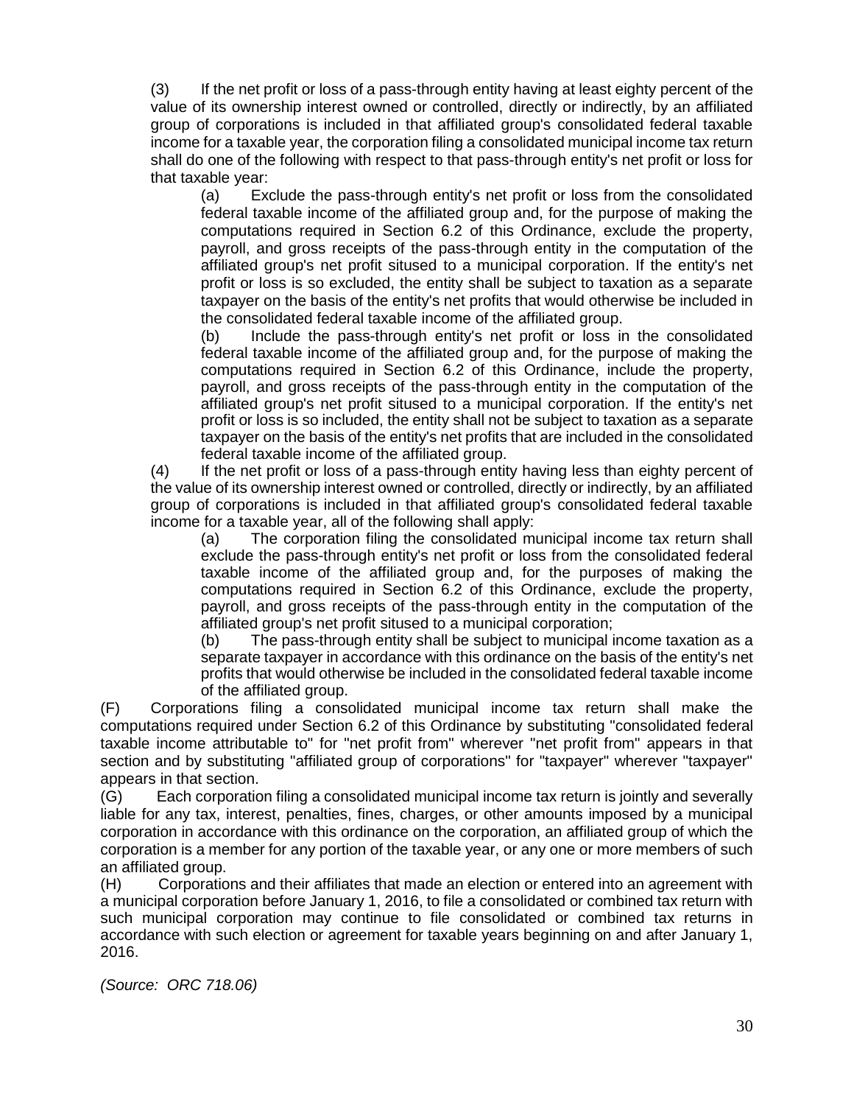(3) If the net profit or loss of a pass-through entity having at least eighty percent of the value of its ownership interest owned or controlled, directly or indirectly, by an affiliated group of corporations is included in that affiliated group's consolidated federal taxable income for a taxable year, the corporation filing a consolidated municipal income tax return shall do one of the following with respect to that pass-through entity's net profit or loss for that taxable year:

(a) Exclude the pass-through entity's net profit or loss from the consolidated federal taxable income of the affiliated group and, for the purpose of making the computations required in Section 6.2 of this Ordinance, exclude the property, payroll, and gross receipts of the pass-through entity in the computation of the affiliated group's net profit sitused to a municipal corporation. If the entity's net profit or loss is so excluded, the entity shall be subject to taxation as a separate taxpayer on the basis of the entity's net profits that would otherwise be included in the consolidated federal taxable income of the affiliated group.

(b) Include the pass-through entity's net profit or loss in the consolidated federal taxable income of the affiliated group and, for the purpose of making the computations required in Section 6.2 of this Ordinance, include the property, payroll, and gross receipts of the pass-through entity in the computation of the affiliated group's net profit sitused to a municipal corporation. If the entity's net profit or loss is so included, the entity shall not be subject to taxation as a separate taxpayer on the basis of the entity's net profits that are included in the consolidated federal taxable income of the affiliated group.

(4) If the net profit or loss of a pass-through entity having less than eighty percent of the value of its ownership interest owned or controlled, directly or indirectly, by an affiliated group of corporations is included in that affiliated group's consolidated federal taxable income for a taxable year, all of the following shall apply:

(a) The corporation filing the consolidated municipal income tax return shall exclude the pass-through entity's net profit or loss from the consolidated federal taxable income of the affiliated group and, for the purposes of making the computations required in Section 6.2 of this Ordinance, exclude the property, payroll, and gross receipts of the pass-through entity in the computation of the affiliated group's net profit sitused to a municipal corporation;

(b) The pass-through entity shall be subject to municipal income taxation as a separate taxpayer in accordance with this ordinance on the basis of the entity's net profits that would otherwise be included in the consolidated federal taxable income of the affiliated group.

(F) Corporations filing a consolidated municipal income tax return shall make the computations required under Section 6.2 of this Ordinance by substituting "consolidated federal taxable income attributable to" for "net profit from" wherever "net profit from" appears in that section and by substituting "affiliated group of corporations" for "taxpayer" wherever "taxpayer" appears in that section.

(G) Each corporation filing a consolidated municipal income tax return is jointly and severally liable for any tax, interest, penalties, fines, charges, or other amounts imposed by a municipal corporation in accordance with this ordinance on the corporation, an affiliated group of which the corporation is a member for any portion of the taxable year, or any one or more members of such an affiliated group.

(H) Corporations and their affiliates that made an election or entered into an agreement with a municipal corporation before January 1, 2016, to file a consolidated or combined tax return with such municipal corporation may continue to file consolidated or combined tax returns in accordance with such election or agreement for taxable years beginning on and after January 1, 2016.

*(Source: ORC 718.06)*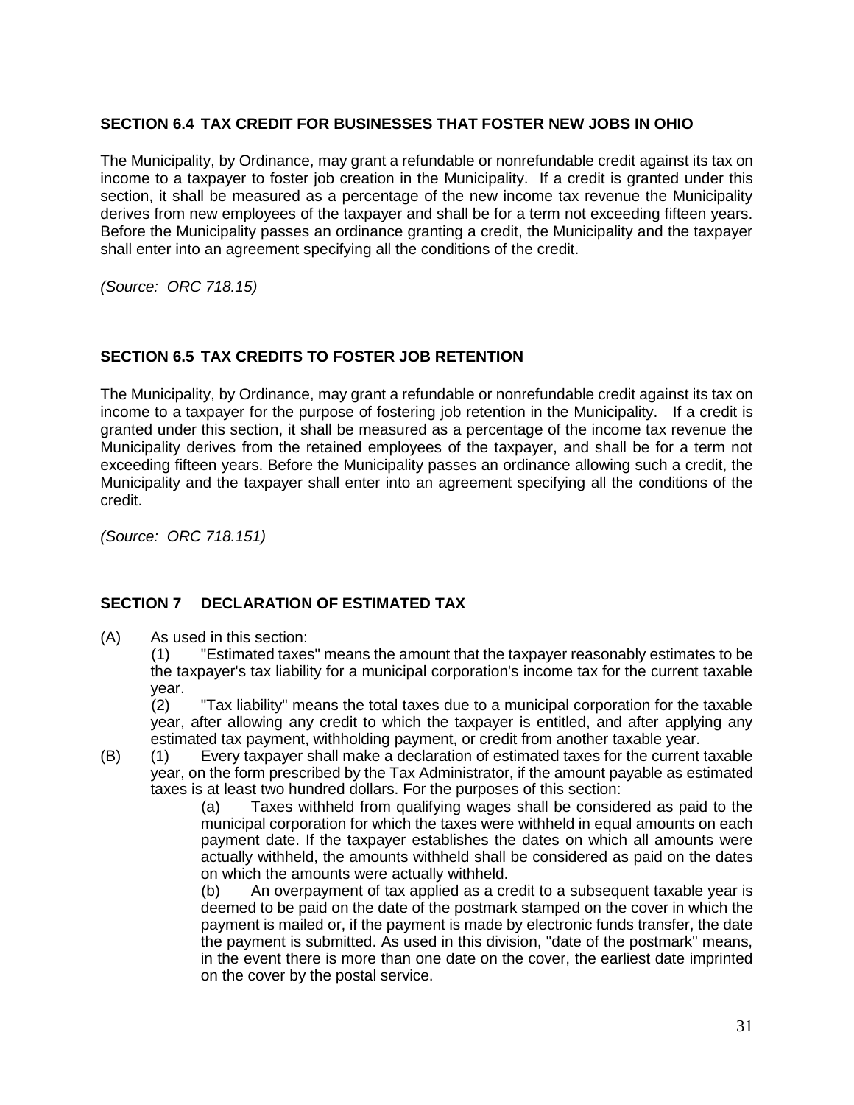## **SECTION 6.4 TAX CREDIT FOR BUSINESSES THAT FOSTER NEW JOBS IN OHIO**

The Municipality, by Ordinance, may grant a refundable or nonrefundable credit against its tax on income to a taxpayer to foster job creation in the Municipality. If a credit is granted under this section, it shall be measured as a percentage of the new income tax revenue the Municipality derives from new employees of the taxpayer and shall be for a term not exceeding fifteen years. Before the Municipality passes an ordinance granting a credit, the Municipality and the taxpayer shall enter into an agreement specifying all the conditions of the credit.

*(Source: ORC 718.15)* 

## **SECTION 6.5 TAX CREDITS TO FOSTER JOB RETENTION**

The Municipality, by Ordinance, may grant a refundable or nonrefundable credit against its tax on income to a taxpayer for the purpose of fostering job retention in the Municipality. If a credit is granted under this section, it shall be measured as a percentage of the income tax revenue the Municipality derives from the retained employees of the taxpayer, and shall be for a term not exceeding fifteen years. Before the Municipality passes an ordinance allowing such a credit, the Municipality and the taxpayer shall enter into an agreement specifying all the conditions of the credit.

*(Source: ORC 718.151)*

## **SECTION 7 DECLARATION OF ESTIMATED TAX**

(A) As used in this section:

(1) "Estimated taxes" means the amount that the taxpayer reasonably estimates to be the taxpayer's tax liability for a municipal corporation's income tax for the current taxable year.

(2) "Tax liability" means the total taxes due to a municipal corporation for the taxable year, after allowing any credit to which the taxpayer is entitled, and after applying any estimated tax payment, withholding payment, or credit from another taxable year.

(B) (1) Every taxpayer shall make a declaration of estimated taxes for the current taxable year, on the form prescribed by the Tax Administrator, if the amount payable as estimated taxes is at least two hundred dollars. For the purposes of this section:

(a) Taxes withheld from qualifying wages shall be considered as paid to the municipal corporation for which the taxes were withheld in equal amounts on each payment date. If the taxpayer establishes the dates on which all amounts were actually withheld, the amounts withheld shall be considered as paid on the dates on which the amounts were actually withheld.

(b) An overpayment of tax applied as a credit to a subsequent taxable year is deemed to be paid on the date of the postmark stamped on the cover in which the payment is mailed or, if the payment is made by electronic funds transfer, the date the payment is submitted. As used in this division, "date of the postmark" means, in the event there is more than one date on the cover, the earliest date imprinted on the cover by the postal service.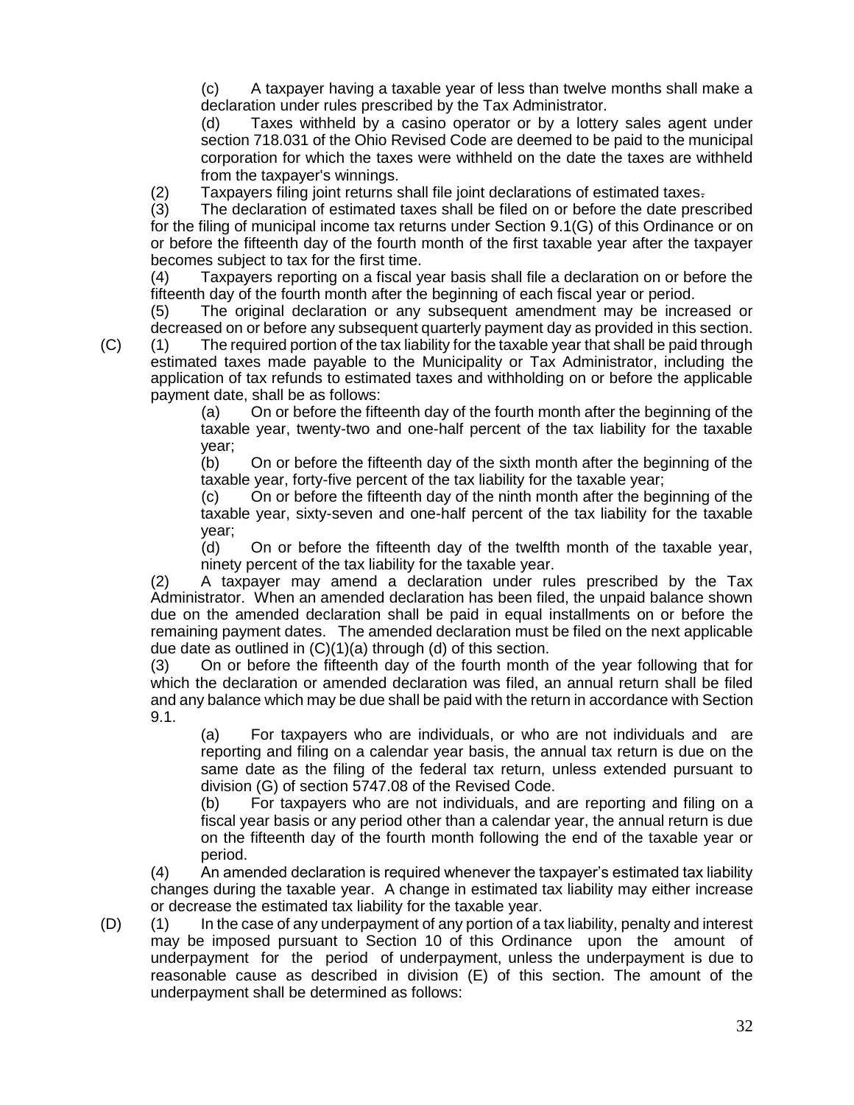(c) A taxpayer having a taxable year of less than twelve months shall make a declaration under rules prescribed by the Tax Administrator.

(d) Taxes withheld by a casino operator or by a lottery sales agent under section 718.031 of the Ohio Revised Code are deemed to be paid to the municipal corporation for which the taxes were withheld on the date the taxes are withheld from the taxpayer's winnings.

(2) Taxpayers filing joint returns shall file joint declarations of estimated taxes.

(3) The declaration of estimated taxes shall be filed on or before the date prescribed for the filing of municipal income tax returns under Section 9.1(G) of this Ordinance or on or before the fifteenth day of the fourth month of the first taxable year after the taxpayer becomes subject to tax for the first time.

(4) Taxpayers reporting on a fiscal year basis shall file a declaration on or before the fifteenth day of the fourth month after the beginning of each fiscal year or period.

(5) The original declaration or any subsequent amendment may be increased or decreased on or before any subsequent quarterly payment day as provided in this section.

(C) (1) The required portion of the tax liability for the taxable year that shall be paid through estimated taxes made payable to the Municipality or Tax Administrator, including the application of tax refunds to estimated taxes and withholding on or before the applicable payment date, shall be as follows:

> (a) On or before the fifteenth day of the fourth month after the beginning of the taxable year, twenty-two and one-half percent of the tax liability for the taxable year;

> (b) On or before the fifteenth day of the sixth month after the beginning of the taxable year, forty-five percent of the tax liability for the taxable year;

> (c) On or before the fifteenth day of the ninth month after the beginning of the taxable year, sixty-seven and one-half percent of the tax liability for the taxable year;

> (d) On or before the fifteenth day of the twelfth month of the taxable year, ninety percent of the tax liability for the taxable year.

(2) A taxpayer may amend a declaration under rules prescribed by the Tax Administrator. When an amended declaration has been filed, the unpaid balance shown due on the amended declaration shall be paid in equal installments on or before the remaining payment dates. The amended declaration must be filed on the next applicable due date as outlined in (C)(1)(a) through (d) of this section.

(3) On or before the fifteenth day of the fourth month of the year following that for which the declaration or amended declaration was filed, an annual return shall be filed and any balance which may be due shall be paid with the return in accordance with Section 9.1.

(a) For taxpayers who are individuals, or who are not individuals and are reporting and filing on a calendar year basis, the annual tax return is due on the same date as the filing of the federal tax return, unless extended pursuant to division (G) of section 5747.08 of the Revised Code.

(b) For taxpayers who are not individuals, and are reporting and filing on a fiscal year basis or any period other than a calendar year, the annual return is due on the fifteenth day of the fourth month following the end of the taxable year or period.

(4) An amended declaration is required whenever the taxpayer's estimated tax liability changes during the taxable year. A change in estimated tax liability may either increase or decrease the estimated tax liability for the taxable year.

(D) (1) In the case of any underpayment of any portion of a tax liability, penalty and interest may be imposed pursuant to Section 10 of this Ordinance upon the amount of underpayment for the period of underpayment, unless the underpayment is due to reasonable cause as described in division (E) of this section. The amount of the underpayment shall be determined as follows: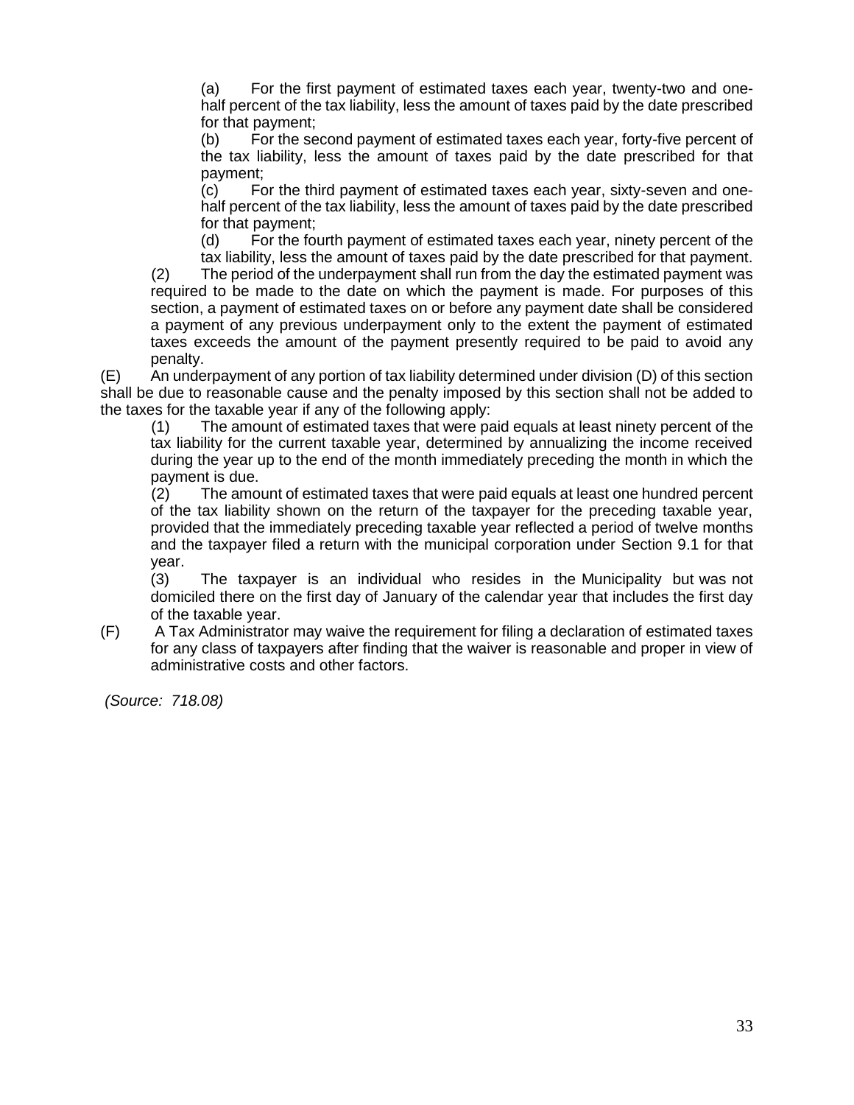(a) For the first payment of estimated taxes each year, twenty-two and onehalf percent of the tax liability, less the amount of taxes paid by the date prescribed for that payment;

(b) For the second payment of estimated taxes each year, forty-five percent of the tax liability, less the amount of taxes paid by the date prescribed for that payment;

(c) For the third payment of estimated taxes each year, sixty-seven and onehalf percent of the tax liability, less the amount of taxes paid by the date prescribed for that payment;

(d) For the fourth payment of estimated taxes each year, ninety percent of the tax liability, less the amount of taxes paid by the date prescribed for that payment. (2) The period of the underpayment shall run from the day the estimated payment was required to be made to the date on which the payment is made. For purposes of this section, a payment of estimated taxes on or before any payment date shall be considered a payment of any previous underpayment only to the extent the payment of estimated taxes exceeds the amount of the payment presently required to be paid to avoid any

penalty. (E) An underpayment of any portion of tax liability determined under division (D) of this section shall be due to reasonable cause and the penalty imposed by this section shall not be added to the taxes for the taxable year if any of the following apply:

(1) The amount of estimated taxes that were paid equals at least ninety percent of the tax liability for the current taxable year, determined by annualizing the income received during the year up to the end of the month immediately preceding the month in which the payment is due.

(2) The amount of estimated taxes that were paid equals at least one hundred percent of the tax liability shown on the return of the taxpayer for the preceding taxable year, provided that the immediately preceding taxable year reflected a period of twelve months and the taxpayer filed a return with the municipal corporation under Section 9.1 for that year.

(3) The taxpayer is an individual who resides in the Municipality but was not domiciled there on the first day of January of the calendar year that includes the first day of the taxable year.

(F) A Tax Administrator may waive the requirement for filing a declaration of estimated taxes for any class of taxpayers after finding that the waiver is reasonable and proper in view of administrative costs and other factors.

*(Source: 718.08)*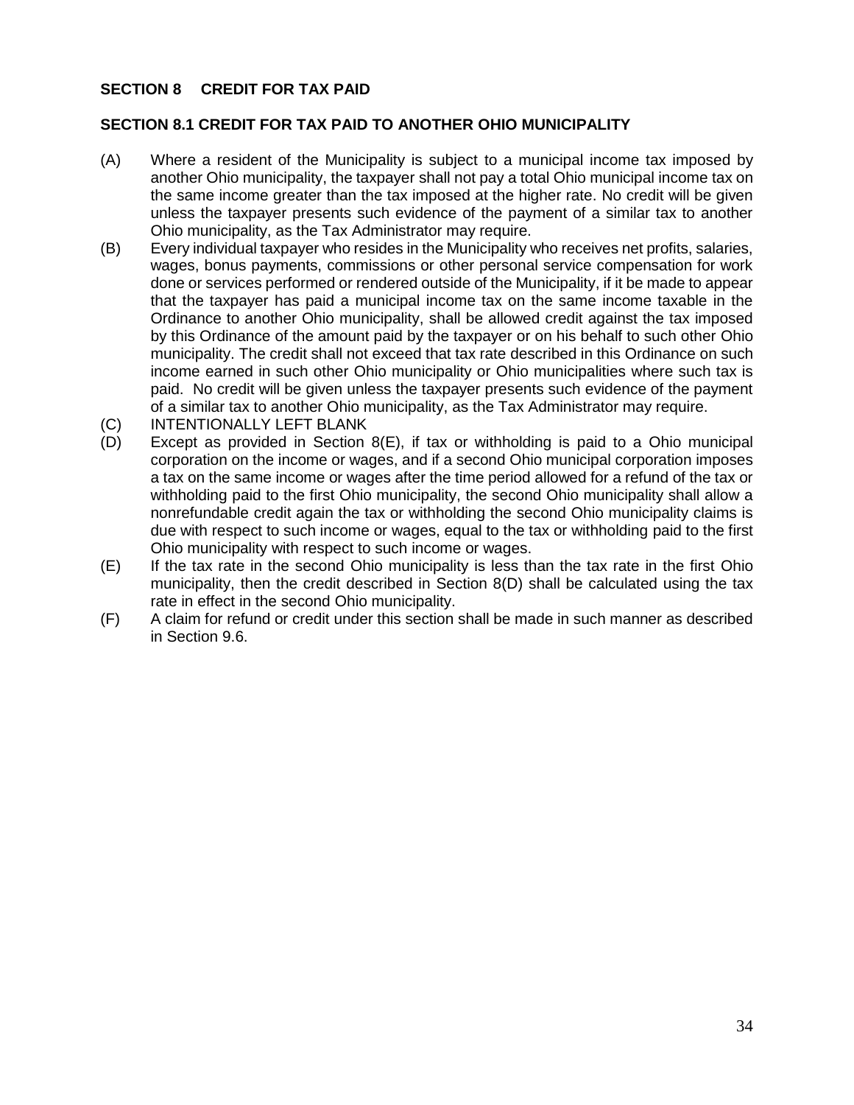## **SECTION 8 CREDIT FOR TAX PAID**

#### **SECTION 8.1 CREDIT FOR TAX PAID TO ANOTHER OHIO MUNICIPALITY**

- (A) Where a resident of the Municipality is subject to a municipal income tax imposed by another Ohio municipality, the taxpayer shall not pay a total Ohio municipal income tax on the same income greater than the tax imposed at the higher rate. No credit will be given unless the taxpayer presents such evidence of the payment of a similar tax to another Ohio municipality, as the Tax Administrator may require.
- (B) Every individual taxpayer who resides in the Municipality who receives net profits, salaries, wages, bonus payments, commissions or other personal service compensation for work done or services performed or rendered outside of the Municipality, if it be made to appear that the taxpayer has paid a municipal income tax on the same income taxable in the Ordinance to another Ohio municipality, shall be allowed credit against the tax imposed by this Ordinance of the amount paid by the taxpayer or on his behalf to such other Ohio municipality. The credit shall not exceed that tax rate described in this Ordinance on such income earned in such other Ohio municipality or Ohio municipalities where such tax is paid. No credit will be given unless the taxpayer presents such evidence of the payment of a similar tax to another Ohio municipality, as the Tax Administrator may require.
- (C) INTENTIONALLY LEFT BLANK
- (D) Except as provided in Section 8(E), if tax or withholding is paid to a Ohio municipal corporation on the income or wages, and if a second Ohio municipal corporation imposes a tax on the same income or wages after the time period allowed for a refund of the tax or withholding paid to the first Ohio municipality, the second Ohio municipality shall allow a nonrefundable credit again the tax or withholding the second Ohio municipality claims is due with respect to such income or wages, equal to the tax or withholding paid to the first Ohio municipality with respect to such income or wages.
- (E) If the tax rate in the second Ohio municipality is less than the tax rate in the first Ohio municipality, then the credit described in Section 8(D) shall be calculated using the tax rate in effect in the second Ohio municipality.
- (F) A claim for refund or credit under this section shall be made in such manner as described in Section 9.6.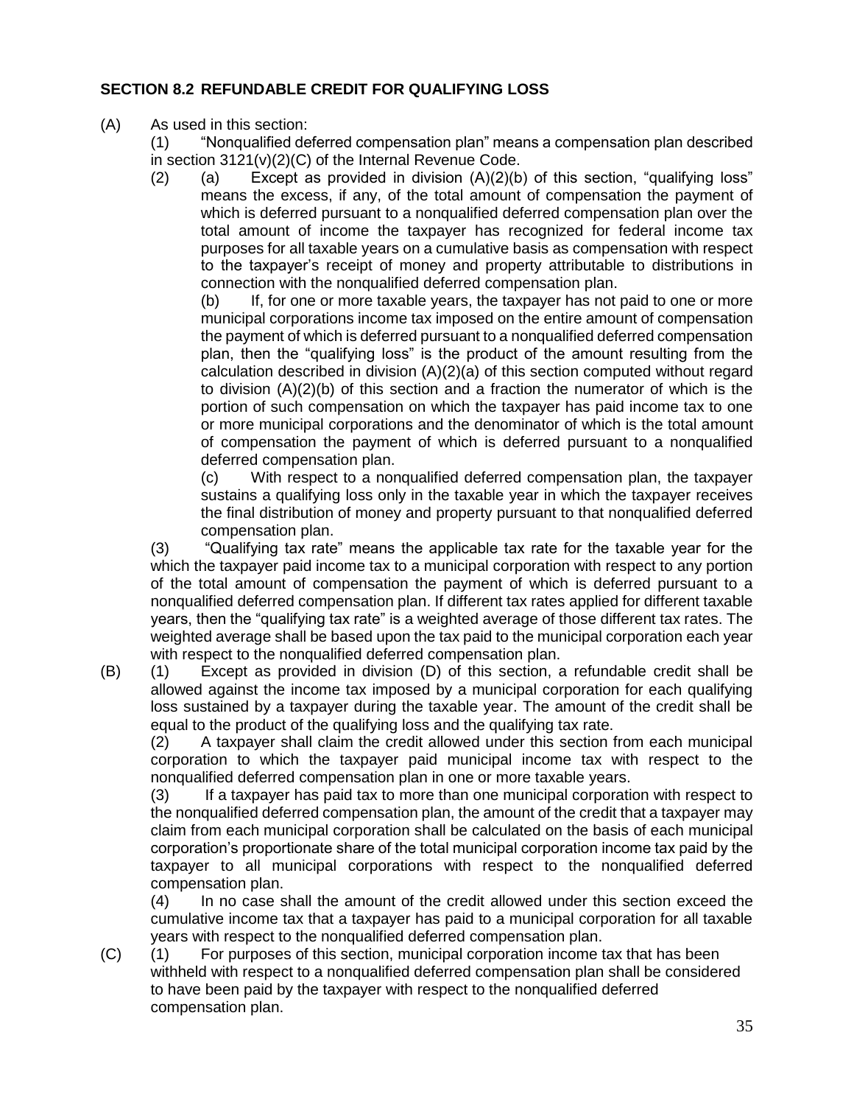# **SECTION 8.2 REFUNDABLE CREDIT FOR QUALIFYING LOSS**

(A) As used in this section:

(1) "Nonqualified deferred compensation plan" means a compensation plan described in section 3121(v)(2)(C) of the Internal Revenue Code.

(2) (a) Except as provided in division  $(A)(2)(b)$  of this section, "qualifying loss" means the excess, if any, of the total amount of compensation the payment of which is deferred pursuant to a nonqualified deferred compensation plan over the total amount of income the taxpayer has recognized for federal income tax purposes for all taxable years on a cumulative basis as compensation with respect to the taxpayer's receipt of money and property attributable to distributions in connection with the nonqualified deferred compensation plan.

(b) If, for one or more taxable years, the taxpayer has not paid to one or more municipal corporations income tax imposed on the entire amount of compensation the payment of which is deferred pursuant to a nonqualified deferred compensation plan, then the "qualifying loss" is the product of the amount resulting from the calculation described in division (A)(2)(a) of this section computed without regard to division  $(A)(2)(b)$  of this section and a fraction the numerator of which is the portion of such compensation on which the taxpayer has paid income tax to one or more municipal corporations and the denominator of which is the total amount of compensation the payment of which is deferred pursuant to a nonqualified deferred compensation plan.

(c) With respect to a nonqualified deferred compensation plan, the taxpayer sustains a qualifying loss only in the taxable year in which the taxpayer receives the final distribution of money and property pursuant to that nonqualified deferred compensation plan.

(3) "Qualifying tax rate" means the applicable tax rate for the taxable year for the which the taxpayer paid income tax to a municipal corporation with respect to any portion of the total amount of compensation the payment of which is deferred pursuant to a nonqualified deferred compensation plan. If different tax rates applied for different taxable years, then the "qualifying tax rate" is a weighted average of those different tax rates. The weighted average shall be based upon the tax paid to the municipal corporation each year with respect to the nonqualified deferred compensation plan.

(B) (1) Except as provided in division (D) of this section, a refundable credit shall be allowed against the income tax imposed by a municipal corporation for each qualifying loss sustained by a taxpayer during the taxable year. The amount of the credit shall be equal to the product of the qualifying loss and the qualifying tax rate.

(2) A taxpayer shall claim the credit allowed under this section from each municipal corporation to which the taxpayer paid municipal income tax with respect to the nonqualified deferred compensation plan in one or more taxable years.

(3) If a taxpayer has paid tax to more than one municipal corporation with respect to the nonqualified deferred compensation plan, the amount of the credit that a taxpayer may claim from each municipal corporation shall be calculated on the basis of each municipal corporation's proportionate share of the total municipal corporation income tax paid by the taxpayer to all municipal corporations with respect to the nonqualified deferred compensation plan.

(4) In no case shall the amount of the credit allowed under this section exceed the cumulative income tax that a taxpayer has paid to a municipal corporation for all taxable years with respect to the nonqualified deferred compensation plan.

(C) (1) For purposes of this section, municipal corporation income tax that has been withheld with respect to a nonqualified deferred compensation plan shall be considered to have been paid by the taxpayer with respect to the nonqualified deferred compensation plan.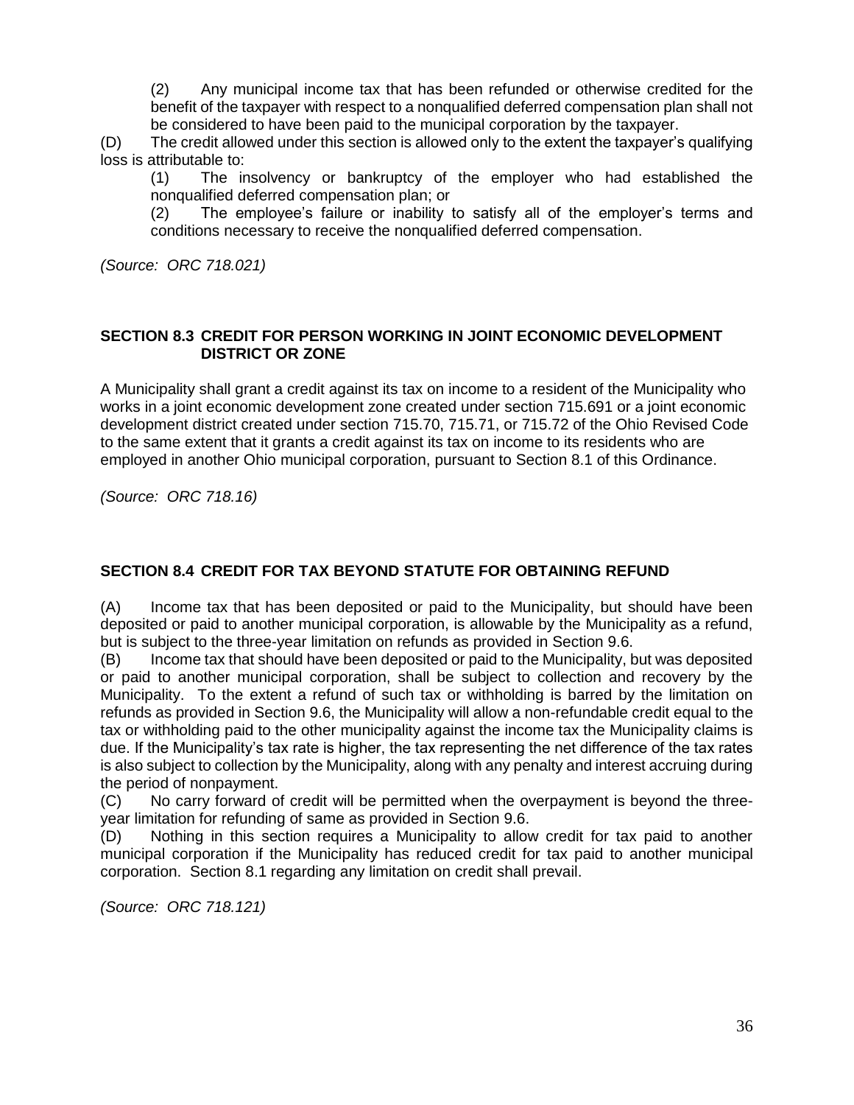(2) Any municipal income tax that has been refunded or otherwise credited for the benefit of the taxpayer with respect to a nonqualified deferred compensation plan shall not be considered to have been paid to the municipal corporation by the taxpayer.

(D) The credit allowed under this section is allowed only to the extent the taxpayer's qualifying loss is attributable to:

(1) The insolvency or bankruptcy of the employer who had established the nonqualified deferred compensation plan; or

(2) The employee's failure or inability to satisfy all of the employer's terms and conditions necessary to receive the nonqualified deferred compensation.

*(Source: ORC 718.021)*

## **SECTION 8.3 CREDIT FOR PERSON WORKING IN JOINT ECONOMIC DEVELOPMENT DISTRICT OR ZONE**

A Municipality shall grant a credit against its tax on income to a resident of the Municipality who works in a joint economic development zone created under section [715.691](http://codes.ohio.gov/orc/715.691) or a joint economic development district created under section [715.70,](http://codes.ohio.gov/orc/715.70) [715.71,](http://codes.ohio.gov/orc/715.71) or [715.72](http://codes.ohio.gov/orc/715.72) of the Ohio Revised Code to the same extent that it grants a credit against its tax on income to its residents who are employed in another Ohio municipal corporation, pursuant to Section 8.1 of this Ordinance.

*(Source: ORC 718.16)*

### **SECTION 8.4 CREDIT FOR TAX BEYOND STATUTE FOR OBTAINING REFUND**

(A) Income tax that has been deposited or paid to the Municipality, but should have been deposited or paid to another municipal corporation, is allowable by the Municipality as a refund, but is subject to the three-year limitation on refunds as provided in Section 9.6.

(B) Income tax that should have been deposited or paid to the Municipality, but was deposited or paid to another municipal corporation, shall be subject to collection and recovery by the Municipality. To the extent a refund of such tax or withholding is barred by the limitation on refunds as provided in Section 9.6, the Municipality will allow a non-refundable credit equal to the tax or withholding paid to the other municipality against the income tax the Municipality claims is due. If the Municipality's tax rate is higher, the tax representing the net difference of the tax rates is also subject to collection by the Municipality, along with any penalty and interest accruing during the period of nonpayment.

(C) No carry forward of credit will be permitted when the overpayment is beyond the threeyear limitation for refunding of same as provided in Section 9.6.

(D) Nothing in this section requires a Municipality to allow credit for tax paid to another municipal corporation if the Municipality has reduced credit for tax paid to another municipal corporation. Section 8.1 regarding any limitation on credit shall prevail.

*(Source: ORC 718.121)*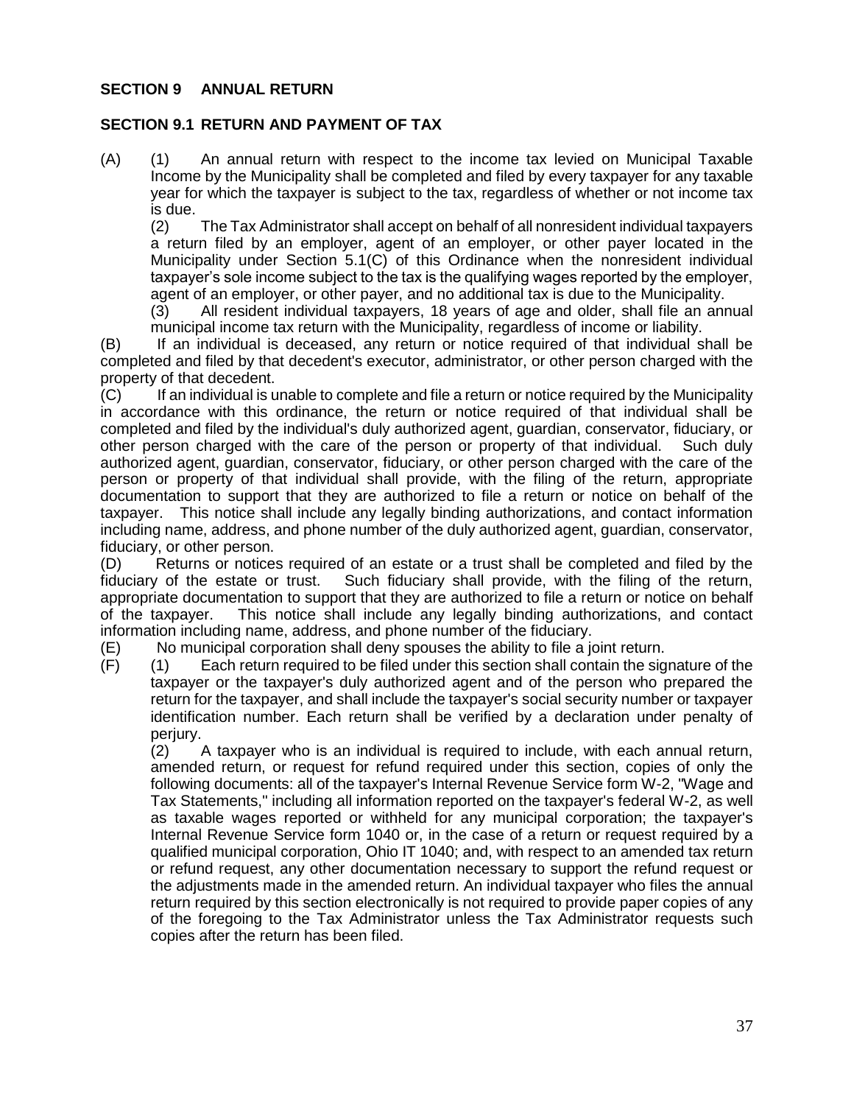### **SECTION 9 ANNUAL RETURN**

#### **SECTION 9.1 RETURN AND PAYMENT OF TAX**

(A) (1) An annual return with respect to the income tax levied on Municipal Taxable Income by the Municipality shall be completed and filed by every taxpayer for any taxable year for which the taxpayer is subject to the tax, regardless of whether or not income tax is due.

(2) The Tax Administrator shall accept on behalf of all nonresident individual taxpayers a return filed by an employer, agent of an employer, or other payer located in the Municipality under Section 5.1(C) of this Ordinance when the nonresident individual taxpayer's sole income subject to the tax is the qualifying wages reported by the employer, agent of an employer, or other payer, and no additional tax is due to the Municipality.

(3) All resident individual taxpayers, 18 years of age and older, shall file an annual municipal income tax return with the Municipality, regardless of income or liability.

(B) If an individual is deceased, any return or notice required of that individual shall be completed and filed by that decedent's executor, administrator, or other person charged with the property of that decedent.

(C) If an individual is unable to complete and file a return or notice required by the Municipality in accordance with this ordinance, the return or notice required of that individual shall be completed and filed by the individual's duly authorized agent, guardian, conservator, fiduciary, or other person charged with the care of the person or property of that individual. Such duly authorized agent, guardian, conservator, fiduciary, or other person charged with the care of the person or property of that individual shall provide, with the filing of the return, appropriate documentation to support that they are authorized to file a return or notice on behalf of the taxpayer. This notice shall include any legally binding authorizations, and contact information including name, address, and phone number of the duly authorized agent, guardian, conservator, fiduciary, or other person.

(D) Returns or notices required of an estate or a trust shall be completed and filed by the fiduciary of the estate or trust. Such fiduciary shall provide, with the filing of the return, appropriate documentation to support that they are authorized to file a return or notice on behalf of the taxpayer. This notice shall include any legally binding authorizations, and contact information including name, address, and phone number of the fiduciary.

(E) No municipal corporation shall deny spouses the ability to file a joint return.

(F) (1) Each return required to be filed under this section shall contain the signature of the taxpayer or the taxpayer's duly authorized agent and of the person who prepared the return for the taxpayer, and shall include the taxpayer's social security number or taxpayer identification number. Each return shall be verified by a declaration under penalty of perjury.

 $(2)$  A taxpayer who is an individual is required to include, with each annual return, amended return, or request for refund required under this section, copies of only the following documents: all of the taxpayer's Internal Revenue Service form W-2, "Wage and Tax Statements," including all information reported on the taxpayer's federal W-2, as well as taxable wages reported or withheld for any municipal corporation; the taxpayer's Internal Revenue Service form 1040 or, in the case of a return or request required by a qualified municipal corporation, Ohio IT 1040; and, with respect to an amended tax return or refund request, any other documentation necessary to support the refund request or the adjustments made in the amended return. An individual taxpayer who files the annual return required by this section electronically is not required to provide paper copies of any of the foregoing to the Tax Administrator unless the Tax Administrator requests such copies after the return has been filed.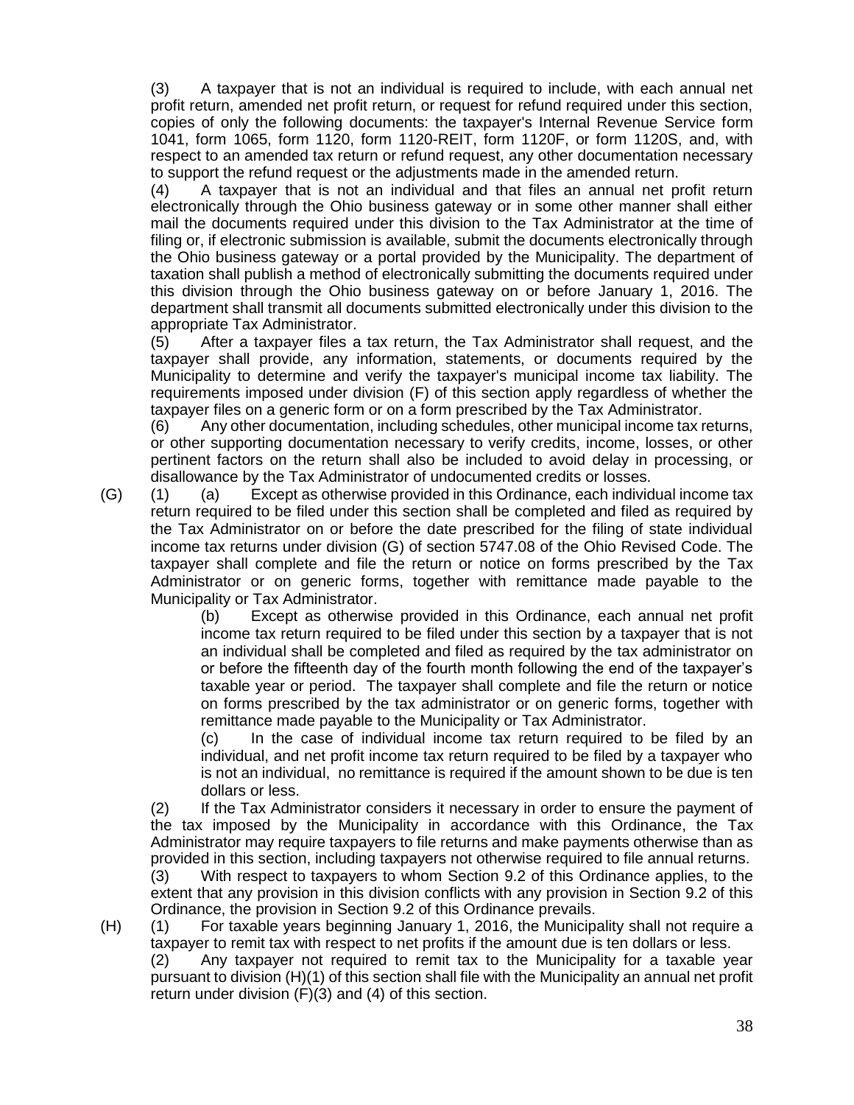(3) A taxpayer that is not an individual is required to include, with each annual net profit return, amended net profit return, or request for refund required under this section, copies of only the following documents: the taxpayer's Internal Revenue Service form 1041, form 1065, form 1120, form 1120-REIT, form 1120F, or form 1120S, and, with respect to an amended tax return or refund request, any other documentation necessary to support the refund request or the adjustments made in the amended return.

(4) A taxpayer that is not an individual and that files an annual net profit return electronically through the Ohio business gateway or in some other manner shall either mail the documents required under this division to the Tax Administrator at the time of filing or, if electronic submission is available, submit the documents electronically through the Ohio business gateway or a portal provided by the Municipality. The department of taxation shall publish a method of electronically submitting the documents required under this division through the Ohio business gateway on or before January 1, 2016. The department shall transmit all documents submitted electronically under this division to the appropriate Tax Administrator.

(5) After a taxpayer files a tax return, the Tax Administrator shall request, and the taxpayer shall provide, any information, statements, or documents required by the Municipality to determine and verify the taxpayer's municipal income tax liability. The requirements imposed under division (F) of this section apply regardless of whether the taxpayer files on a generic form or on a form prescribed by the Tax Administrator.

(6) Any other documentation, including schedules, other municipal income tax returns, or other supporting documentation necessary to verify credits, income, losses, or other pertinent factors on the return shall also be included to avoid delay in processing, or disallowance by the Tax Administrator of undocumented credits or losses.

(G) (1) (a) Except as otherwise provided in this Ordinance, each individual income tax return required to be filed under this section shall be completed and filed as required by the Tax Administrator on or before the date prescribed for the filing of state individual income tax returns under division (G) of section 5747.08 of the Ohio Revised Code. The taxpayer shall complete and file the return or notice on forms prescribed by the Tax Administrator or on generic forms, together with remittance made payable to the Municipality or Tax Administrator.

> (b) Except as otherwise provided in this Ordinance, each annual net profit income tax return required to be filed under this section by a taxpayer that is not an individual shall be completed and filed as required by the tax administrator on or before the fifteenth day of the fourth month following the end of the taxpayer's taxable year or period. The taxpayer shall complete and file the return or notice on forms prescribed by the tax administrator or on generic forms, together with remittance made payable to the Municipality or Tax Administrator.

> (c) In the case of individual income tax return required to be filed by an individual, and net profit income tax return required to be filed by a taxpayer who is not an individual, no remittance is required if the amount shown to be due is ten dollars or less.

(2) If the Tax Administrator considers it necessary in order to ensure the payment of the tax imposed by the Municipality in accordance with this Ordinance, the Tax Administrator may require taxpayers to file returns and make payments otherwise than as provided in this section, including taxpayers not otherwise required to file annual returns. (3) With respect to taxpayers to whom Section 9.2 of this Ordinance applies, to the

extent that any provision in this division conflicts with any provision in Section 9.2 of this Ordinance, the provision in Section 9.2 of this Ordinance prevails.

(H) (1) For taxable years beginning January 1, 2016, the Municipality shall not require a taxpayer to remit tax with respect to net profits if the amount due is ten dollars or less.

(2) Any taxpayer not required to remit tax to the Municipality for a taxable year pursuant to division (H)(1) of this section shall file with the Municipality an annual net profit return under division (F)(3) and (4) of this section.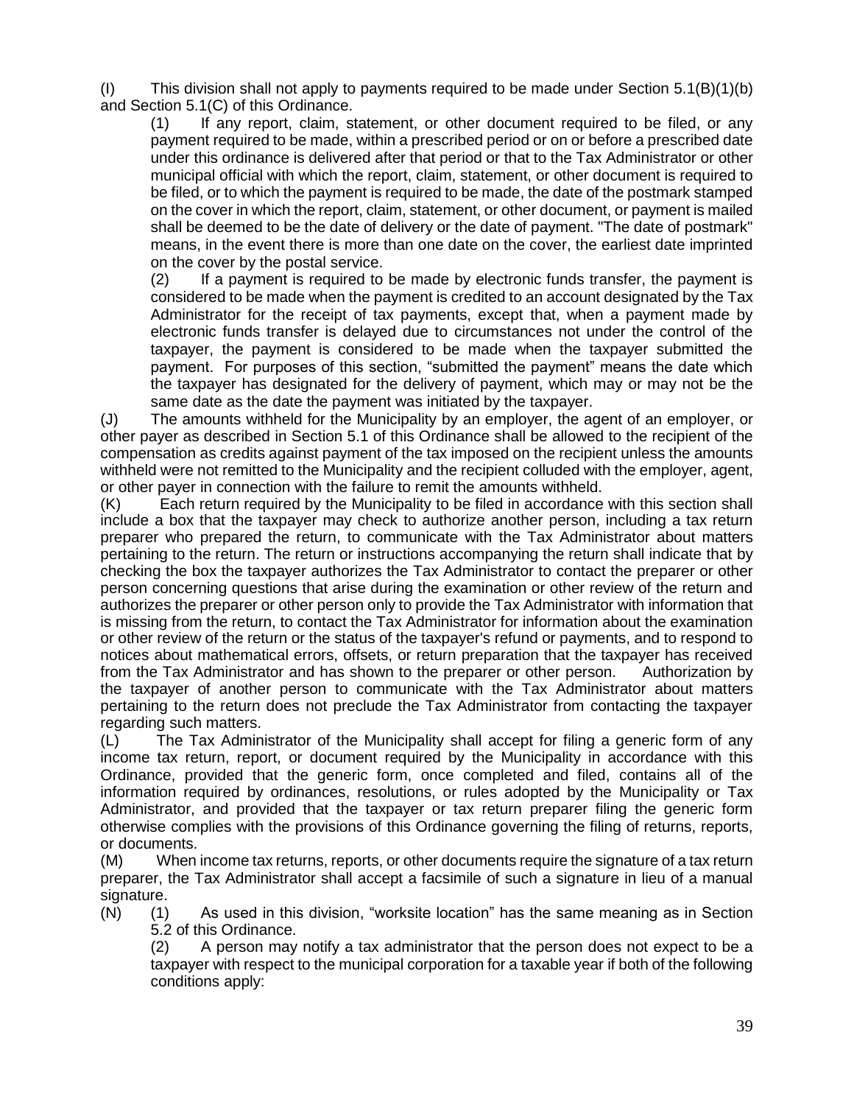(I) This division shall not apply to payments required to be made under Section  $5.1(B)(1)(b)$ and Section 5.1(C) of this Ordinance.

(1) If any report, claim, statement, or other document required to be filed, or any payment required to be made, within a prescribed period or on or before a prescribed date under this ordinance is delivered after that period or that to the Tax Administrator or other municipal official with which the report, claim, statement, or other document is required to be filed, or to which the payment is required to be made, the date of the postmark stamped on the cover in which the report, claim, statement, or other document, or payment is mailed shall be deemed to be the date of delivery or the date of payment. "The date of postmark" means, in the event there is more than one date on the cover, the earliest date imprinted on the cover by the postal service.

(2) If a payment is required to be made by electronic funds transfer, the payment is considered to be made when the payment is credited to an account designated by the Tax Administrator for the receipt of tax payments, except that, when a payment made by electronic funds transfer is delayed due to circumstances not under the control of the taxpayer, the payment is considered to be made when the taxpayer submitted the payment. For purposes of this section, "submitted the payment" means the date which the taxpayer has designated for the delivery of payment, which may or may not be the same date as the date the payment was initiated by the taxpayer.

(J) The amounts withheld for the Municipality by an employer, the agent of an employer, or other payer as described in Section 5.1 of this Ordinance shall be allowed to the recipient of the compensation as credits against payment of the tax imposed on the recipient unless the amounts withheld were not remitted to the Municipality and the recipient colluded with the employer, agent, or other payer in connection with the failure to remit the amounts withheld.

(K) Each return required by the Municipality to be filed in accordance with this section shall include a box that the taxpayer may check to authorize another person, including a tax return preparer who prepared the return, to communicate with the Tax Administrator about matters pertaining to the return. The return or instructions accompanying the return shall indicate that by checking the box the taxpayer authorizes the Tax Administrator to contact the preparer or other person concerning questions that arise during the examination or other review of the return and authorizes the preparer or other person only to provide the Tax Administrator with information that is missing from the return, to contact the Tax Administrator for information about the examination or other review of the return or the status of the taxpayer's refund or payments, and to respond to notices about mathematical errors, offsets, or return preparation that the taxpayer has received from the Tax Administrator and has shown to the preparer or other person. Authorization by the taxpayer of another person to communicate with the Tax Administrator about matters pertaining to the return does not preclude the Tax Administrator from contacting the taxpayer regarding such matters.

(L) The Tax Administrator of the Municipality shall accept for filing a generic form of any income tax return, report, or document required by the Municipality in accordance with this Ordinance, provided that the generic form, once completed and filed, contains all of the information required by ordinances, resolutions, or rules adopted by the Municipality or Tax Administrator, and provided that the taxpayer or tax return preparer filing the generic form otherwise complies with the provisions of this Ordinance governing the filing of returns, reports, or documents.

(M) When income tax returns, reports, or other documents require the signature of a tax return preparer, the Tax Administrator shall accept a facsimile of such a signature in lieu of a manual signature.

(N) (1) As used in this division, "worksite location" has the same meaning as in Section 5.2 of this Ordinance.

(2) A person may notify a tax administrator that the person does not expect to be a taxpayer with respect to the municipal corporation for a taxable year if both of the following conditions apply: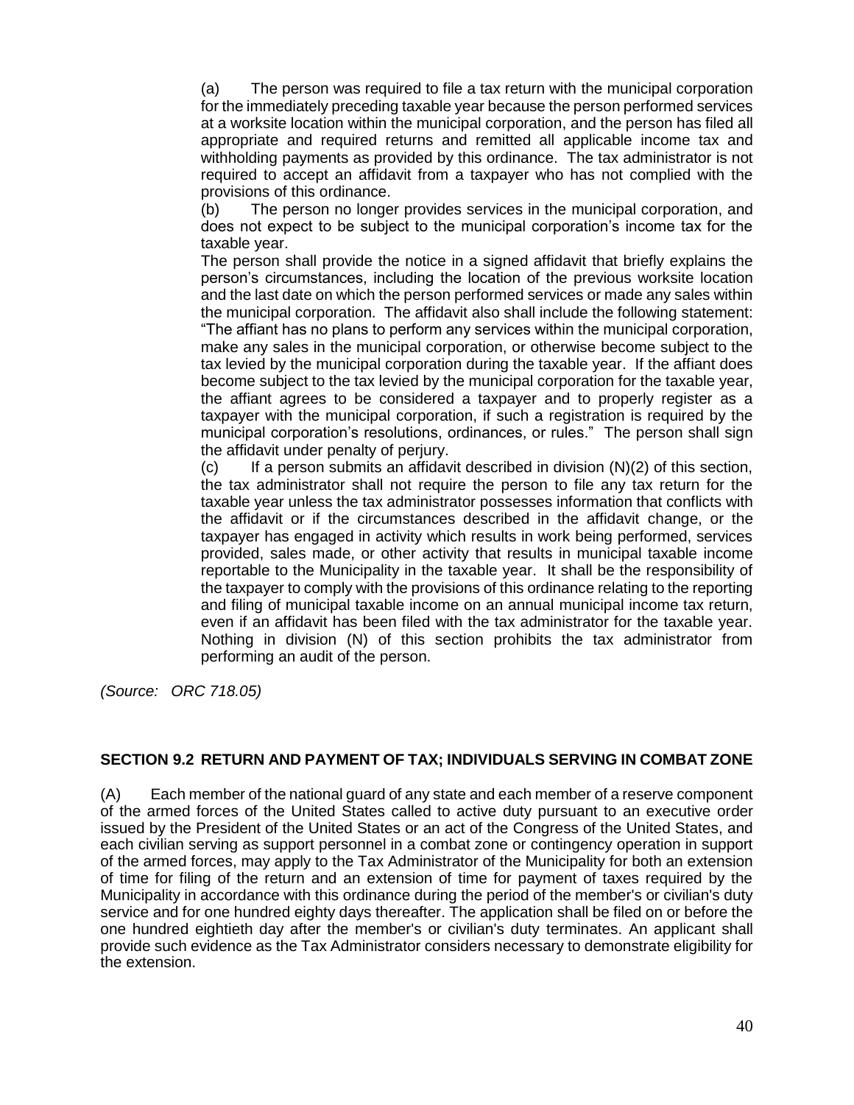(a) The person was required to file a tax return with the municipal corporation for the immediately preceding taxable year because the person performed services at a worksite location within the municipal corporation, and the person has filed all appropriate and required returns and remitted all applicable income tax and withholding payments as provided by this ordinance. The tax administrator is not required to accept an affidavit from a taxpayer who has not complied with the provisions of this ordinance.

(b) The person no longer provides services in the municipal corporation, and does not expect to be subject to the municipal corporation's income tax for the taxable year.

The person shall provide the notice in a signed affidavit that briefly explains the person's circumstances, including the location of the previous worksite location and the last date on which the person performed services or made any sales within the municipal corporation. The affidavit also shall include the following statement: "The affiant has no plans to perform any services within the municipal corporation, make any sales in the municipal corporation, or otherwise become subject to the tax levied by the municipal corporation during the taxable year. If the affiant does become subject to the tax levied by the municipal corporation for the taxable year, the affiant agrees to be considered a taxpayer and to properly register as a taxpayer with the municipal corporation, if such a registration is required by the municipal corporation's resolutions, ordinances, or rules." The person shall sign the affidavit under penalty of perjury.

 $(c)$  If a person submits an affidavit described in division  $(N)(2)$  of this section, the tax administrator shall not require the person to file any tax return for the taxable year unless the tax administrator possesses information that conflicts with the affidavit or if the circumstances described in the affidavit change, or the taxpayer has engaged in activity which results in work being performed, services provided, sales made, or other activity that results in municipal taxable income reportable to the Municipality in the taxable year. It shall be the responsibility of the taxpayer to comply with the provisions of this ordinance relating to the reporting and filing of municipal taxable income on an annual municipal income tax return, even if an affidavit has been filed with the tax administrator for the taxable year. Nothing in division (N) of this section prohibits the tax administrator from performing an audit of the person.

*(Source: ORC 718.05)*

### **SECTION 9.2 RETURN AND PAYMENT OF TAX; INDIVIDUALS SERVING IN COMBAT ZONE**

(A) Each member of the national guard of any state and each member of a reserve component of the armed forces of the United States called to active duty pursuant to an executive order issued by the President of the United States or an act of the Congress of the United States, and each civilian serving as support personnel in a combat zone or contingency operation in support of the armed forces, may apply to the Tax Administrator of the Municipality for both an extension of time for filing of the return and an extension of time for payment of taxes required by the Municipality in accordance with this ordinance during the period of the member's or civilian's duty service and for one hundred eighty days thereafter. The application shall be filed on or before the one hundred eightieth day after the member's or civilian's duty terminates. An applicant shall provide such evidence as the Tax Administrator considers necessary to demonstrate eligibility for the extension.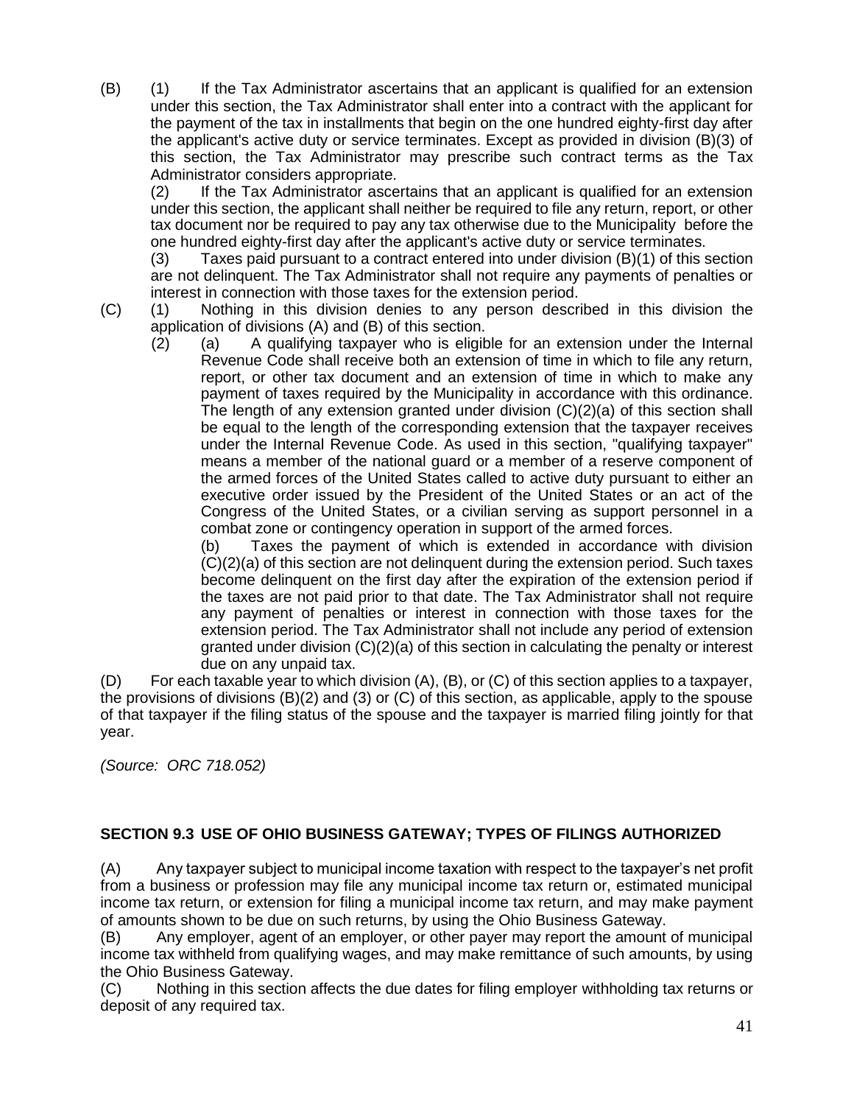(B) (1) If the Tax Administrator ascertains that an applicant is qualified for an extension under this section, the Tax Administrator shall enter into a contract with the applicant for the payment of the tax in installments that begin on the one hundred eighty-first day after the applicant's active duty or service terminates. Except as provided in division (B)(3) of this section, the Tax Administrator may prescribe such contract terms as the Tax Administrator considers appropriate.

(2) If the Tax Administrator ascertains that an applicant is qualified for an extension under this section, the applicant shall neither be required to file any return, report, or other tax document nor be required to pay any tax otherwise due to the Municipality before the one hundred eighty-first day after the applicant's active duty or service terminates.

(3) Taxes paid pursuant to a contract entered into under division (B)(1) of this section are not delinquent. The Tax Administrator shall not require any payments of penalties or interest in connection with those taxes for the extension period.

- (C) (1) Nothing in this division denies to any person described in this division the application of divisions (A) and (B) of this section.
	- (2) (a) A qualifying taxpayer who is eligible for an extension under the Internal Revenue Code shall receive both an extension of time in which to file any return, report, or other tax document and an extension of time in which to make any payment of taxes required by the Municipality in accordance with this ordinance. The length of any extension granted under division (C)(2)(a) of this section shall be equal to the length of the corresponding extension that the taxpayer receives under the Internal Revenue Code. As used in this section, "qualifying taxpayer" means a member of the national guard or a member of a reserve component of the armed forces of the United States called to active duty pursuant to either an executive order issued by the President of the United States or an act of the Congress of the United States, or a civilian serving as support personnel in a combat zone or contingency operation in support of the armed forces.

(b) Taxes the payment of which is extended in accordance with division (C)(2)(a) of this section are not delinquent during the extension period. Such taxes become delinquent on the first day after the expiration of the extension period if the taxes are not paid prior to that date. The Tax Administrator shall not require any payment of penalties or interest in connection with those taxes for the extension period. The Tax Administrator shall not include any period of extension granted under division (C)(2)(a) of this section in calculating the penalty or interest due on any unpaid tax.

(D) For each taxable year to which division (A), (B), or (C) of this section applies to a taxpayer, the provisions of divisions (B)(2) and (3) or (C) of this section, as applicable, apply to the spouse of that taxpayer if the filing status of the spouse and the taxpayer is married filing jointly for that year.

*(Source: ORC 718.052)*

### **SECTION 9.3 USE OF OHIO BUSINESS GATEWAY; TYPES OF FILINGS AUTHORIZED**

(A) Any taxpayer subject to municipal income taxation with respect to the taxpayer's net profit from a business or profession may file any municipal income tax return or, estimated municipal income tax return, or extension for filing a municipal income tax return, and may make payment of amounts shown to be due on such returns, by using the Ohio Business Gateway.

(B) Any employer, agent of an employer, or other payer may report the amount of municipal income tax withheld from qualifying wages, and may make remittance of such amounts, by using the Ohio Business Gateway.

(C) Nothing in this section affects the due dates for filing employer withholding tax returns or deposit of any required tax.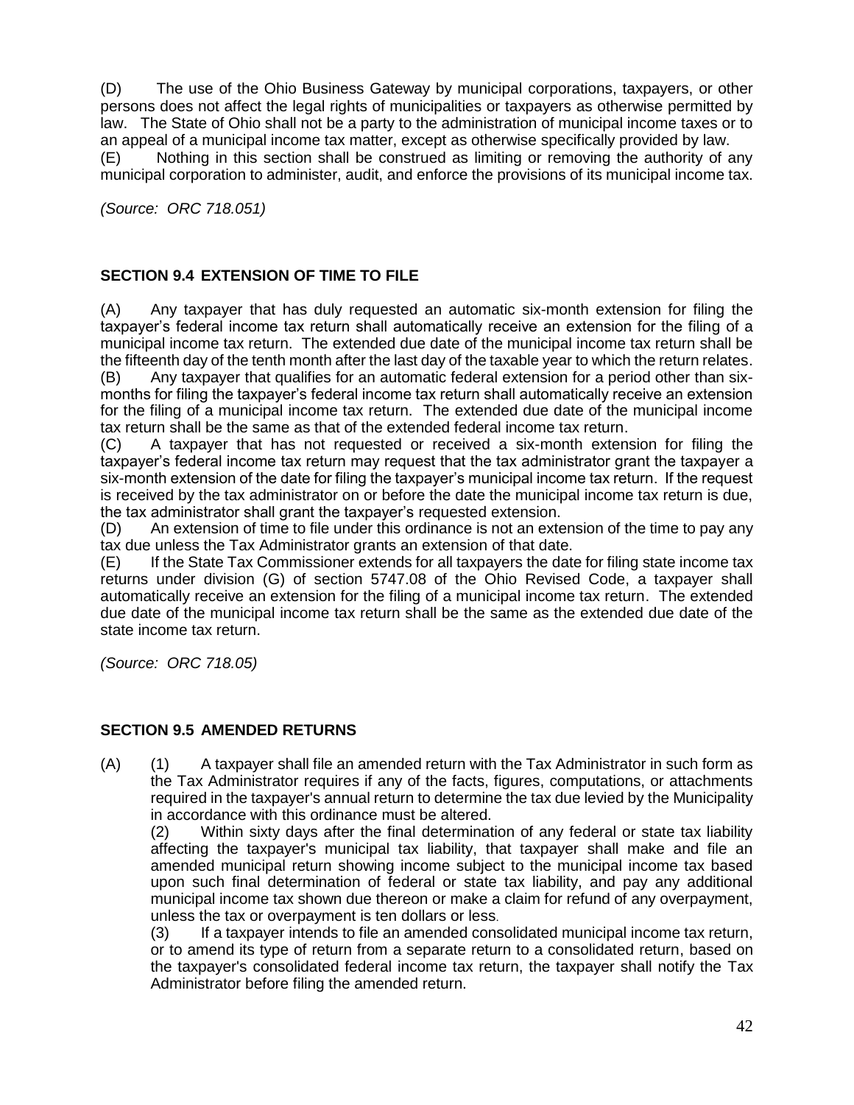(D) The use of the Ohio Business Gateway by municipal corporations, taxpayers, or other persons does not affect the legal rights of municipalities or taxpayers as otherwise permitted by law. The State of Ohio shall not be a party to the administration of municipal income taxes or to an appeal of a municipal income tax matter, except as otherwise specifically provided by law. (E) Nothing in this section shall be construed as limiting or removing the authority of any municipal corporation to administer, audit, and enforce the provisions of its municipal income tax.

*(Source: ORC 718.051)*

## **SECTION 9.4 EXTENSION OF TIME TO FILE**

(A) Any taxpayer that has duly requested an automatic six-month extension for filing the taxpayer's federal income tax return shall automatically receive an extension for the filing of a municipal income tax return. The extended due date of the municipal income tax return shall be the fifteenth day of the tenth month after the last day of the taxable year to which the return relates.

(B) Any taxpayer that qualifies for an automatic federal extension for a period other than sixmonths for filing the taxpayer's federal income tax return shall automatically receive an extension for the filing of a municipal income tax return. The extended due date of the municipal income tax return shall be the same as that of the extended federal income tax return.

(C) A taxpayer that has not requested or received a six-month extension for filing the taxpayer's federal income tax return may request that the tax administrator grant the taxpayer a six-month extension of the date for filing the taxpayer's municipal income tax return. If the request is received by the tax administrator on or before the date the municipal income tax return is due, the tax administrator shall grant the taxpayer's requested extension.

(D) An extension of time to file under this ordinance is not an extension of the time to pay any tax due unless the Tax Administrator grants an extension of that date.

(E) If the State Tax Commissioner extends for all taxpayers the date for filing state income tax returns under division (G) of section 5747.08 of the Ohio Revised Code, a taxpayer shall automatically receive an extension for the filing of a municipal income tax return. The extended due date of the municipal income tax return shall be the same as the extended due date of the state income tax return.

*(Source: ORC 718.05)*

### **SECTION 9.5 AMENDED RETURNS**

(A) (1) A taxpayer shall file an amended return with the Tax Administrator in such form as the Tax Administrator requires if any of the facts, figures, computations, or attachments required in the taxpayer's annual return to determine the tax due levied by the Municipality in accordance with this ordinance must be altered.

(2) Within sixty days after the final determination of any federal or state tax liability affecting the taxpayer's municipal tax liability, that taxpayer shall make and file an amended municipal return showing income subject to the municipal income tax based upon such final determination of federal or state tax liability, and pay any additional municipal income tax shown due thereon or make a claim for refund of any overpayment, unless the tax or overpayment is ten dollars or less.

(3) If a taxpayer intends to file an amended consolidated municipal income tax return, or to amend its type of return from a separate return to a consolidated return, based on the taxpayer's consolidated federal income tax return, the taxpayer shall notify the Tax Administrator before filing the amended return.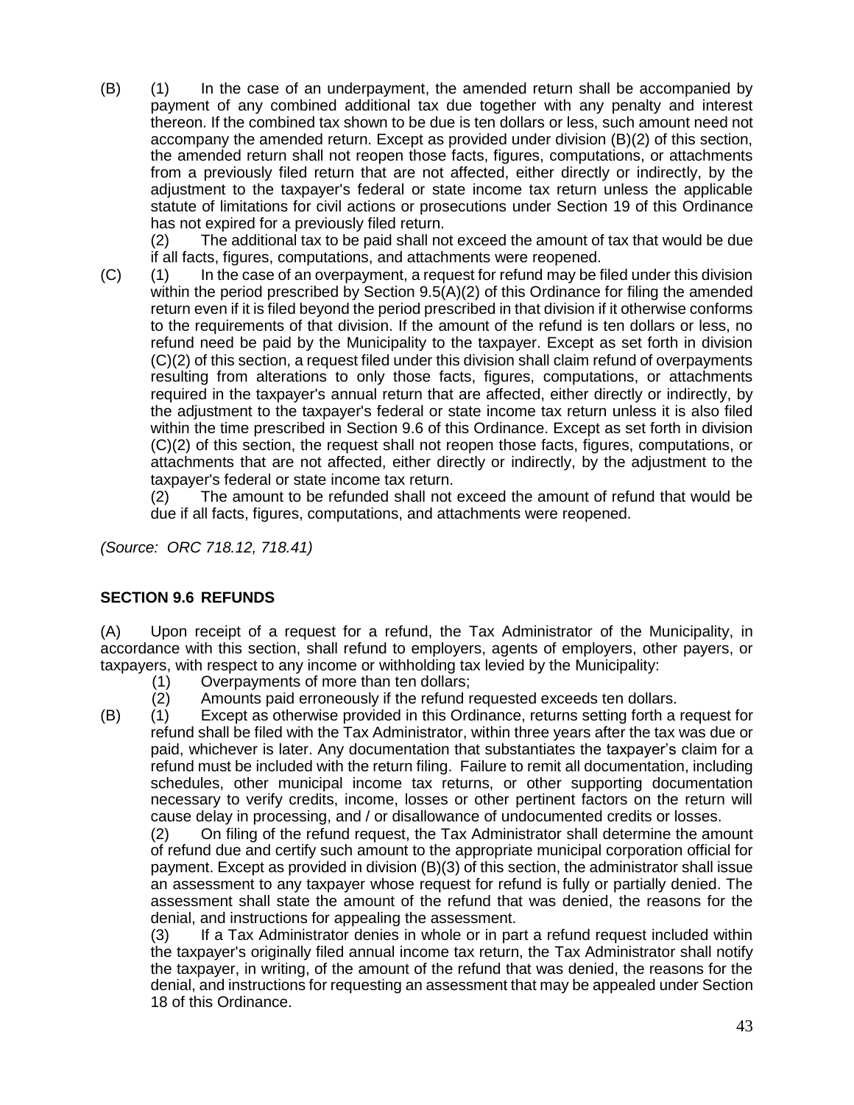(B) (1) In the case of an underpayment, the amended return shall be accompanied by payment of any combined additional tax due together with any penalty and interest thereon. If the combined tax shown to be due is ten dollars or less, such amount need not accompany the amended return. Except as provided under division (B)(2) of this section, the amended return shall not reopen those facts, figures, computations, or attachments from a previously filed return that are not affected, either directly or indirectly, by the adjustment to the taxpayer's federal or state income tax return unless the applicable statute of limitations for civil actions or prosecutions under Section 19 of this Ordinance has not expired for a previously filed return.

(2) The additional tax to be paid shall not exceed the amount of tax that would be due if all facts, figures, computations, and attachments were reopened.

(C) (1) In the case of an overpayment, a request for refund may be filed under this division within the period prescribed by Section 9.5(A)(2) of this Ordinance for filing the amended return even if it is filed beyond the period prescribed in that division if it otherwise conforms to the requirements of that division. If the amount of the refund is ten dollars or less, no refund need be paid by the Municipality to the taxpayer. Except as set forth in division (C)(2) of this section, a request filed under this division shall claim refund of overpayments resulting from alterations to only those facts, figures, computations, or attachments required in the taxpayer's annual return that are affected, either directly or indirectly, by the adjustment to the taxpayer's federal or state income tax return unless it is also filed within the time prescribed in Section 9.6 of this Ordinance. Except as set forth in division (C)(2) of this section, the request shall not reopen those facts, figures, computations, or attachments that are not affected, either directly or indirectly, by the adjustment to the taxpayer's federal or state income tax return.

(2) The amount to be refunded shall not exceed the amount of refund that would be due if all facts, figures, computations, and attachments were reopened.

*(Source: ORC 718.12, 718.41)*

### **SECTION 9.6 REFUNDS**

(A) Upon receipt of a request for a refund, the Tax Administrator of the Municipality, in accordance with this section, shall refund to employers, agents of employers, other payers, or taxpayers, with respect to any income or withholding tax levied by the Municipality:

- (1) Overpayments of more than ten dollars;<br>(2) Amounts paid erroneously if the refund r
- Amounts paid erroneously if the refund requested exceeds ten dollars.
- (B) (1) Except as otherwise provided in this Ordinance, returns setting forth a request for refund shall be filed with the Tax Administrator, within three years after the tax was due or paid, whichever is later. Any documentation that substantiates the taxpayer's claim for a refund must be included with the return filing. Failure to remit all documentation, including schedules, other municipal income tax returns, or other supporting documentation necessary to verify credits, income, losses or other pertinent factors on the return will cause delay in processing, and / or disallowance of undocumented credits or losses.

(2) On filing of the refund request, the Tax Administrator shall determine the amount of refund due and certify such amount to the appropriate municipal corporation official for payment. Except as provided in division (B)(3) of this section, the administrator shall issue an assessment to any taxpayer whose request for refund is fully or partially denied. The assessment shall state the amount of the refund that was denied, the reasons for the denial, and instructions for appealing the assessment.

(3) If a Tax Administrator denies in whole or in part a refund request included within the taxpayer's originally filed annual income tax return, the Tax Administrator shall notify the taxpayer, in writing, of the amount of the refund that was denied, the reasons for the denial, and instructions for requesting an assessment that may be appealed under Section 18 of this Ordinance.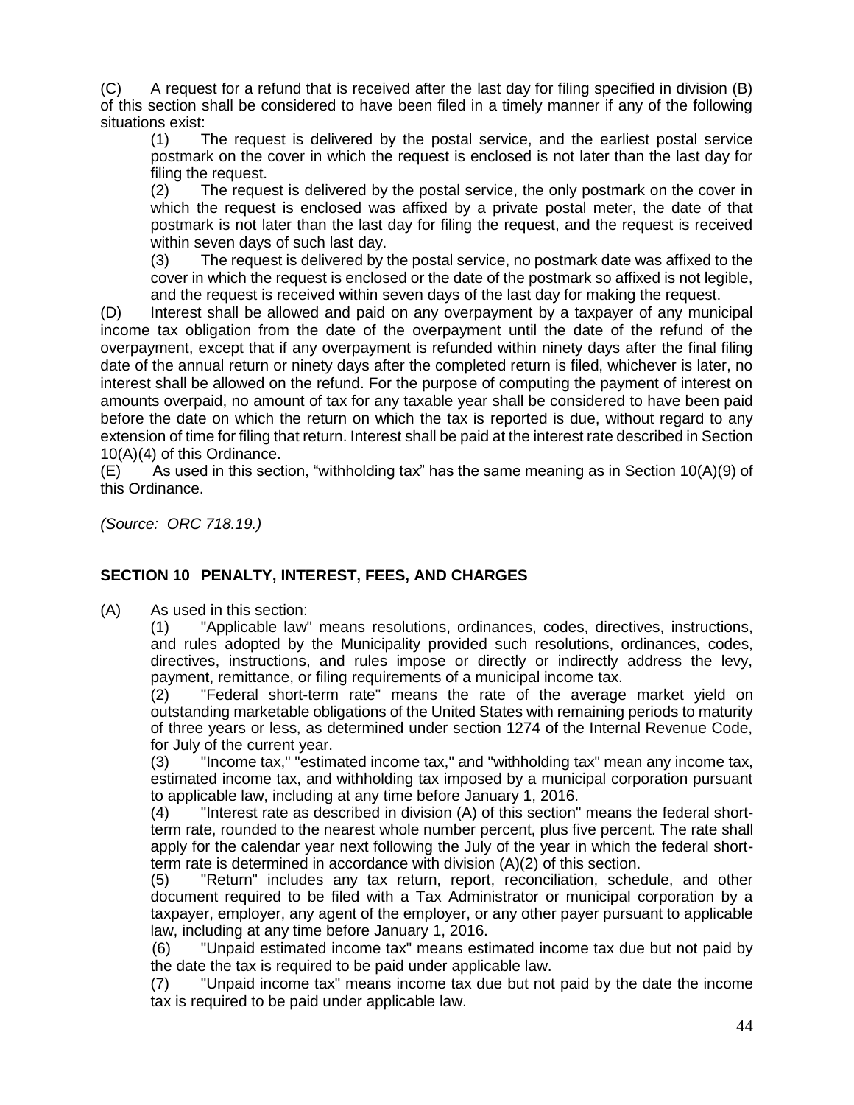(C) A request for a refund that is received after the last day for filing specified in division (B) of this section shall be considered to have been filed in a timely manner if any of the following situations exist:

(1) The request is delivered by the postal service, and the earliest postal service postmark on the cover in which the request is enclosed is not later than the last day for filing the request.

(2) The request is delivered by the postal service, the only postmark on the cover in which the request is enclosed was affixed by a private postal meter, the date of that postmark is not later than the last day for filing the request, and the request is received within seven days of such last day.

(3) The request is delivered by the postal service, no postmark date was affixed to the cover in which the request is enclosed or the date of the postmark so affixed is not legible, and the request is received within seven days of the last day for making the request.

(D) Interest shall be allowed and paid on any overpayment by a taxpayer of any municipal income tax obligation from the date of the overpayment until the date of the refund of the overpayment, except that if any overpayment is refunded within ninety days after the final filing date of the annual return or ninety days after the completed return is filed, whichever is later, no interest shall be allowed on the refund. For the purpose of computing the payment of interest on amounts overpaid, no amount of tax for any taxable year shall be considered to have been paid before the date on which the return on which the tax is reported is due, without regard to any extension of time for filing that return. Interest shall be paid at the interest rate described in Section 10(A)(4) of this Ordinance.

 $(E)$  As used in this section, "withholding tax" has the same meaning as in Section 10(A)(9) of this Ordinance.

*(Source: ORC 718.19.)*

## **SECTION 10 PENALTY, INTEREST, FEES, AND CHARGES**

(A) As used in this section:

(1) "Applicable law" means resolutions, ordinances, codes, directives, instructions, and rules adopted by the Municipality provided such resolutions, ordinances, codes, directives, instructions, and rules impose or directly or indirectly address the levy, payment, remittance, or filing requirements of a municipal income tax.

(2) "Federal short-term rate" means the rate of the average market yield on outstanding marketable obligations of the United States with remaining periods to maturity of three years or less, as determined under section 1274 of the Internal Revenue Code, for July of the current year.

(3) "Income tax," "estimated income tax," and "withholding tax" mean any income tax, estimated income tax, and withholding tax imposed by a municipal corporation pursuant to applicable law, including at any time before January 1, 2016.

(4) "Interest rate as described in division (A) of this section" means the federal shortterm rate, rounded to the nearest whole number percent, plus five percent. The rate shall apply for the calendar year next following the July of the year in which the federal shortterm rate is determined in accordance with division (A)(2) of this section.

(5) "Return" includes any tax return, report, reconciliation, schedule, and other document required to be filed with a Tax Administrator or municipal corporation by a taxpayer, employer, any agent of the employer, or any other payer pursuant to applicable law, including at any time before January 1, 2016.

(6) "Unpaid estimated income tax" means estimated income tax due but not paid by the date the tax is required to be paid under applicable law.

(7) "Unpaid income tax" means income tax due but not paid by the date the income tax is required to be paid under applicable law.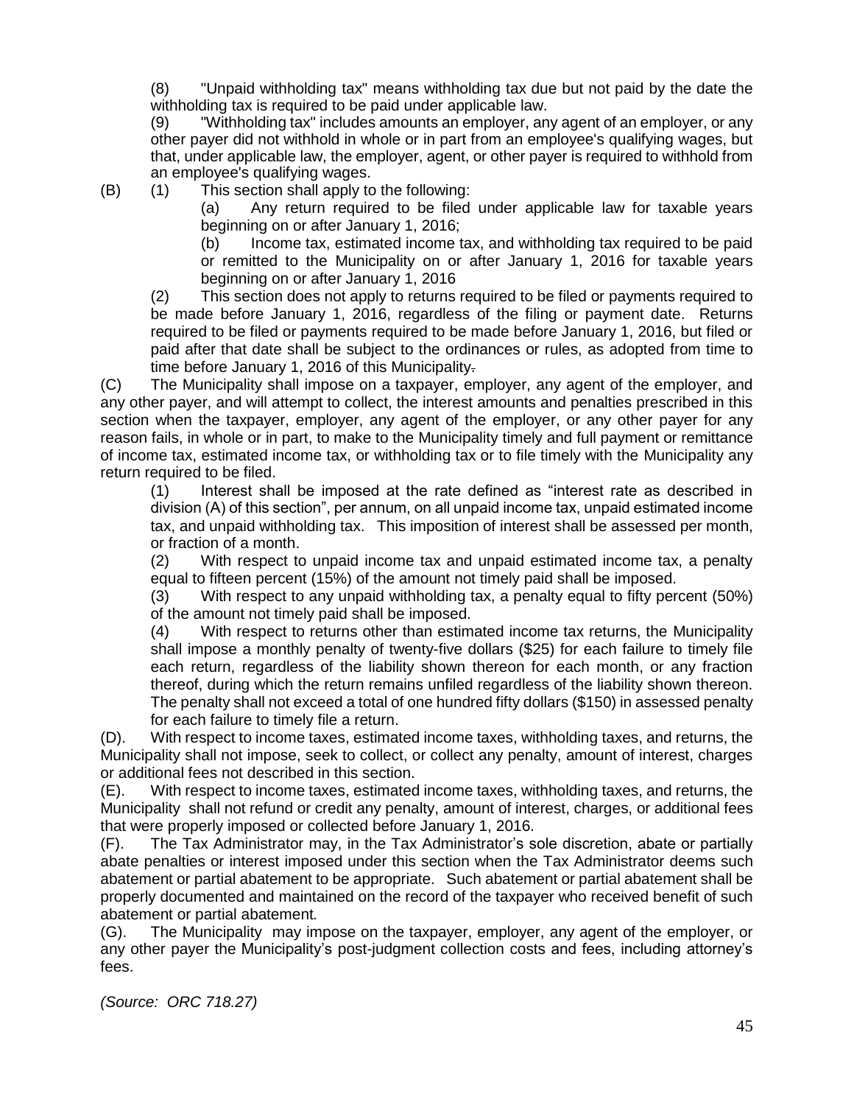(8) "Unpaid withholding tax" means withholding tax due but not paid by the date the withholding tax is required to be paid under applicable law.

(9) "Withholding tax" includes amounts an employer, any agent of an employer, or any other payer did not withhold in whole or in part from an employee's qualifying wages, but that, under applicable law, the employer, agent, or other payer is required to withhold from an employee's qualifying wages.

(B) (1) This section shall apply to the following:

(a) Any return required to be filed under applicable law for taxable years beginning on or after January 1, 2016;

(b) Income tax, estimated income tax, and withholding tax required to be paid or remitted to the Municipality on or after January 1, 2016 for taxable years beginning on or after January 1, 2016

(2) This section does not apply to returns required to be filed or payments required to be made before January 1, 2016, regardless of the filing or payment date. Returns required to be filed or payments required to be made before January 1, 2016, but filed or paid after that date shall be subject to the ordinances or rules, as adopted from time to time before January 1, 2016 of this Municipality-

(C) The Municipality shall impose on a taxpayer, employer, any agent of the employer, and any other payer, and will attempt to collect, the interest amounts and penalties prescribed in this section when the taxpayer, employer, any agent of the employer, or any other payer for any reason fails, in whole or in part, to make to the Municipality timely and full payment or remittance of income tax, estimated income tax, or withholding tax or to file timely with the Municipality any return required to be filed.

(1) Interest shall be imposed at the rate defined as "interest rate as described in division (A) of this section", per annum, on all unpaid income tax, unpaid estimated income tax, and unpaid withholding tax. This imposition of interest shall be assessed per month, or fraction of a month.

(2) With respect to unpaid income tax and unpaid estimated income tax, a penalty equal to fifteen percent (15%) of the amount not timely paid shall be imposed.

(3) With respect to any unpaid withholding tax, a penalty equal to fifty percent (50%) of the amount not timely paid shall be imposed.

(4) With respect to returns other than estimated income tax returns, the Municipality shall impose a monthly penalty of twenty-five dollars (\$25) for each failure to timely file each return, regardless of the liability shown thereon for each month, or any fraction thereof, during which the return remains unfiled regardless of the liability shown thereon. The penalty shall not exceed a total of one hundred fifty dollars (\$150) in assessed penalty for each failure to timely file a return.

(D). With respect to income taxes, estimated income taxes, withholding taxes, and returns, the Municipality shall not impose, seek to collect, or collect any penalty, amount of interest, charges or additional fees not described in this section.

(E). With respect to income taxes, estimated income taxes, withholding taxes, and returns, the Municipality shall not refund or credit any penalty, amount of interest, charges, or additional fees that were properly imposed or collected before January 1, 2016.

(F). The Tax Administrator may, in the Tax Administrator's sole discretion, abate or partially abate penalties or interest imposed under this section when the Tax Administrator deems such abatement or partial abatement to be appropriate. Such abatement or partial abatement shall be properly documented and maintained on the record of the taxpayer who received benefit of such abatement or partial abatement*.*

(G). The Municipality may impose on the taxpayer, employer, any agent of the employer, or any other payer the Municipality's post-judgment collection costs and fees, including attorney's fees.

*(Source: ORC 718.27)*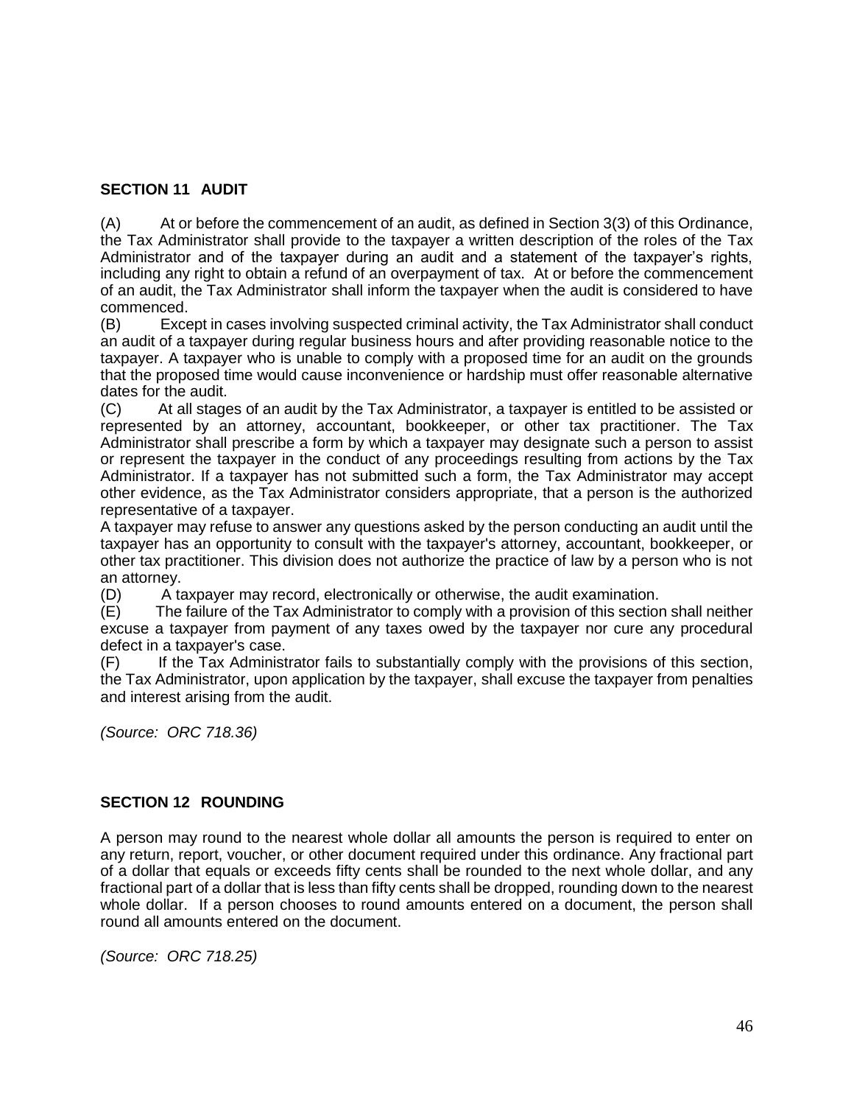# **SECTION 11 AUDIT**

(A) At or before the commencement of an audit, as defined in Section 3(3) of this Ordinance, the Tax Administrator shall provide to the taxpayer a written description of the roles of the Tax Administrator and of the taxpayer during an audit and a statement of the taxpayer's rights, including any right to obtain a refund of an overpayment of tax. At or before the commencement of an audit, the Tax Administrator shall inform the taxpayer when the audit is considered to have commenced.

(B) Except in cases involving suspected criminal activity, the Tax Administrator shall conduct an audit of a taxpayer during regular business hours and after providing reasonable notice to the taxpayer. A taxpayer who is unable to comply with a proposed time for an audit on the grounds that the proposed time would cause inconvenience or hardship must offer reasonable alternative dates for the audit.

(C) At all stages of an audit by the Tax Administrator, a taxpayer is entitled to be assisted or represented by an attorney, accountant, bookkeeper, or other tax practitioner. The Tax Administrator shall prescribe a form by which a taxpayer may designate such a person to assist or represent the taxpayer in the conduct of any proceedings resulting from actions by the Tax Administrator. If a taxpayer has not submitted such a form, the Tax Administrator may accept other evidence, as the Tax Administrator considers appropriate, that a person is the authorized representative of a taxpayer.

A taxpayer may refuse to answer any questions asked by the person conducting an audit until the taxpayer has an opportunity to consult with the taxpayer's attorney, accountant, bookkeeper, or other tax practitioner. This division does not authorize the practice of law by a person who is not an attorney.

(D) A taxpayer may record, electronically or otherwise, the audit examination.

(E) The failure of the Tax Administrator to comply with a provision of this section shall neither excuse a taxpayer from payment of any taxes owed by the taxpayer nor cure any procedural defect in a taxpayer's case.

(F) If the Tax Administrator fails to substantially comply with the provisions of this section, the Tax Administrator, upon application by the taxpayer, shall excuse the taxpayer from penalties and interest arising from the audit.

*(Source: ORC 718.36)*

# **SECTION 12 ROUNDING**

A person may round to the nearest whole dollar all amounts the person is required to enter on any return, report, voucher, or other document required under this ordinance. Any fractional part of a dollar that equals or exceeds fifty cents shall be rounded to the next whole dollar, and any fractional part of a dollar that is less than fifty cents shall be dropped, rounding down to the nearest whole dollar. If a person chooses to round amounts entered on a document, the person shall round all amounts entered on the document.

*(Source: ORC 718.25)*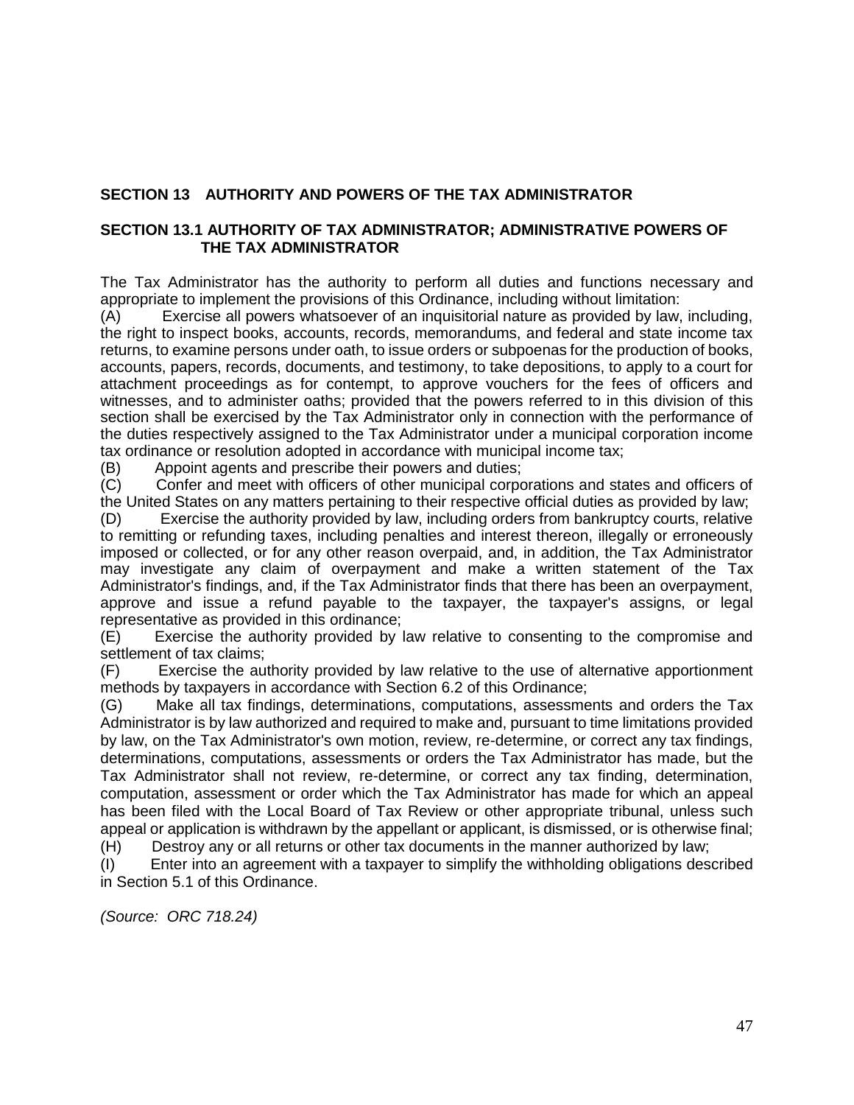# **SECTION 13 AUTHORITY AND POWERS OF THE TAX ADMINISTRATOR**

#### **SECTION 13.1 AUTHORITY OF TAX ADMINISTRATOR; ADMINISTRATIVE POWERS OF THE TAX ADMINISTRATOR**

The Tax Administrator has the authority to perform all duties and functions necessary and appropriate to implement the provisions of this Ordinance, including without limitation:

(A) Exercise all powers whatsoever of an inquisitorial nature as provided by law, including, the right to inspect books, accounts, records, memorandums, and federal and state income tax returns, to examine persons under oath, to issue orders or subpoenas for the production of books, accounts, papers, records, documents, and testimony, to take depositions, to apply to a court for attachment proceedings as for contempt, to approve vouchers for the fees of officers and witnesses, and to administer oaths; provided that the powers referred to in this division of this section shall be exercised by the Tax Administrator only in connection with the performance of the duties respectively assigned to the Tax Administrator under a municipal corporation income tax ordinance or resolution adopted in accordance with municipal income tax;

(B) Appoint agents and prescribe their powers and duties;<br>(C) Confer and meet with officers of other municipal corpo

Confer and meet with officers of other municipal corporations and states and officers of the United States on any matters pertaining to their respective official duties as provided by law;

(D) Exercise the authority provided by law, including orders from bankruptcy courts, relative to remitting or refunding taxes, including penalties and interest thereon, illegally or erroneously imposed or collected, or for any other reason overpaid, and, in addition, the Tax Administrator may investigate any claim of overpayment and make a written statement of the Tax Administrator's findings, and, if the Tax Administrator finds that there has been an overpayment, approve and issue a refund payable to the taxpayer, the taxpayer's assigns, or legal representative as provided in this ordinance;

(E) Exercise the authority provided by law relative to consenting to the compromise and settlement of tax claims;

(F) Exercise the authority provided by law relative to the use of alternative apportionment methods by taxpayers in accordance with Section 6.2 of this Ordinance;

(G) Make all tax findings, determinations, computations, assessments and orders the Tax Administrator is by law authorized and required to make and, pursuant to time limitations provided by law, on the Tax Administrator's own motion, review, re-determine, or correct any tax findings, determinations, computations, assessments or orders the Tax Administrator has made, but the Tax Administrator shall not review, re-determine, or correct any tax finding, determination, computation, assessment or order which the Tax Administrator has made for which an appeal has been filed with the Local Board of Tax Review or other appropriate tribunal, unless such appeal or application is withdrawn by the appellant or applicant, is dismissed, or is otherwise final;

(H) Destroy any or all returns or other tax documents in the manner authorized by law;

(I) Enter into an agreement with a taxpayer to simplify the withholding obligations described in Section 5.1 of this Ordinance.

*(Source: ORC 718.24)*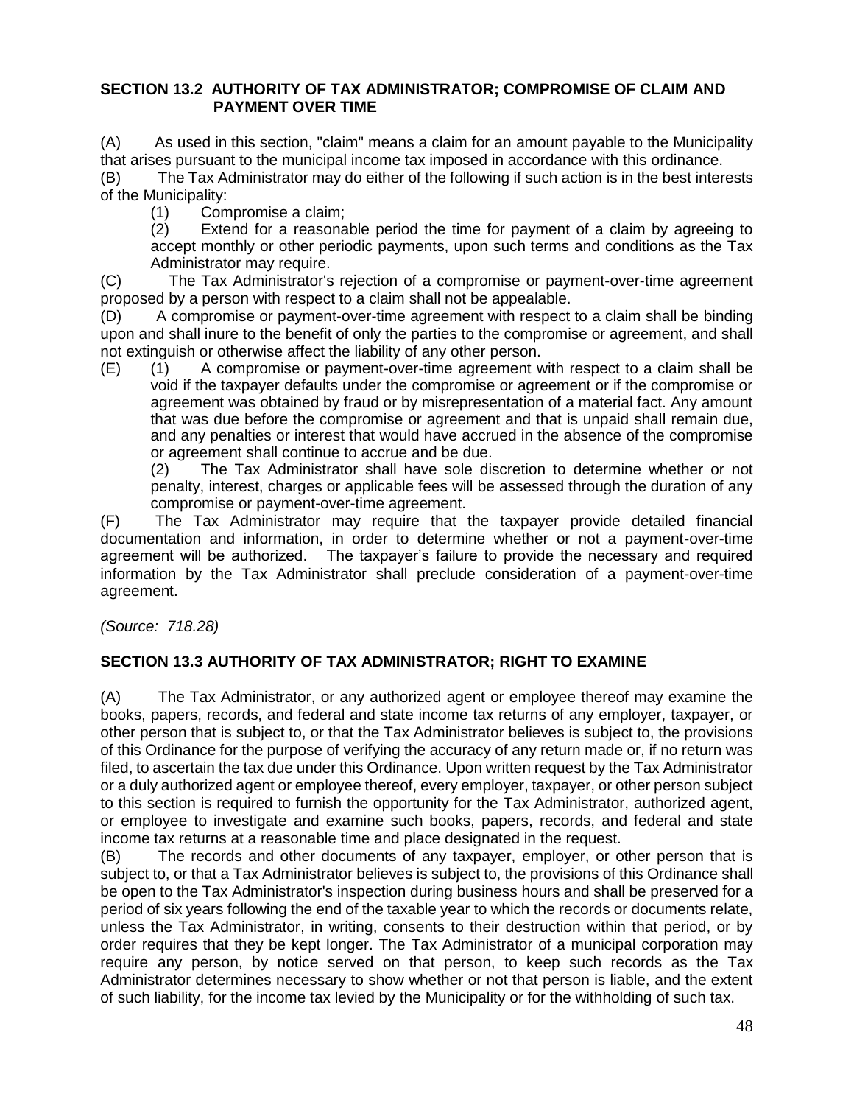### **SECTION 13.2 AUTHORITY OF TAX ADMINISTRATOR; COMPROMISE OF CLAIM AND PAYMENT OVER TIME**

(A) As used in this section, "claim" means a claim for an amount payable to the Municipality that arises pursuant to the municipal income tax imposed in accordance with this ordinance.

(B) The Tax Administrator may do either of the following if such action is in the best interests of the Municipality:

(1) Compromise a claim;

(2) Extend for a reasonable period the time for payment of a claim by agreeing to accept monthly or other periodic payments, upon such terms and conditions as the Tax Administrator may require.

(C) The Tax Administrator's rejection of a compromise or payment-over-time agreement proposed by a person with respect to a claim shall not be appealable.

(D) A compromise or payment-over-time agreement with respect to a claim shall be binding upon and shall inure to the benefit of only the parties to the compromise or agreement, and shall not extinguish or otherwise affect the liability of any other person.

(E) (1) A compromise or payment-over-time agreement with respect to a claim shall be void if the taxpayer defaults under the compromise or agreement or if the compromise or agreement was obtained by fraud or by misrepresentation of a material fact. Any amount that was due before the compromise or agreement and that is unpaid shall remain due, and any penalties or interest that would have accrued in the absence of the compromise or agreement shall continue to accrue and be due.

(2) The Tax Administrator shall have sole discretion to determine whether or not penalty, interest, charges or applicable fees will be assessed through the duration of any compromise or payment-over-time agreement.

(F) The Tax Administrator may require that the taxpayer provide detailed financial documentation and information, in order to determine whether or not a payment-over-time agreement will be authorized. The taxpayer's failure to provide the necessary and required information by the Tax Administrator shall preclude consideration of a payment-over-time agreement.

*(Source: 718.28)*

## **SECTION 13.3 AUTHORITY OF TAX ADMINISTRATOR; RIGHT TO EXAMINE**

(A) The Tax Administrator, or any authorized agent or employee thereof may examine the books, papers, records, and federal and state income tax returns of any employer, taxpayer, or other person that is subject to, or that the Tax Administrator believes is subject to, the provisions of this Ordinance for the purpose of verifying the accuracy of any return made or, if no return was filed, to ascertain the tax due under this Ordinance. Upon written request by the Tax Administrator or a duly authorized agent or employee thereof, every employer, taxpayer, or other person subject to this section is required to furnish the opportunity for the Tax Administrator, authorized agent, or employee to investigate and examine such books, papers, records, and federal and state income tax returns at a reasonable time and place designated in the request.

(B) The records and other documents of any taxpayer, employer, or other person that is subject to, or that a Tax Administrator believes is subject to, the provisions of this Ordinance shall be open to the Tax Administrator's inspection during business hours and shall be preserved for a period of six years following the end of the taxable year to which the records or documents relate, unless the Tax Administrator, in writing, consents to their destruction within that period, or by order requires that they be kept longer. The Tax Administrator of a municipal corporation may require any person, by notice served on that person, to keep such records as the Tax Administrator determines necessary to show whether or not that person is liable, and the extent of such liability, for the income tax levied by the Municipality or for the withholding of such tax.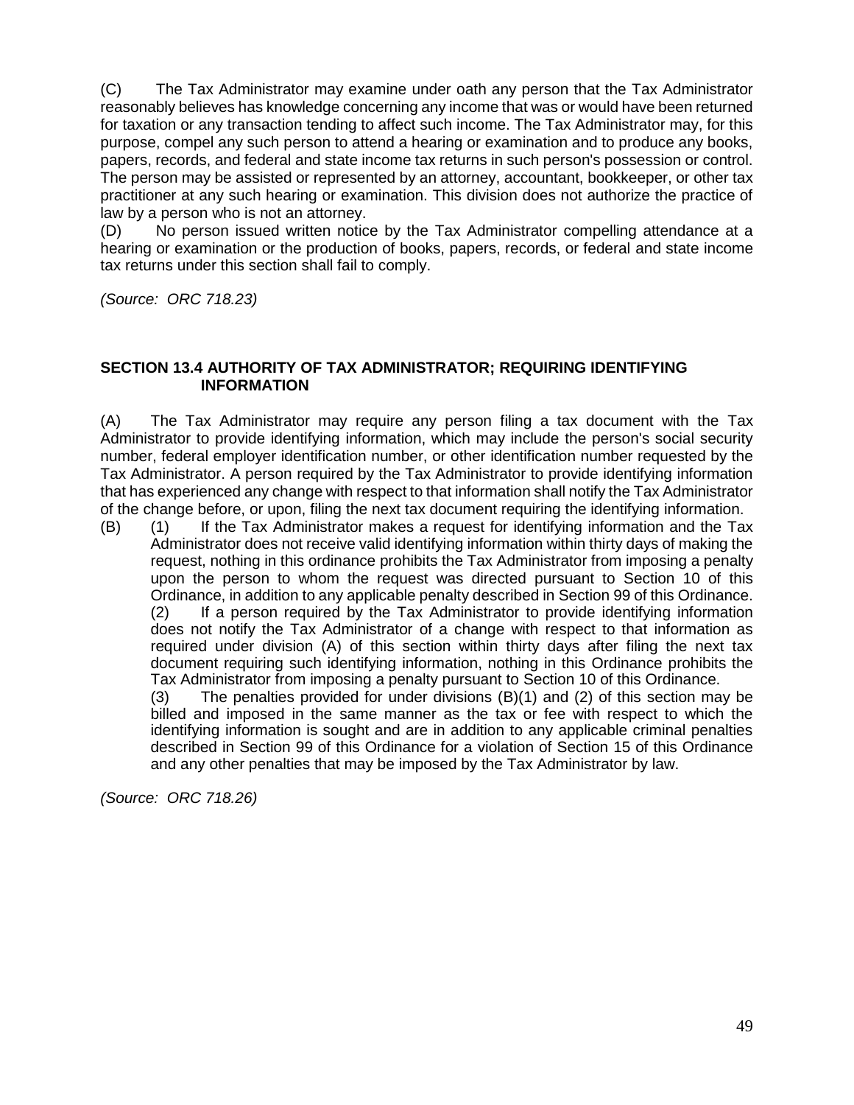(C) The Tax Administrator may examine under oath any person that the Tax Administrator reasonably believes has knowledge concerning any income that was or would have been returned for taxation or any transaction tending to affect such income. The Tax Administrator may, for this purpose, compel any such person to attend a hearing or examination and to produce any books, papers, records, and federal and state income tax returns in such person's possession or control. The person may be assisted or represented by an attorney, accountant, bookkeeper, or other tax practitioner at any such hearing or examination. This division does not authorize the practice of law by a person who is not an attorney.

(D) No person issued written notice by the Tax Administrator compelling attendance at a hearing or examination or the production of books, papers, records, or federal and state income tax returns under this section shall fail to comply.

*(Source: ORC 718.23)*

#### **SECTION 13.4 AUTHORITY OF TAX ADMINISTRATOR; REQUIRING IDENTIFYING INFORMATION**

(A) The Tax Administrator may require any person filing a tax document with the Tax Administrator to provide identifying information, which may include the person's social security number, federal employer identification number, or other identification number requested by the Tax Administrator. A person required by the Tax Administrator to provide identifying information that has experienced any change with respect to that information shall notify the Tax Administrator of the change before, or upon, filing the next tax document requiring the identifying information.

(B) (1) If the Tax Administrator makes a request for identifying information and the Tax Administrator does not receive valid identifying information within thirty days of making the request, nothing in this ordinance prohibits the Tax Administrator from imposing a penalty upon the person to whom the request was directed pursuant to Section 10 of this Ordinance, in addition to any applicable penalty described in Section 99 of this Ordinance. (2) If a person required by the Tax Administrator to provide identifying information does not notify the Tax Administrator of a change with respect to that information as required under division (A) of this section within thirty days after filing the next tax document requiring such identifying information, nothing in this Ordinance prohibits the Tax Administrator from imposing a penalty pursuant to Section 10 of this Ordinance.

(3) The penalties provided for under divisions (B)(1) and (2) of this section may be billed and imposed in the same manner as the tax or fee with respect to which the identifying information is sought and are in addition to any applicable criminal penalties described in Section 99 of this Ordinance for a violation of Section 15 of this Ordinance and any other penalties that may be imposed by the Tax Administrator by law.

*(Source: ORC 718.26)*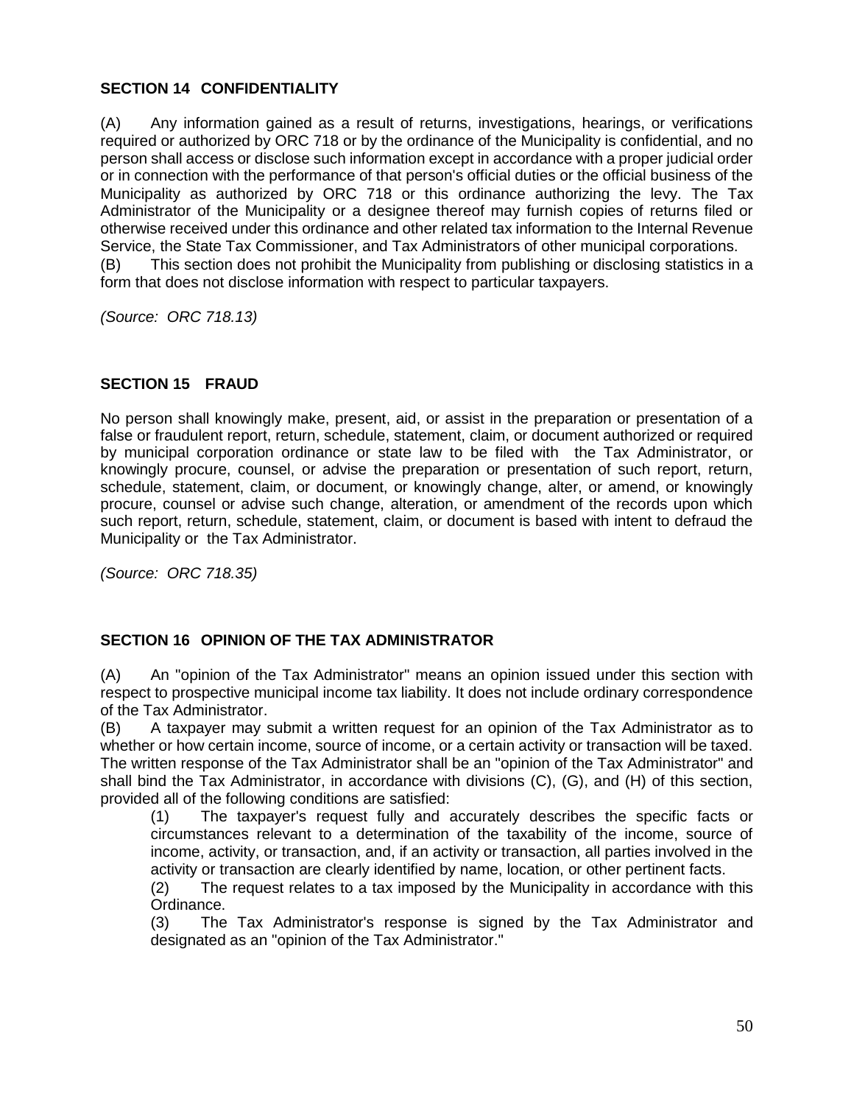# **SECTION 14 CONFIDENTIALITY**

(A) Any information gained as a result of returns, investigations, hearings, or verifications required or authorized by ORC 718 or by the ordinance of the Municipality is confidential, and no person shall access or disclose such information except in accordance with a proper judicial order or in connection with the performance of that person's official duties or the official business of the Municipality as authorized by ORC 718 or this ordinance authorizing the levy. The Tax Administrator of the Municipality or a designee thereof may furnish copies of returns filed or otherwise received under this ordinance and other related tax information to the Internal Revenue Service, the State Tax Commissioner, and Tax Administrators of other municipal corporations.

(B) This section does not prohibit the Municipality from publishing or disclosing statistics in a form that does not disclose information with respect to particular taxpayers.

*(Source: ORC 718.13)*

## **SECTION 15 FRAUD**

No person shall knowingly make, present, aid, or assist in the preparation or presentation of a false or fraudulent report, return, schedule, statement, claim, or document authorized or required by municipal corporation ordinance or state law to be filed with the Tax Administrator, or knowingly procure, counsel, or advise the preparation or presentation of such report, return, schedule, statement, claim, or document, or knowingly change, alter, or amend, or knowingly procure, counsel or advise such change, alteration, or amendment of the records upon which such report, return, schedule, statement, claim, or document is based with intent to defraud the Municipality or the Tax Administrator.

*(Source: ORC 718.35)*

### **SECTION 16 OPINION OF THE TAX ADMINISTRATOR**

(A) An "opinion of the Tax Administrator" means an opinion issued under this section with respect to prospective municipal income tax liability. It does not include ordinary correspondence of the Tax Administrator.

(B) A taxpayer may submit a written request for an opinion of the Tax Administrator as to whether or how certain income, source of income, or a certain activity or transaction will be taxed. The written response of the Tax Administrator shall be an "opinion of the Tax Administrator" and shall bind the Tax Administrator, in accordance with divisions (C), (G), and (H) of this section, provided all of the following conditions are satisfied:

(1) The taxpayer's request fully and accurately describes the specific facts or circumstances relevant to a determination of the taxability of the income, source of income, activity, or transaction, and, if an activity or transaction, all parties involved in the activity or transaction are clearly identified by name, location, or other pertinent facts.

(2) The request relates to a tax imposed by the Municipality in accordance with this Ordinance.

(3) The Tax Administrator's response is signed by the Tax Administrator and designated as an "opinion of the Tax Administrator."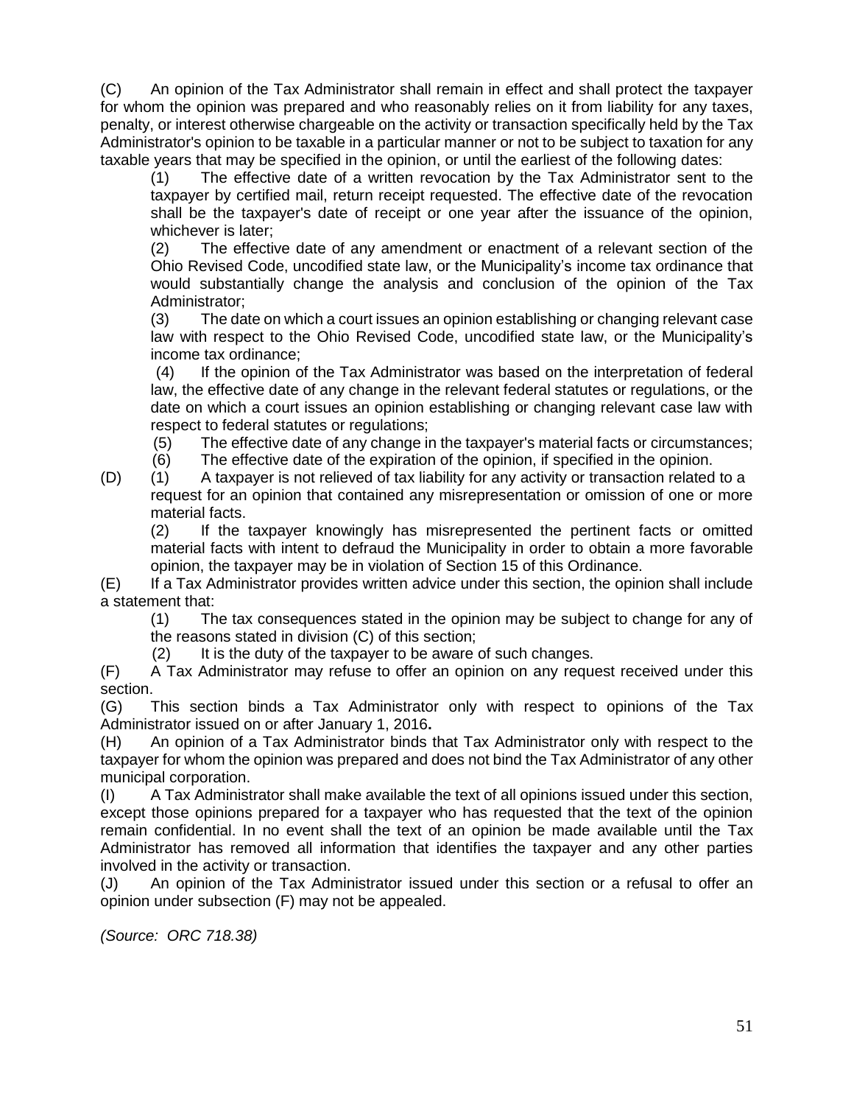(C) An opinion of the Tax Administrator shall remain in effect and shall protect the taxpayer for whom the opinion was prepared and who reasonably relies on it from liability for any taxes, penalty, or interest otherwise chargeable on the activity or transaction specifically held by the Tax Administrator's opinion to be taxable in a particular manner or not to be subject to taxation for any taxable years that may be specified in the opinion, or until the earliest of the following dates:

(1) The effective date of a written revocation by the Tax Administrator sent to the taxpayer by certified mail, return receipt requested. The effective date of the revocation shall be the taxpayer's date of receipt or one year after the issuance of the opinion, whichever is later;

(2) The effective date of any amendment or enactment of a relevant section of the Ohio Revised Code, uncodified state law, or the Municipality's income tax ordinance that would substantially change the analysis and conclusion of the opinion of the Tax Administrator;

(3) The date on which a court issues an opinion establishing or changing relevant case law with respect to the Ohio Revised Code, uncodified state law, or the Municipality's income tax ordinance;

 (4) If the opinion of the Tax Administrator was based on the interpretation of federal law, the effective date of any change in the relevant federal statutes or regulations, or the date on which a court issues an opinion establishing or changing relevant case law with respect to federal statutes or regulations;

(5) The effective date of any change in the taxpayer's material facts or circumstances;

- (6) The effective date of the expiration of the opinion, if specified in the opinion.
- (D) (1) A taxpayer is not relieved of tax liability for any activity or transaction related to a request for an opinion that contained any misrepresentation or omission of one or more material facts.

(2) If the taxpayer knowingly has misrepresented the pertinent facts or omitted material facts with intent to defraud the Municipality in order to obtain a more favorable opinion, the taxpayer may be in violation of Section 15 of this Ordinance.

(E) If a Tax Administrator provides written advice under this section, the opinion shall include a statement that:

(1) The tax consequences stated in the opinion may be subject to change for any of the reasons stated in division (C) of this section;

(2) It is the duty of the taxpayer to be aware of such changes.

(F) A Tax Administrator may refuse to offer an opinion on any request received under this section.

(G) This section binds a Tax Administrator only with respect to opinions of the Tax Administrator issued on or after January 1, 2016**.**

(H) An opinion of a Tax Administrator binds that Tax Administrator only with respect to the taxpayer for whom the opinion was prepared and does not bind the Tax Administrator of any other municipal corporation.

(I) A Tax Administrator shall make available the text of all opinions issued under this section, except those opinions prepared for a taxpayer who has requested that the text of the opinion remain confidential. In no event shall the text of an opinion be made available until the Tax Administrator has removed all information that identifies the taxpayer and any other parties involved in the activity or transaction.

(J) An opinion of the Tax Administrator issued under this section or a refusal to offer an opinion under subsection (F) may not be appealed.

*(Source: ORC 718.38)*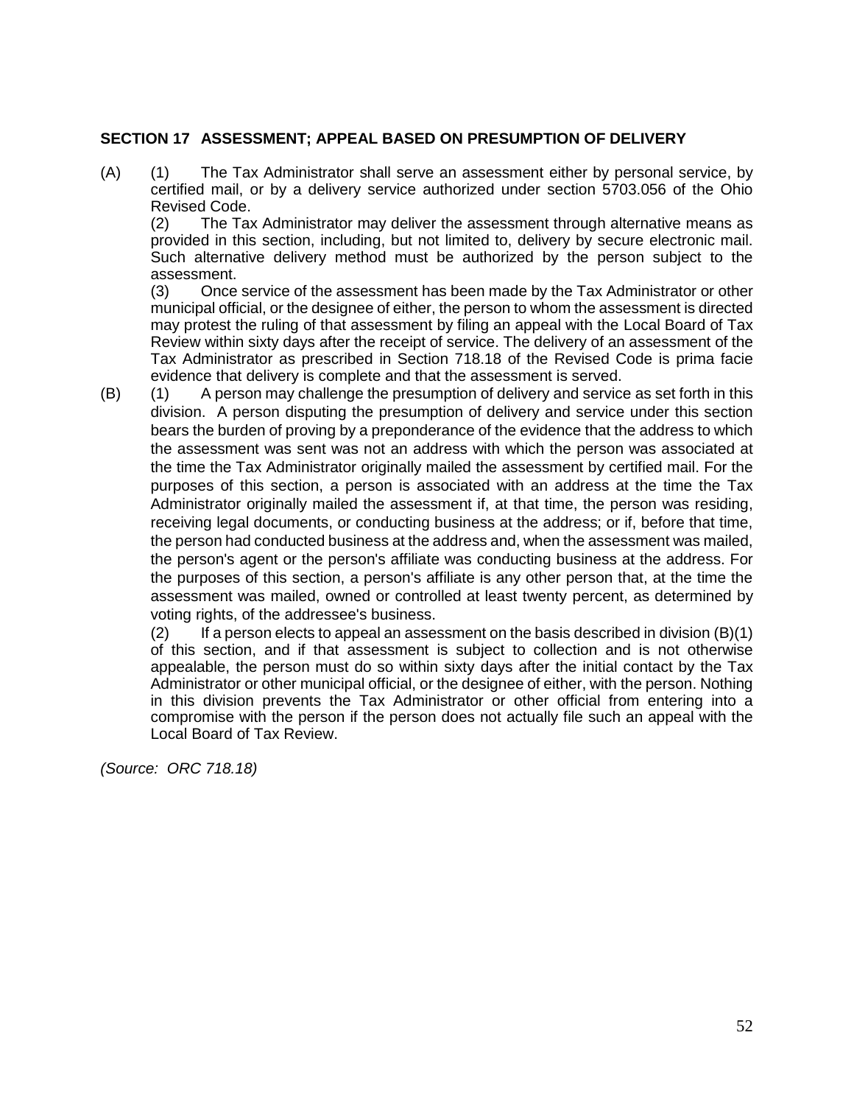#### **SECTION 17 ASSESSMENT; APPEAL BASED ON PRESUMPTION OF DELIVERY**

(A) (1) The Tax Administrator shall serve an assessment either by personal service, by certified mail, or by a delivery service authorized under section 5703.056 of the Ohio Revised Code.

(2) The Tax Administrator may deliver the assessment through alternative means as provided in this section, including, but not limited to, delivery by secure electronic mail. Such alternative delivery method must be authorized by the person subject to the assessment.

(3) Once service of the assessment has been made by the Tax Administrator or other municipal official, or the designee of either, the person to whom the assessment is directed may protest the ruling of that assessment by filing an appeal with the Local Board of Tax Review within sixty days after the receipt of service. The delivery of an assessment of the Tax Administrator as prescribed in Section 718.18 of the Revised Code is prima facie evidence that delivery is complete and that the assessment is served.

(B) (1) A person may challenge the presumption of delivery and service as set forth in this division. A person disputing the presumption of delivery and service under this section bears the burden of proving by a preponderance of the evidence that the address to which the assessment was sent was not an address with which the person was associated at the time the Tax Administrator originally mailed the assessment by certified mail. For the purposes of this section, a person is associated with an address at the time the Tax Administrator originally mailed the assessment if, at that time, the person was residing, receiving legal documents, or conducting business at the address; or if, before that time, the person had conducted business at the address and, when the assessment was mailed, the person's agent or the person's affiliate was conducting business at the address. For the purposes of this section, a person's affiliate is any other person that, at the time the assessment was mailed, owned or controlled at least twenty percent, as determined by voting rights, of the addressee's business.

 $(2)$  If a person elects to appeal an assessment on the basis described in division  $(B)(1)$ of this section, and if that assessment is subject to collection and is not otherwise appealable, the person must do so within sixty days after the initial contact by the Tax Administrator or other municipal official, or the designee of either, with the person. Nothing in this division prevents the Tax Administrator or other official from entering into a compromise with the person if the person does not actually file such an appeal with the Local Board of Tax Review.

*(Source: ORC 718.18)*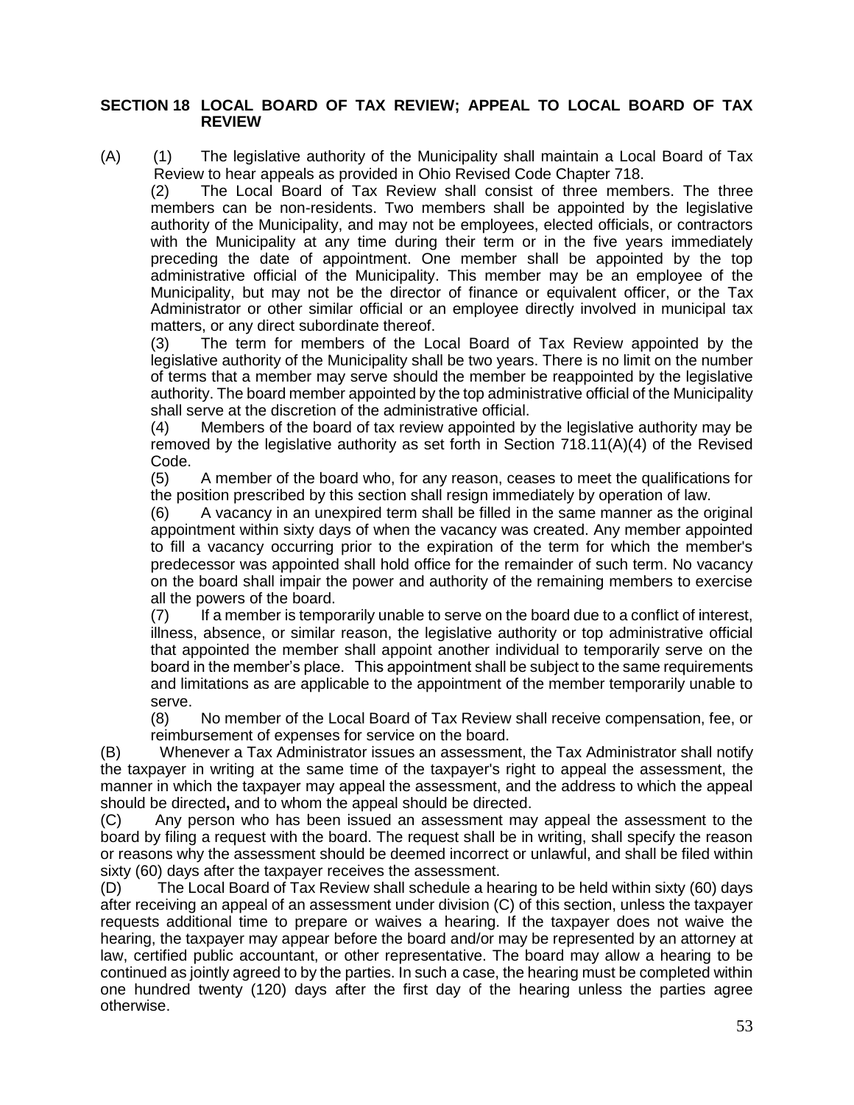#### **SECTION 18 LOCAL BOARD OF TAX REVIEW; APPEAL TO LOCAL BOARD OF TAX REVIEW**

(A) (1) The legislative authority of the Municipality shall maintain a Local Board of Tax Review to hear appeals as provided in Ohio Revised Code Chapter 718.

(2) The Local Board of Tax Review shall consist of three members. The three members can be non-residents. Two members shall be appointed by the legislative authority of the Municipality, and may not be employees, elected officials, or contractors with the Municipality at any time during their term or in the five years immediately preceding the date of appointment. One member shall be appointed by the top administrative official of the Municipality. This member may be an employee of the Municipality, but may not be the director of finance or equivalent officer, or the Tax Administrator or other similar official or an employee directly involved in municipal tax matters, or any direct subordinate thereof.

(3) The term for members of the Local Board of Tax Review appointed by the legislative authority of the Municipality shall be two years. There is no limit on the number of terms that a member may serve should the member be reappointed by the legislative authority. The board member appointed by the top administrative official of the Municipality shall serve at the discretion of the administrative official.

(4) Members of the board of tax review appointed by the legislative authority may be removed by the legislative authority as set forth in Section 718.11(A)(4) of the Revised Code.

(5) A member of the board who, for any reason, ceases to meet the qualifications for the position prescribed by this section shall resign immediately by operation of law.

(6) A vacancy in an unexpired term shall be filled in the same manner as the original appointment within sixty days of when the vacancy was created. Any member appointed to fill a vacancy occurring prior to the expiration of the term for which the member's predecessor was appointed shall hold office for the remainder of such term. No vacancy on the board shall impair the power and authority of the remaining members to exercise all the powers of the board.

(7) If a member is temporarily unable to serve on the board due to a conflict of interest, illness, absence, or similar reason, the legislative authority or top administrative official that appointed the member shall appoint another individual to temporarily serve on the board in the member's place. This appointment shall be subject to the same requirements and limitations as are applicable to the appointment of the member temporarily unable to serve.

(8) No member of the Local Board of Tax Review shall receive compensation, fee, or reimbursement of expenses for service on the board.

(B) Whenever a Tax Administrator issues an assessment, the Tax Administrator shall notify the taxpayer in writing at the same time of the taxpayer's right to appeal the assessment, the manner in which the taxpayer may appeal the assessment, and the address to which the appeal should be directed**,** and to whom the appeal should be directed.

(C) Any person who has been issued an assessment may appeal the assessment to the board by filing a request with the board. The request shall be in writing, shall specify the reason or reasons why the assessment should be deemed incorrect or unlawful, and shall be filed within sixty (60) days after the taxpayer receives the assessment.

(D) The Local Board of Tax Review shall schedule a hearing to be held within sixty (60) days after receiving an appeal of an assessment under division (C) of this section, unless the taxpayer requests additional time to prepare or waives a hearing. If the taxpayer does not waive the hearing, the taxpayer may appear before the board and/or may be represented by an attorney at law, certified public accountant, or other representative. The board may allow a hearing to be continued as jointly agreed to by the parties. In such a case, the hearing must be completed within one hundred twenty (120) days after the first day of the hearing unless the parties agree otherwise.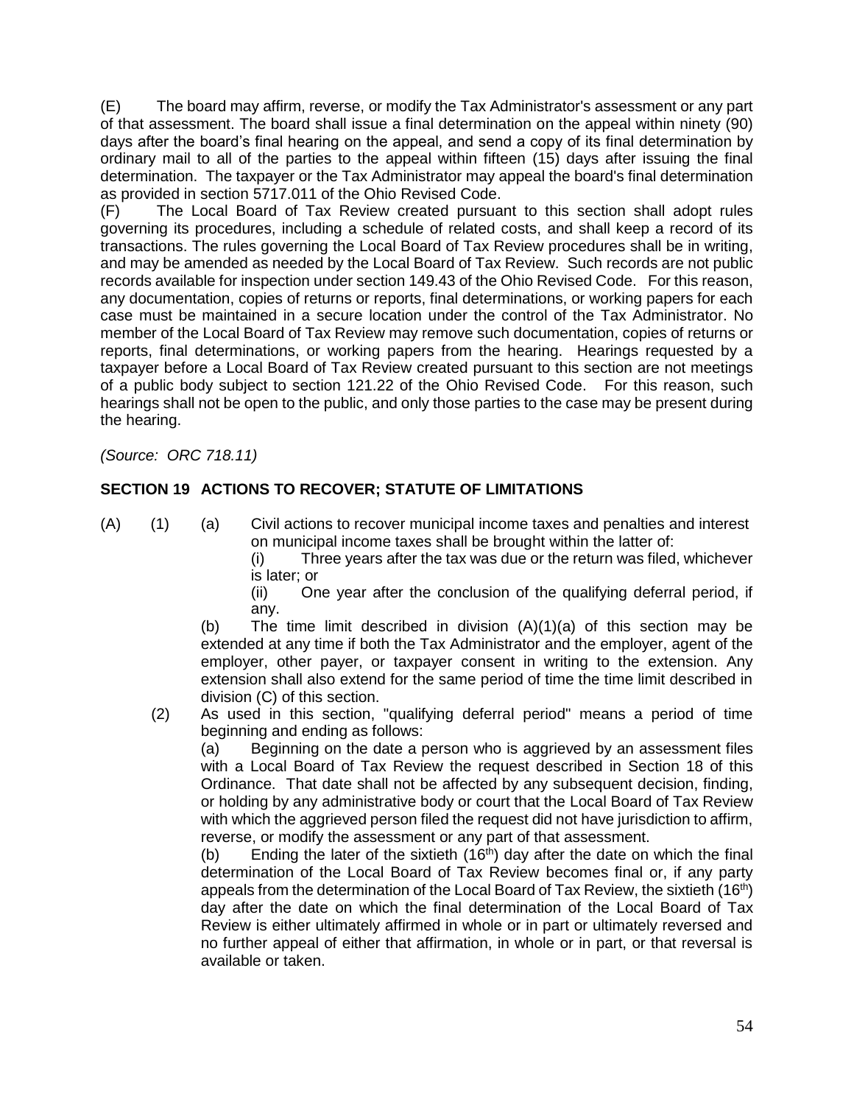(E) The board may affirm, reverse, or modify the Tax Administrator's assessment or any part of that assessment. The board shall issue a final determination on the appeal within ninety (90) days after the board's final hearing on the appeal, and send a copy of its final determination by ordinary mail to all of the parties to the appeal within fifteen (15) days after issuing the final determination. The taxpayer or the Tax Administrator may appeal the board's final determination as provided in section 5717.011 of the Ohio Revised Code.

(F) The Local Board of Tax Review created pursuant to this section shall adopt rules governing its procedures, including a schedule of related costs, and shall keep a record of its transactions. The rules governing the Local Board of Tax Review procedures shall be in writing, and may be amended as needed by the Local Board of Tax Review. Such records are not public records available for inspection under section 149.43 of the Ohio Revised Code. For this reason, any documentation, copies of returns or reports, final determinations, or working papers for each case must be maintained in a secure location under the control of the Tax Administrator. No member of the Local Board of Tax Review may remove such documentation, copies of returns or reports, final determinations, or working papers from the hearing. Hearings requested by a taxpayer before a Local Board of Tax Review created pursuant to this section are not meetings of a public body subject to section 121.22 of the Ohio Revised Code. For this reason, such hearings shall not be open to the public, and only those parties to the case may be present during the hearing.

*(Source: ORC 718.11)*

# **SECTION 19 ACTIONS TO RECOVER; STATUTE OF LIMITATIONS**

(A) (1) (a) Civil actions to recover municipal income taxes and penalties and interest on municipal income taxes shall be brought within the latter of:

(i) Three years after the tax was due or the return was filed, whichever is later; or

(ii) One year after the conclusion of the qualifying deferral period, if any.

(b) The time limit described in division (A)(1)(a) of this section may be extended at any time if both the Tax Administrator and the employer, agent of the employer, other payer, or taxpayer consent in writing to the extension. Any extension shall also extend for the same period of time the time limit described in division (C) of this section.

(2) As used in this section, "qualifying deferral period" means a period of time beginning and ending as follows:

(a) Beginning on the date a person who is aggrieved by an assessment files with a Local Board of Tax Review the request described in Section 18 of this Ordinance. That date shall not be affected by any subsequent decision, finding, or holding by any administrative body or court that the Local Board of Tax Review with which the aggrieved person filed the request did not have jurisdiction to affirm, reverse, or modify the assessment or any part of that assessment.

(b) Ending the later of the sixtieth  $(16<sup>th</sup>)$  day after the date on which the final determination of the Local Board of Tax Review becomes final or, if any party appeals from the determination of the Local Board of Tax Review, the sixtieth  $(16<sup>th</sup>)$ day after the date on which the final determination of the Local Board of Tax Review is either ultimately affirmed in whole or in part or ultimately reversed and no further appeal of either that affirmation, in whole or in part, or that reversal is available or taken.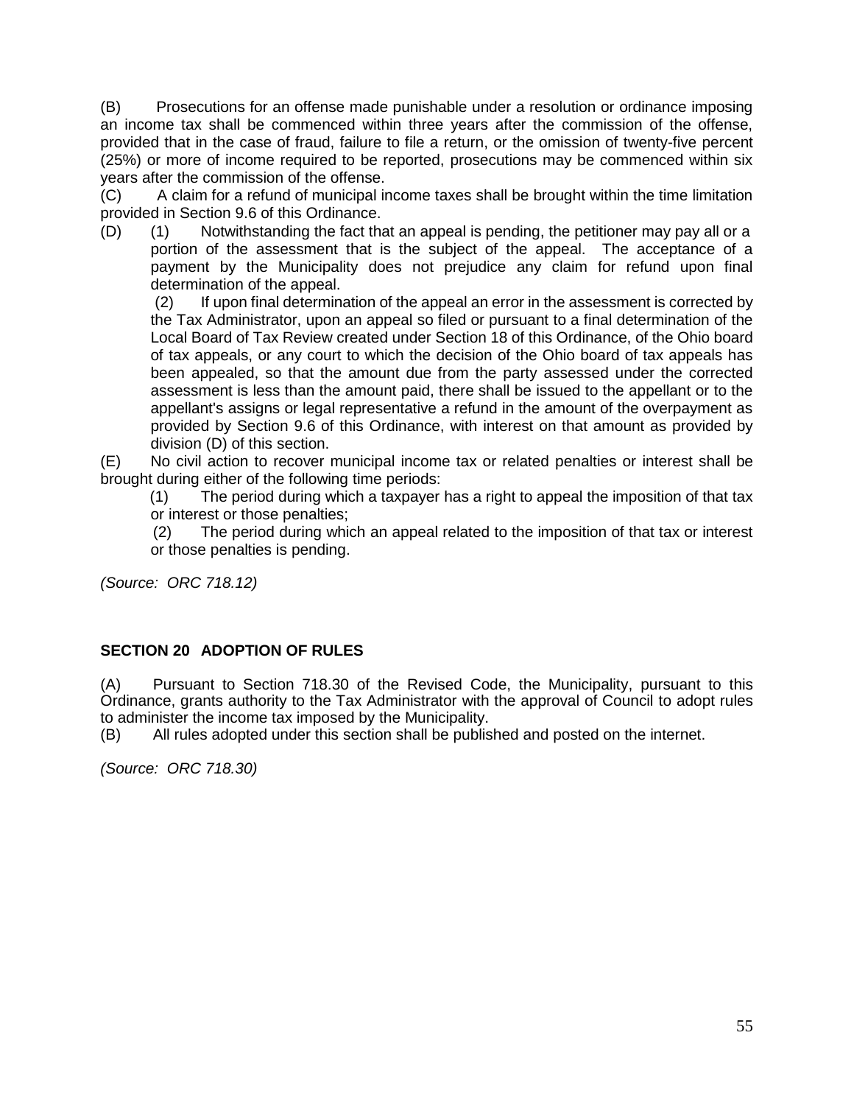(B) Prosecutions for an offense made punishable under a resolution or ordinance imposing an income tax shall be commenced within three years after the commission of the offense, provided that in the case of fraud, failure to file a return, or the omission of twenty-five percent (25%) or more of income required to be reported, prosecutions may be commenced within six years after the commission of the offense.

(C) A claim for a refund of municipal income taxes shall be brought within the time limitation provided in Section 9.6 of this Ordinance.

(D) (1) Notwithstanding the fact that an appeal is pending, the petitioner may pay all or a portion of the assessment that is the subject of the appeal. The acceptance of a payment by the Municipality does not prejudice any claim for refund upon final determination of the appeal.

(2) If upon final determination of the appeal an error in the assessment is corrected by the Tax Administrator, upon an appeal so filed or pursuant to a final determination of the Local Board of Tax Review created under Section 18 of this Ordinance, of the Ohio board of tax appeals, or any court to which the decision of the Ohio board of tax appeals has been appealed, so that the amount due from the party assessed under the corrected assessment is less than the amount paid, there shall be issued to the appellant or to the appellant's assigns or legal representative a refund in the amount of the overpayment as provided by Section 9.6 of this Ordinance, with interest on that amount as provided by division (D) of this section.

(E) No civil action to recover municipal income tax or related penalties or interest shall be brought during either of the following time periods:

 (1) The period during which a taxpayer has a right to appeal the imposition of that tax or interest or those penalties;

 (2) The period during which an appeal related to the imposition of that tax or interest or those penalties is pending.

*(Source: ORC 718.12)*

## **SECTION 20 ADOPTION OF RULES**

(A) Pursuant to Section 718.30 of the Revised Code, the Municipality, pursuant to this Ordinance, grants authority to the Tax Administrator with the approval of Council to adopt rules to administer the income tax imposed by the Municipality.

(B) All rules adopted under this section shall be published and posted on the internet.

*(Source: ORC 718.30)*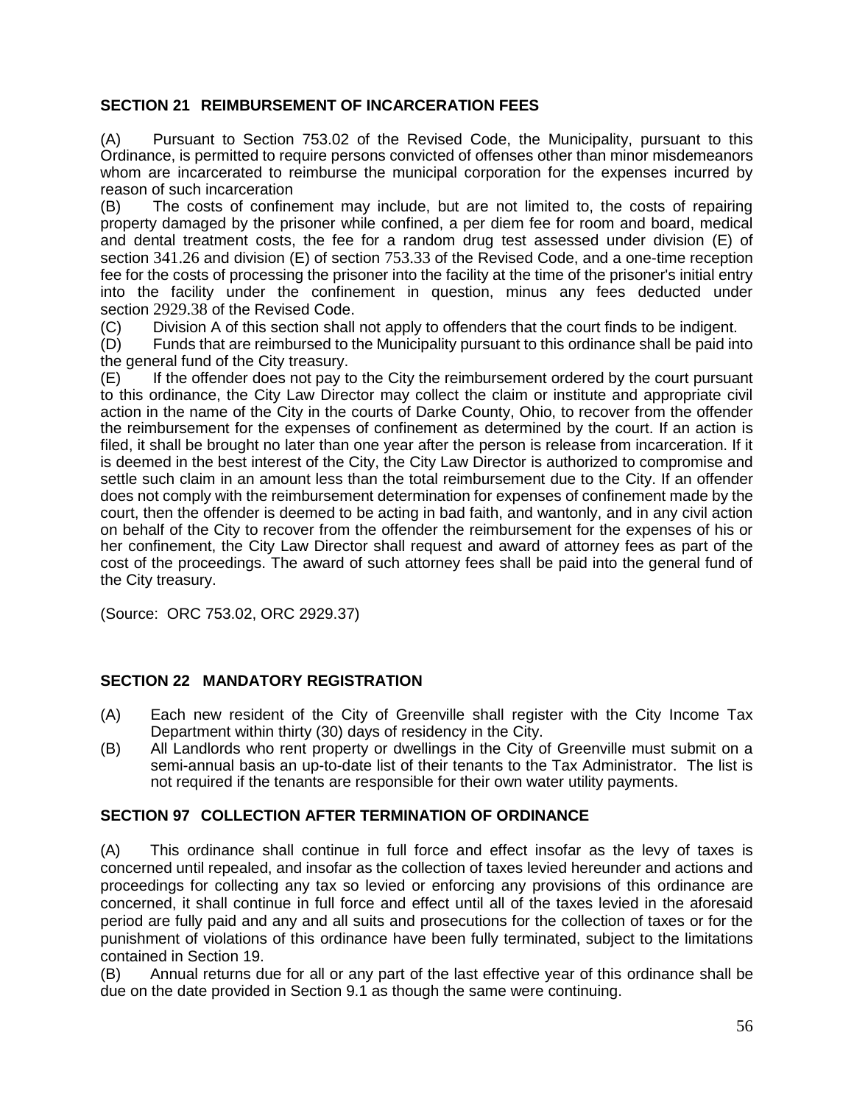## **SECTION 21 REIMBURSEMENT OF INCARCERATION FEES**

(A) Pursuant to Section 753.02 of the Revised Code, the Municipality, pursuant to this Ordinance, is permitted to require persons convicted of offenses other than minor misdemeanors whom are incarcerated to reimburse the municipal corporation for the expenses incurred by reason of such incarceration

(B) The costs of confinement may include, but are not limited to, the costs of repairing property damaged by the prisoner while confined, a per diem fee for room and board, medical and dental treatment costs, the fee for a random drug test assessed under division (E) of section [341.26](http://codes.ohio.gov/orc/341.26) and division (E) of section [753.33](http://codes.ohio.gov/orc/753.33) of the Revised Code, and a one-time reception fee for the costs of processing the prisoner into the facility at the time of the prisoner's initial entry into the facility under the confinement in question, minus any fees deducted under section [2929.38](http://codes.ohio.gov/orc/2929.38) of the Revised Code.

(C) Division A of this section shall not apply to offenders that the court finds to be indigent.

(D) Funds that are reimbursed to the Municipality pursuant to this ordinance shall be paid into the general fund of the City treasury.

(E) If the offender does not pay to the City the reimbursement ordered by the court pursuant to this ordinance, the City Law Director may collect the claim or institute and appropriate civil action in the name of the City in the courts of Darke County, Ohio, to recover from the offender the reimbursement for the expenses of confinement as determined by the court. If an action is filed, it shall be brought no later than one year after the person is release from incarceration. If it is deemed in the best interest of the City, the City Law Director is authorized to compromise and settle such claim in an amount less than the total reimbursement due to the City. If an offender does not comply with the reimbursement determination for expenses of confinement made by the court, then the offender is deemed to be acting in bad faith, and wantonly, and in any civil action on behalf of the City to recover from the offender the reimbursement for the expenses of his or her confinement, the City Law Director shall request and award of attorney fees as part of the cost of the proceedings. The award of such attorney fees shall be paid into the general fund of the City treasury.

(Source: ORC 753.02, ORC 2929.37)

### **SECTION 22 MANDATORY REGISTRATION**

- (A) Each new resident of the City of Greenville shall register with the City Income Tax Department within thirty (30) days of residency in the City.
- (B) All Landlords who rent property or dwellings in the City of Greenville must submit on a semi-annual basis an up-to-date list of their tenants to the Tax Administrator. The list is not required if the tenants are responsible for their own water utility payments.

# **SECTION 97 COLLECTION AFTER TERMINATION OF ORDINANCE**

(A) This ordinance shall continue in full force and effect insofar as the levy of taxes is concerned until repealed, and insofar as the collection of taxes levied hereunder and actions and proceedings for collecting any tax so levied or enforcing any provisions of this ordinance are concerned, it shall continue in full force and effect until all of the taxes levied in the aforesaid period are fully paid and any and all suits and prosecutions for the collection of taxes or for the punishment of violations of this ordinance have been fully terminated, subject to the limitations contained in Section 19.

(B) Annual returns due for all or any part of the last effective year of this ordinance shall be due on the date provided in Section 9.1 as though the same were continuing.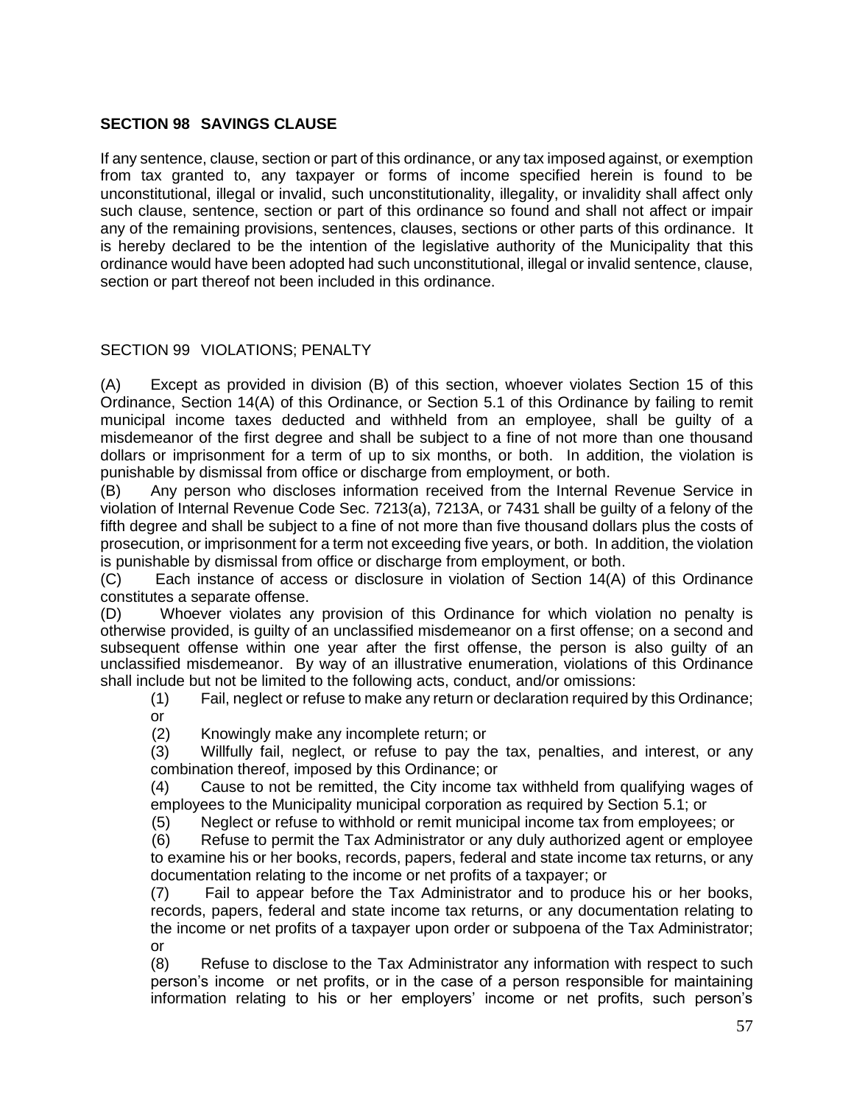# **SECTION 98 SAVINGS CLAUSE**

If any sentence, clause, section or part of this ordinance, or any tax imposed against, or exemption from tax granted to, any taxpayer or forms of income specified herein is found to be unconstitutional, illegal or invalid, such unconstitutionality, illegality, or invalidity shall affect only such clause, sentence, section or part of this ordinance so found and shall not affect or impair any of the remaining provisions, sentences, clauses, sections or other parts of this ordinance. It is hereby declared to be the intention of the legislative authority of the Municipality that this ordinance would have been adopted had such unconstitutional, illegal or invalid sentence, clause, section or part thereof not been included in this ordinance.

## SECTION 99 VIOLATIONS; PENALTY

(A) Except as provided in division (B) of this section, whoever violates Section 15 of this Ordinance, Section 14(A) of this Ordinance, or Section 5.1 of this Ordinance by failing to remit municipal income taxes deducted and withheld from an employee, shall be guilty of a misdemeanor of the first degree and shall be subject to a fine of not more than one thousand dollars or imprisonment for a term of up to six months, or both. In addition, the violation is punishable by dismissal from office or discharge from employment, or both.

(B) Any person who discloses information received from the Internal Revenue Service in violation of Internal Revenue Code Sec. 7213(a), 7213A, or 7431 shall be guilty of a felony of the fifth degree and shall be subject to a fine of not more than five thousand dollars plus the costs of prosecution, or imprisonment for a term not exceeding five years, or both. In addition, the violation is punishable by dismissal from office or discharge from employment, or both.

(C) Each instance of access or disclosure in violation of Section 14(A) of this Ordinance constitutes a separate offense.

(D) Whoever violates any provision of this Ordinance for which violation no penalty is otherwise provided, is guilty of an unclassified misdemeanor on a first offense; on a second and subsequent offense within one year after the first offense, the person is also guilty of an unclassified misdemeanor. By way of an illustrative enumeration, violations of this Ordinance shall include but not be limited to the following acts, conduct, and/or omissions:

(1) Fail, neglect or refuse to make any return or declaration required by this Ordinance; or

(2) Knowingly make any incomplete return; or

(3) Willfully fail, neglect, or refuse to pay the tax, penalties, and interest, or any combination thereof, imposed by this Ordinance; or

(4) Cause to not be remitted, the City income tax withheld from qualifying wages of employees to the Municipality municipal corporation as required by Section 5.1; or

(5) Neglect or refuse to withhold or remit municipal income tax from employees; or

 (6) Refuse to permit the Tax Administrator or any duly authorized agent or employee to examine his or her books, records, papers, federal and state income tax returns, or any documentation relating to the income or net profits of a taxpayer; or

(7) Fail to appear before the Tax Administrator and to produce his or her books, records, papers, federal and state income tax returns, or any documentation relating to the income or net profits of a taxpayer upon order or subpoena of the Tax Administrator; or

(8) Refuse to disclose to the Tax Administrator any information with respect to such person's income or net profits, or in the case of a person responsible for maintaining information relating to his or her employers' income or net profits, such person's